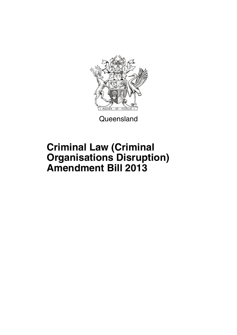

**Queensland** 

## **Criminal Law (Criminal Organisations Disruption) Amendment Bill 2013**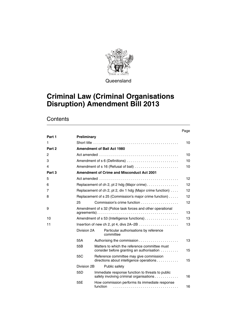

**Queensland** 

### **Criminal Law (Criminal Organisations Disruption) Amendment Bill 2013**

|                |                 |                                                                                            |                                                                                             | Page |  |  |  |
|----------------|-----------------|--------------------------------------------------------------------------------------------|---------------------------------------------------------------------------------------------|------|--|--|--|
| Part 1         | Preliminary     |                                                                                            |                                                                                             |      |  |  |  |
| $\mathbf{1}$   |                 |                                                                                            |                                                                                             | 10   |  |  |  |
| Part 2         |                 |                                                                                            | <b>Amendment of Bail Act 1980</b>                                                           |      |  |  |  |
| $\overline{c}$ |                 |                                                                                            |                                                                                             | 10   |  |  |  |
| 3              |                 |                                                                                            | Amendment of s 6 (Definitions)                                                              | 10   |  |  |  |
| 4              |                 | Amendment of s 16 (Refusal of bail)                                                        |                                                                                             |      |  |  |  |
| Part 3         |                 | <b>Amendment of Crime and Misconduct Act 2001</b>                                          |                                                                                             |      |  |  |  |
| 5              |                 |                                                                                            |                                                                                             | 12   |  |  |  |
| 6              |                 | Replacement of ch 2, pt 2 hdg (Major crime)                                                |                                                                                             |      |  |  |  |
| 7              |                 | Replacement of ch 2, pt 2, div 1 hdg (Major crime function)                                |                                                                                             |      |  |  |  |
| 8              |                 | Replacement of s 25 (Commission's major crime function)                                    |                                                                                             |      |  |  |  |
|                | 25              |                                                                                            |                                                                                             |      |  |  |  |
| 9              |                 | Amendment of s 32 (Police task forces and other operational                                |                                                                                             |      |  |  |  |
| 10             |                 |                                                                                            | Amendment of s 53 (Intelligence functions)                                                  | 13   |  |  |  |
| 11             |                 |                                                                                            |                                                                                             |      |  |  |  |
|                | Division 2A     |                                                                                            | Particular authorisations by reference<br>committee                                         |      |  |  |  |
|                | 55A             |                                                                                            | Authorising the commission                                                                  | 13   |  |  |  |
|                | 55B             | Matters to which the reference committee must<br>consider before granting an authorisation |                                                                                             |      |  |  |  |
|                | 55C             |                                                                                            | Reference committee may give commission<br>directions about intelligence operations         | 15   |  |  |  |
|                |                 | Division 2B<br>Public safety                                                               |                                                                                             |      |  |  |  |
|                | 55 <sub>D</sub> |                                                                                            | Immediate response function to threats to public<br>safety involving criminal organisations | 16   |  |  |  |
|                | 55E             | function                                                                                   | How commission performs its immediate response                                              | 16   |  |  |  |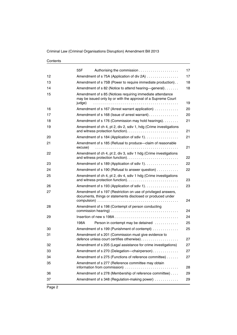|    | 55F                                                                                                                                  | 17 |
|----|--------------------------------------------------------------------------------------------------------------------------------------|----|
| 12 | Amendment of s 75A (Application of div 2A)                                                                                           | 17 |
| 13 | Amendment of s 75B (Power to require immediate production)                                                                           | 18 |
| 14 | Amendment of s 82 (Notice to attend hearing—general)                                                                                 | 18 |
| 15 | Amendment of s 85 (Notices requiring immediate attendance<br>may be issued only by or with the approval of a Supreme Court<br>judge) | 19 |
| 16 | Amendment of s 167 (Arrest warrant application)                                                                                      | 20 |
| 17 | Amendment of s 168 (Issue of arrest warrant)                                                                                         | 20 |
| 18 | Amendment of s 176 (Commission may hold hearings).                                                                                   | 21 |
| 19 | Amendment of ch 4, pt 2, div 2, sdiv 1, hdg (Crime investigations                                                                    | 21 |
| 20 | Amendment of s 184 (Application of sdiv 1).                                                                                          | 21 |
| 21 | Amendment of s 185 (Refusal to produce-claim of reasonable<br>excuse)                                                                | 21 |
| 22 | Amendment of ch 4, pt 2, div 3, sdiv 1 hdg (Crime investigations                                                                     | 22 |
| 23 | Amendment of s 189 (Application of sdiv 1).                                                                                          | 22 |
| 24 | Amendment of s 190 (Refusal to answer question)                                                                                      | 22 |
| 25 | Amendment of ch 4, pt 2, div 4, sdiv 1 hdg (Crime investigations                                                                     | 23 |
| 26 | Amendment of s 193 (Application of sdiv 1).                                                                                          | 23 |
| 27 | Amendment of s 197 (Restriction on use of privileged answers,<br>documents, things or statements disclosed or produced under         | 24 |
| 28 | Amendment of s 198 (Contempt of person conducting                                                                                    |    |
|    |                                                                                                                                      | 24 |
| 29 |                                                                                                                                      | 24 |
|    | 198A<br>Person in contempt may be detained                                                                                           | 25 |
| 30 | Amendment of s 199 (Punishment of contempt)                                                                                          | 25 |
| 31 | Amendment of s 201 (Commission must give evidence to<br>defence unless court certifies otherwise)                                    | 27 |
| 32 | Amendment of s 205 (Legal assistance for crime investigations)                                                                       | 27 |
| 33 | Amendment of s 270 (Delegation-chairperson)                                                                                          | 27 |
| 34 | Amendment of s 275 (Functions of reference committee)                                                                                | 27 |
| 35 | Amendment of s 277 (Reference committee may obtain<br>information from commission)                                                   | 28 |
| 36 | Amendment of s 278 (Membership of reference committee)                                                                               | 29 |
| 37 | Amendment of s 348 (Regulation-making power)                                                                                         | 29 |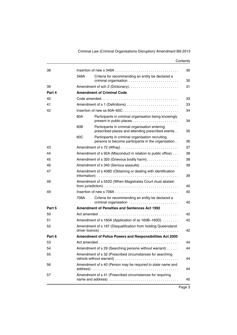| 38     |      |                                                                                                        | 30 |  |  |  |  |  |
|--------|------|--------------------------------------------------------------------------------------------------------|----|--|--|--|--|--|
|        | 348A | Criteria for recommending an entity be declared a<br>criminal organisation                             | 30 |  |  |  |  |  |
| 39     |      | Amendment of sch 2 (Dictionary)                                                                        |    |  |  |  |  |  |
| Part 4 |      | <b>Amendment of Criminal Code</b>                                                                      |    |  |  |  |  |  |
| 40     |      |                                                                                                        |    |  |  |  |  |  |
| 41     |      | Amendment of s 1 (Definitions)                                                                         | 33 |  |  |  |  |  |
| 42     |      |                                                                                                        | 34 |  |  |  |  |  |
|        | 60A  | Participants in criminal organisation being knowingly<br>present in public places                      | 34 |  |  |  |  |  |
|        | 60B  | Participants in criminal organisation entering<br>prescribed places and attending prescribed events    | 35 |  |  |  |  |  |
|        | 60C  | Participants in criminal organisation recruiting<br>persons to become participants in the organisation | 36 |  |  |  |  |  |
| 43     |      | Amendment of s 72 (Affray)                                                                             | 37 |  |  |  |  |  |
| 44     |      | Amendment of s 92A (Misconduct in relation to public office)                                           | 38 |  |  |  |  |  |
| 45     |      | Amendment of s 320 (Grievous bodily harm)                                                              | 38 |  |  |  |  |  |
| 46     |      | Amendment of s 340 (Serious assaults)                                                                  |    |  |  |  |  |  |
| 47     |      | Amendment of s 408D (Obtaining or dealing with identification                                          |    |  |  |  |  |  |
| 48     |      | Amendment of s 552D (When Magistrates Court must abstain                                               |    |  |  |  |  |  |
| 49     |      |                                                                                                        |    |  |  |  |  |  |
|        | 708A | Criteria for recommending an entity be declared a<br>criminal organisation                             | 40 |  |  |  |  |  |
| Part 5 |      | <b>Amendment of Penalties and Sentences Act 1992</b>                                                   |    |  |  |  |  |  |
| 50     |      |                                                                                                        | 42 |  |  |  |  |  |
| 51     |      | Amendment of s 160A (Application of ss 160B-160D)                                                      | 42 |  |  |  |  |  |
| 52     |      | Amendment of s 187 (Disqualification from holding Queensland                                           | 42 |  |  |  |  |  |
| Part 6 |      | Amendment of Police Powers and Responsibilities Act 2000                                               |    |  |  |  |  |  |
| 53     |      |                                                                                                        | 44 |  |  |  |  |  |
| 54     |      | Amendment of s 29 (Searching persons without warrant)                                                  | 44 |  |  |  |  |  |
| 55     |      | Amendment of s 32 (Prescribed circumstances for searching                                              | 44 |  |  |  |  |  |
| 56     |      | Amendment of s 40 (Person may be required to state name and                                            | 44 |  |  |  |  |  |
| 57     |      | Amendment of s 41 (Prescribed circumstances for requiring                                              | 45 |  |  |  |  |  |
|        |      |                                                                                                        |    |  |  |  |  |  |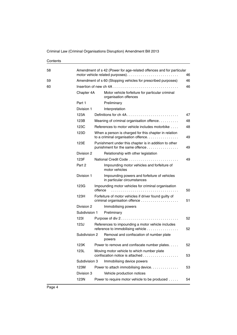| 58 |               | Amendment of s 42 (Power for age-related offences and for particular                        |    |  |  |  |
|----|---------------|---------------------------------------------------------------------------------------------|----|--|--|--|
|    |               | motor vehicle related purposes)                                                             |    |  |  |  |
| 59 |               | Amendment of s 60 (Stopping vehicles for prescribed purposes)                               | 46 |  |  |  |
| 60 |               |                                                                                             | 46 |  |  |  |
|    | Chapter 4A    | Motor vehicle forfeiture for particular criminal<br>organisation offences                   |    |  |  |  |
|    | Part 1        | Preliminary                                                                                 |    |  |  |  |
|    | Division 1    | Interpretation                                                                              |    |  |  |  |
|    | 123A          |                                                                                             | 47 |  |  |  |
|    | 123B          | Meaning of criminal organisation offence                                                    | 48 |  |  |  |
|    | 123C          | References to motor vehicle includes motorbike                                              | 48 |  |  |  |
|    | 123D          | When a person is charged for this chapter in relation<br>to a criminal organisation offence | 49 |  |  |  |
|    | 123E          | Punishment under this chapter is in addition to other<br>punishment for the same offence    | 49 |  |  |  |
|    | Division 2    | Relationship with other legislation                                                         |    |  |  |  |
|    | 123F          |                                                                                             | 49 |  |  |  |
|    | Part 2        | Impounding motor vehicles and forfeiture of<br>motor vehicles                               |    |  |  |  |
|    | Division 1    | Impounding powers and forfeiture of vehicles<br>in particular circumstances                 |    |  |  |  |
|    | 123G          | Impounding motor vehicles for criminal organisation<br>offence                              | 50 |  |  |  |
|    | 123H          | Forfeiture of motor vehicles if driver found guilty of                                      | 51 |  |  |  |
|    | Division 2    | Immobilising powers                                                                         |    |  |  |  |
|    | Subdivision 1 | Preliminary                                                                                 |    |  |  |  |
|    | 1231          | Purpose of div 2                                                                            | 52 |  |  |  |
|    | 123J          | References to impounding a motor vehicle includes<br>reference to immobilising vehicle      | 52 |  |  |  |
|    | Subdivision 2 | Removal and confiscation of number plate<br>powers                                          |    |  |  |  |
|    | 123K          | Power to remove and confiscate number plates.                                               | 52 |  |  |  |
|    | 123L          | Moving motor vehicle to which number plate<br>confiscation notice is attached               | 53 |  |  |  |
|    | Subdivision 3 | Immobilising device powers                                                                  |    |  |  |  |
|    | 123M          | Power to attach immobilising device.                                                        | 53 |  |  |  |
|    | Division 3    | Vehicle production notices                                                                  |    |  |  |  |
|    | 123N          | Power to require motor vehicle to be produced                                               | 54 |  |  |  |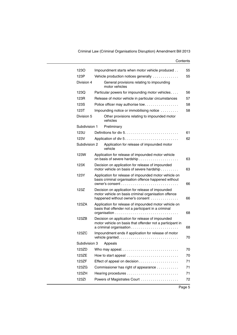| 1230          | Impoundment starts when motor vehicle produced                                                                                               | 55 |
|---------------|----------------------------------------------------------------------------------------------------------------------------------------------|----|
| 123P          | Vehicle production notices generally                                                                                                         | 55 |
| Division 4    | General provisions relating to impounding<br>motor vehicles                                                                                  |    |
| 123Q          | Particular powers for impounding motor vehicles                                                                                              | 56 |
| 123R          | Release of motor vehicle in particular circumstances                                                                                         | 57 |
| 123S          | Police officer may authorise tow                                                                                                             | 58 |
| 123T          | Impounding notice or immobilising notice                                                                                                     | 58 |
| Division 5    | Other provisions relating to impounded motor<br>vehicles                                                                                     |    |
| Subdivision 1 | Preliminary                                                                                                                                  |    |
| 123U          |                                                                                                                                              | 61 |
| 123V          | Application of div 5                                                                                                                         | 62 |
| Subdivision 2 | Application for release of impounded motor<br>vehicle                                                                                        |    |
| 123W          | Application for release of impounded motor vehicle                                                                                           | 63 |
| 123X          | Decision on application for release of impounded<br>motor vehicle on basis of severe hardship                                                | 63 |
| 123Y          | Application for release of impounded motor vehicle on<br>basis criminal organisation offence happened without                                | 66 |
| 123Z          | Decision on application for release of impounded<br>motor vehicle on basis criminal organisation offence<br>happened without owner's consent | 66 |
| 123ZA         | Application for release of impounded motor vehicle on<br>basis that offender not a participant in a criminal                                 | 68 |
| 123ZB         | Decision on application for release of impounded<br>motor vehicle on basis that offender not a participant in                                |    |
|               |                                                                                                                                              | 68 |
| 123ZC         | Impoundment ends if application for release of motor<br>vehicle granted                                                                      | 70 |
|               | Subdivision 3 Appeals                                                                                                                        |    |
| 123ZD         |                                                                                                                                              | 70 |
| 123ZE         | How to start appeal                                                                                                                          | 70 |
| 123ZF         |                                                                                                                                              | 71 |
| 123ZG         | Commissioner has right of appearance                                                                                                         | 71 |
| 123ZH         |                                                                                                                                              | 71 |
| 123ZI         | Powers of Magistrates Court                                                                                                                  | 72 |
|               |                                                                                                                                              |    |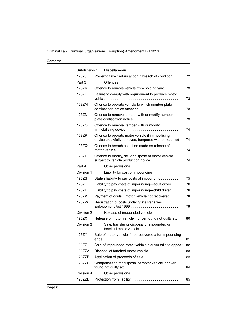| Subdivision 4 | Miscellaneous                                                                                                            |    |
|---------------|--------------------------------------------------------------------------------------------------------------------------|----|
| 123ZJ         | Power to take certain action if breach of condition                                                                      | 72 |
| Part 3        | Offences                                                                                                                 |    |
| 123ZK         | Offence to remove vehicle from holding yard                                                                              | 73 |
| 123ZL         | Failure to comply with requirement to produce motor<br>vehicle                                                           | 73 |
| 123ZM         | Offence to operate vehicle to which number plate<br>confiscation notice attached                                         | 73 |
| 123ZN         | Offence to remove, tamper with or modify number<br>plate confiscation notice                                             | 73 |
| 123ZO         | Offence to remove, tamper with or modify<br>immobilising device                                                          | 74 |
| 123ZP         | Offence to operate motor vehicle if immobilising<br>device unlawfully removed, tampered with or modified                 | 74 |
| 123ZQ         | Offence to breach condition made on release of<br>motor vehicle $\ldots, \ldots, \ldots, \ldots, \ldots, \ldots, \ldots$ | 74 |
| 123ZR         | Offence to modify, sell or dispose of motor vehicle<br>subject to vehicle production notice                              | 74 |
| Part 4        | Other provisions                                                                                                         |    |
| Division 1    | Liability for cost of impounding                                                                                         |    |
| 123ZS         | State's liability to pay costs of impounding                                                                             | 75 |
| 123ZT         | Liability to pay costs of impounding—adult driver                                                                        | 76 |
| 123ZU         | Liability to pay costs of impounding-child driver                                                                        | 76 |
| 123ZV         | Payment of costs if motor vehicle not recovered                                                                          | 78 |
| 123ZW         | Registration of costs under State Penalties                                                                              | 79 |
| Division 2    | Release of impounded vehicle                                                                                             |    |
| 123ZX         | Release of motor vehicle if driver found not guilty etc.                                                                 | 80 |
| Division 3    | Sale, transfer or disposal of impounded or<br>forfeited motor vehicle                                                    |    |
| 123ZY         | Sale of motor vehicle if not recovered after impounding<br>ends                                                          | 81 |
| 12377         | Sale of impounded motor vehicle if driver fails to appear                                                                | 82 |
| 123ZZA        | Disposal of forfeited motor vehicle                                                                                      | 83 |
| 123ZZB        | Application of proceeds of sale                                                                                          | 83 |
| 123ZZC        | Compensation for disposal of motor vehicle if driver<br>found not guilty etc.                                            | 84 |
| Division 4    | Other provisions                                                                                                         |    |
| 123ZZD        |                                                                                                                          | 85 |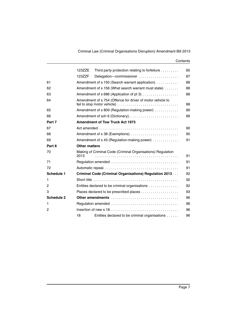|                   | 123ZZE               | Third party protection relating to forfeiture                    | 85 |  |  |  |  |  |
|-------------------|----------------------|------------------------------------------------------------------|----|--|--|--|--|--|
|                   | 123ZZF               | Delegation-commissioner                                          | 87 |  |  |  |  |  |
| 61                |                      | Amendment of s 150 (Search warrant application)                  | 88 |  |  |  |  |  |
| 62                |                      | Amendment of s 156 (What search warrant must state)<br>88        |    |  |  |  |  |  |
| 63                |                      | Amendment of s 686 (Application of pt 3)                         |    |  |  |  |  |  |
| 64                |                      | Amendment of s 754 (Offence for driver of motor vehicle to<br>88 |    |  |  |  |  |  |
| 65                |                      | Amendment of s 809 (Regulation-making power)                     | 89 |  |  |  |  |  |
| 66                |                      | Amendment of sch 6 (Dictionary)<br>89                            |    |  |  |  |  |  |
| Part 7            |                      | <b>Amendment of Tow Truck Act 1973</b>                           |    |  |  |  |  |  |
| 67                |                      |                                                                  | 90 |  |  |  |  |  |
| 68                |                      | Amendment of s 38 (Exemptions)                                   |    |  |  |  |  |  |
| 69                |                      | Amendment of s 43 (Regulation-making power)                      |    |  |  |  |  |  |
| Part 8            | <b>Other matters</b> |                                                                  |    |  |  |  |  |  |
| 70                | 2013                 | Making of Criminal Code (Criminal Organisations) Regulation      | 91 |  |  |  |  |  |
| 71                |                      |                                                                  | 91 |  |  |  |  |  |
| 72                |                      |                                                                  | 91 |  |  |  |  |  |
| <b>Schedule 1</b> |                      | Criminal Code (Criminal Organisations) Regulation 2013           | 92 |  |  |  |  |  |
| 1                 |                      |                                                                  | 92 |  |  |  |  |  |
| 2                 |                      | Entities declared to be criminal organisations                   | 92 |  |  |  |  |  |
| 3                 |                      | Places declared to be prescribed places                          | 93 |  |  |  |  |  |
| <b>Schedule 2</b> |                      | Other amendments                                                 | 96 |  |  |  |  |  |
| 1                 |                      |                                                                  | 96 |  |  |  |  |  |
| $\mathbf{2}$      |                      |                                                                  | 96 |  |  |  |  |  |
|                   | 18                   | Entities declared to be criminal organisations                   | 96 |  |  |  |  |  |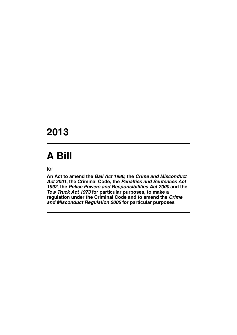### **2013**

# **A Bill**

for

**An Act to amend the** *Bail Act 1980***, the** *Crime and Misconduct Act 2001***, the Criminal Code, the** *Penalties and Sentences Act 1992***, the** *Police Powers and Responsibilities Act 2000* **and the**  *Tow Truck Act 1973* **for particular purposes, to make a regulation under the Criminal Code and to amend the** *Crime and Misconduct Regulation 2005* **for particular purposes**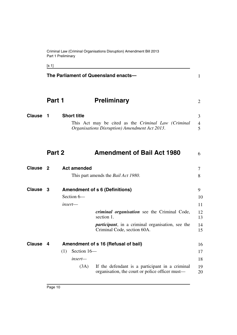Criminal Law (Criminal Organisations Disruption) Amendment Bill 2013 Part 1 Preliminary

[s 1]

<span id="page-11-5"></span><span id="page-11-4"></span><span id="page-11-3"></span><span id="page-11-2"></span><span id="page-11-1"></span><span id="page-11-0"></span>

|                 |        |     |                    | The Parliament of Queensland enacts-                                                                 | 1                        |
|-----------------|--------|-----|--------------------|------------------------------------------------------------------------------------------------------|--------------------------|
|                 | Part 1 |     |                    | <b>Preliminary</b>                                                                                   | $\overline{2}$           |
| <b>Clause</b>   | 1      |     | <b>Short title</b> | This Act may be cited as the Criminal Law (Criminal<br>Organisations Disruption) Amendment Act 2013. | 3<br>$\overline{4}$<br>5 |
|                 | Part 2 |     |                    | <b>Amendment of Bail Act 1980</b>                                                                    | 6                        |
| <b>Clause 2</b> |        |     | <b>Act amended</b> |                                                                                                      | 7                        |
|                 |        |     |                    | This part amends the <i>Bail Act 1980</i> .                                                          | 8                        |
| Clause 3        |        |     |                    | <b>Amendment of s 6 (Definitions)</b>                                                                | 9                        |
|                 |        |     | Section 6-         |                                                                                                      | 10                       |
|                 |        |     | insert—            |                                                                                                      | 11                       |
|                 |        |     |                    | criminal organisation see the Criminal Code,<br>section 1.                                           | 12<br>13                 |
|                 |        |     |                    | <i>participant</i> , in a criminal organisation, see the<br>Criminal Code, section 60A.              | 14<br>15                 |
| <b>Clause</b>   | 4      |     |                    | Amendment of s 16 (Refusal of bail)                                                                  | 16                       |
|                 |        | (1) | Section 16-        |                                                                                                      | 17                       |
|                 |        |     | $insert-$          |                                                                                                      | 18                       |
|                 |        |     | (3A)               | If the defendant is a participant in a criminal<br>organisation, the court or police officer must—   | 19<br>20                 |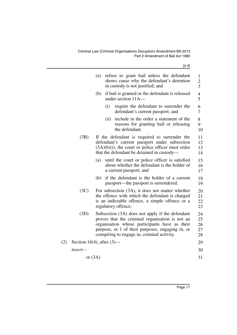Criminal Law (Criminal Organisations Disruption) Amendment Bill 2013 Part 2 Amendment of Bail Act 1980

[s 4]

|     |                              | (a) |                                                                                                                                                                                                                                                        |  |                | refuse to grant bail unless the defendant<br>shows cause why the defendant's detention<br>in custody is not justified; and |  |  |  | $\mathbf{1}$<br>$\overline{2}$<br>3 |
|-----|------------------------------|-----|--------------------------------------------------------------------------------------------------------------------------------------------------------------------------------------------------------------------------------------------------------|--|----------------|----------------------------------------------------------------------------------------------------------------------------|--|--|--|-------------------------------------|
|     |                              | (b) |                                                                                                                                                                                                                                                        |  |                | if bail is granted or the defendant is released<br>under section 11A-                                                      |  |  |  | 4<br>5                              |
|     |                              |     | (i)                                                                                                                                                                                                                                                    |  |                | require the defendant to surrender the<br>defendant's current passport; and                                                |  |  |  | 6<br>7                              |
|     |                              |     | (ii)                                                                                                                                                                                                                                                   |  | the defendant. | include in the order a statement of the<br>reasons for granting bail or releasing                                          |  |  |  | 8<br>9<br>10                        |
|     | (3B)                         |     | If the defendant is required to surrender the<br>defendant's current passport under subsection<br>$(3A)(b)(i)$ , the court or police officer must order<br>that the defendant be detained in custody-                                                  |  |                |                                                                                                                            |  |  |  | 11<br>12<br>13<br>14                |
|     |                              | (a) |                                                                                                                                                                                                                                                        |  |                | until the court or police officer is satisfied<br>about whether the defendant is the holder of<br>a current passport; and  |  |  |  | 15<br>16<br>17                      |
|     |                              | (b) |                                                                                                                                                                                                                                                        |  |                | if the defendant is the holder of a current<br>passport—the passport is surrendered.                                       |  |  |  | 18<br>19                            |
|     | (3C)                         |     | For subsection (3A), it does not matter whether<br>the offence with which the defendant is charged<br>is an indictable offence, a simple offence or a<br>regulatory offence.                                                                           |  |                |                                                                                                                            |  |  |  | 20<br>21<br>22<br>23                |
|     | (3D)                         |     | Subsection (3A) does not apply if the defendant<br>proves that the criminal organisation is not an<br>organisation whose participants have as their<br>purpose, or 1 of their purposes, engaging in, or<br>conspiring to engage in, criminal activity. |  |                |                                                                                                                            |  |  |  | 24<br>25<br>26<br>27<br>28          |
| (2) | Section 16(4), after $(3)$ — |     |                                                                                                                                                                                                                                                        |  |                |                                                                                                                            |  |  |  | 29                                  |
|     | insert—                      |     |                                                                                                                                                                                                                                                        |  |                |                                                                                                                            |  |  |  | 30                                  |
|     | or $(3A)$                    |     |                                                                                                                                                                                                                                                        |  |                |                                                                                                                            |  |  |  | 31                                  |
|     |                              |     |                                                                                                                                                                                                                                                        |  |                |                                                                                                                            |  |  |  |                                     |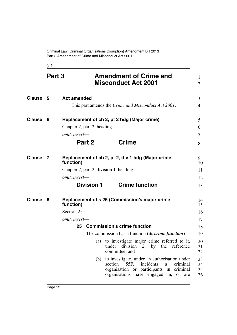<span id="page-13-1"></span><span id="page-13-0"></span>[s 5]

<span id="page-13-5"></span><span id="page-13-4"></span><span id="page-13-3"></span><span id="page-13-2"></span>

|                 | Part 3 | <b>Amendment of Crime and</b><br><b>Misconduct Act 2001</b>                                                                                                                                                                                                                                                                                                                                                                                                                                              | 1<br>2                                                                     |
|-----------------|--------|----------------------------------------------------------------------------------------------------------------------------------------------------------------------------------------------------------------------------------------------------------------------------------------------------------------------------------------------------------------------------------------------------------------------------------------------------------------------------------------------------------|----------------------------------------------------------------------------|
| <b>Clause 5</b> |        | <b>Act amended</b><br>This part amends the <i>Crime and Misconduct Act 2001</i> .                                                                                                                                                                                                                                                                                                                                                                                                                        | 3<br>$\overline{4}$                                                        |
| Clause          | - 6    | Replacement of ch 2, pt 2 hdg (Major crime)<br>Chapter 2, part 2, heading—<br>omit, insert-<br>Part 2<br><b>Crime</b>                                                                                                                                                                                                                                                                                                                                                                                    | 5<br>6<br>$\tau$<br>8                                                      |
| Clause          | - 7    | Replacement of ch 2, pt 2, div 1 hdg (Major crime<br>function)<br>Chapter 2, part 2, division 1, heading—<br>omit, insert-<br><b>Crime function</b><br>Division 1                                                                                                                                                                                                                                                                                                                                        | 9<br>10<br>11<br>12<br>13                                                  |
| Clause 8        |        | Replacement of s 25 (Commission's major crime<br>function)<br>Section 25-<br>omit, insert-<br>25 Commission's crime function<br>The commission has a function (its <i>crime function</i> )—<br>(a) to investigate major crime referred to it,<br>under division 2, by the reference<br>committee; and<br>to investigate, under an authorisation under<br>(b)<br>incidents<br>section<br>55F,<br>criminal<br>a<br>organisation or participants in criminal<br>organisations have engaged in,<br>or<br>are | 14<br>15<br>16<br>17<br>18<br>19<br>20<br>21<br>22<br>23<br>24<br>25<br>26 |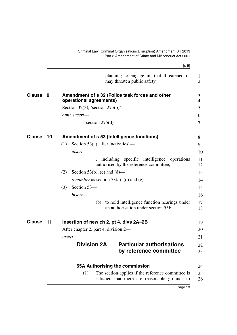<span id="page-14-4"></span><span id="page-14-3"></span><span id="page-14-2"></span><span id="page-14-1"></span><span id="page-14-0"></span>

|               |       | [s 9]                                                                                                      |                     |
|---------------|-------|------------------------------------------------------------------------------------------------------------|---------------------|
|               |       | planning to engage in, that threatened or<br>may threaten public safety.                                   | 1<br>$\overline{2}$ |
| <b>Clause</b> | 9     | Amendment of s 32 (Police task forces and other<br>operational agreements)                                 | 3<br>$\overline{4}$ |
|               |       | Section 32(3), 'section $275(b)$ '—                                                                        | 5                   |
|               |       | omit, insert-                                                                                              | 6                   |
|               |       | section $275(d)$                                                                                           | 7                   |
| <b>Clause</b> | 10    | Amendment of s 53 (Intelligence functions)                                                                 | 8                   |
|               |       | Section 53(a), after 'activities'—<br>(1)                                                                  | 9                   |
|               |       | insert—                                                                                                    | 10                  |
|               |       | including specific intelligence<br>operations<br>authorised by the reference committee,                    | 11<br>12            |
|               |       | (2)<br>Section 53(b), (c) and (d)—                                                                         | 13                  |
|               |       | <i>renumber</i> as section $53(c)$ , (d) and (e).                                                          | 14                  |
|               |       | Section 53-<br>(3)                                                                                         | 15                  |
|               |       | insert-                                                                                                    | 16                  |
|               |       | to hold intelligence function hearings under<br>(b)<br>an authorisation under section 55F;                 | 17<br>18            |
| <b>Clause</b> | $-11$ | Insertion of new ch 2, pt 4, divs 2A–2B                                                                    | 19                  |
|               |       | After chapter 2, part 4, division 2—                                                                       | 20                  |
|               |       | insert-                                                                                                    | 21                  |
|               |       | <b>Division 2A</b><br><b>Particular authorisations</b><br>by reference committee                           | 22<br>23            |
|               |       | 55A Authorising the commission                                                                             | 24                  |
|               |       | (1)<br>The section applies if the reference committee is<br>satisfied that there are reasonable grounds to | 25<br>26            |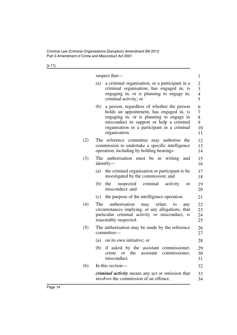[s 11]

|     | suspect that—                                                                                                                                                                                                                                         | $\mathbf{1}$                                            |
|-----|-------------------------------------------------------------------------------------------------------------------------------------------------------------------------------------------------------------------------------------------------------|---------------------------------------------------------|
|     | a criminal organisation, or a participant in a<br>(a)<br>criminal organisation, has engaged in, is<br>engaging in, or is planning to engage in,<br>criminal activity; or                                                                              | $\overline{2}$<br>$\mathfrak{Z}$<br>$\overline{4}$<br>5 |
|     | a person, regardless of whether the person<br>(b)<br>holds an appointment, has engaged in, is<br>engaging in, or is planning to engage in<br>misconduct to support or help a criminal<br>organisation or a participant in a criminal<br>organisation. | 6<br>$\tau$<br>8<br>9<br>10<br>11                       |
| (2) | The reference committee may authorise the<br>commission to undertake a specific intelligence<br>operation, including by holding hearings.                                                                                                             | 12<br>13<br>14                                          |
| (3) | The authorisation must be in writing<br>and<br>identify—                                                                                                                                                                                              | 15<br>16                                                |
|     | the criminal organisation or participant to be<br>(a)<br>investigated by the commission; and                                                                                                                                                          | 17<br>18                                                |
|     | (b)<br>the<br>suspected criminal activity<br>or<br>misconduct; and                                                                                                                                                                                    | 19<br>20                                                |
|     | the purpose of the intelligence operation.<br>(c)                                                                                                                                                                                                     | 21                                                      |
| (4) | authorisation<br>The<br>relate<br>may<br>to<br>any<br>circumstances implying, or any allegations, that<br>particular criminal activity or misconduct, is<br>reasonably suspected.                                                                     | 22<br>23<br>24<br>25                                    |
| (5) | The authorisation may be made by the reference<br>committee-                                                                                                                                                                                          | 26<br>27                                                |
|     | (a)<br>on its own initiative; or                                                                                                                                                                                                                      | 28                                                      |
|     | (b) if asked by the assistant commissioner,<br>or the<br>assistant commissioner,<br>crime<br>misconduct.                                                                                                                                              | 29<br>30<br>31                                          |
| (6) | In this section-                                                                                                                                                                                                                                      | 32                                                      |
|     | <i>criminal activity</i> means any act or omission that<br>involves the commission of an offence.                                                                                                                                                     | 33<br>34                                                |
|     |                                                                                                                                                                                                                                                       |                                                         |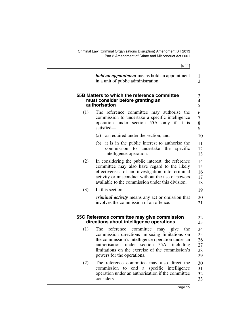<span id="page-16-0"></span>

|     | [s 11]                                                                                                                                                                                                                                                                                     |                                  |
|-----|--------------------------------------------------------------------------------------------------------------------------------------------------------------------------------------------------------------------------------------------------------------------------------------------|----------------------------------|
|     | <i>hold an appointment</i> means hold an appointment<br>in a unit of public administration.                                                                                                                                                                                                | $\mathbf{1}$<br>$\overline{2}$   |
|     | 55B Matters to which the reference committee<br>must consider before granting an<br>authorisation                                                                                                                                                                                          | 3<br>$\overline{4}$<br>5         |
| (1) | The reference committee may authorise the<br>commission to undertake a specific intelligence<br>operation under section 55A only if it is<br>satisfied-                                                                                                                                    | 6<br>7<br>8<br>9                 |
|     | as required under the section; and<br>(a)                                                                                                                                                                                                                                                  | 10                               |
|     | (b)<br>it is in the public interest to authorise the<br>commission to<br>undertake<br>the<br>specific<br>intelligence operation.                                                                                                                                                           | 11<br>12<br>13                   |
| (2) | In considering the public interest, the reference<br>committee may also have regard to the likely<br>effectiveness of an investigation into criminal<br>activity or misconduct without the use of powers<br>available to the commission under this division.                               | 14<br>15<br>16<br>17<br>18       |
| (3) | In this section—                                                                                                                                                                                                                                                                           | 19                               |
|     | <i>criminal activity</i> means any act or omission that<br>involves the commission of an offence.                                                                                                                                                                                          | 20<br>21                         |
|     | 55C Reference committee may give commission<br>directions about intelligence operations                                                                                                                                                                                                    | 22<br>23                         |
| (1) | committee<br>The<br>reference<br>may give<br>the<br>commission directions imposing limitations on<br>the commission's intelligence operation under an<br>under section 55A,<br>authorisation<br>including<br>limitations on the exercise of the commission's<br>powers for the operations. | 24<br>25<br>26<br>27<br>28<br>29 |

<span id="page-16-1"></span>(2) The reference committee may also direct the commission to end a specific intelligence operation under an authorisation if the committee considers— 30 31 32 33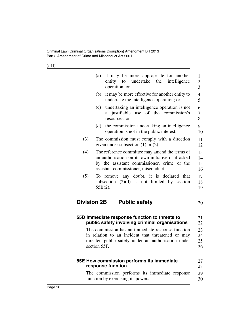[s 11]

|                    | it may be more appropriate for another<br>(a)<br>undertake<br>entity<br>the<br>intelligence<br>to<br>operation; or                                                                         | $\mathbf{1}$<br>$\overline{c}$<br>3 |
|--------------------|--------------------------------------------------------------------------------------------------------------------------------------------------------------------------------------------|-------------------------------------|
|                    | (b)<br>it may be more effective for another entity to<br>undertake the intelligence operation; or                                                                                          | $\overline{4}$<br>5                 |
|                    | undertaking an intelligence operation is not<br>(c)<br>a justifiable use of the commission's<br>resources; or                                                                              | 6<br>7<br>8                         |
|                    | the commission undertaking an intelligence<br>(d)<br>operation is not in the public interest.                                                                                              | 9<br>10                             |
| (3)                | The commission must comply with a direction<br>given under subsection $(1)$ or $(2)$ .                                                                                                     | 11<br>12                            |
| (4)                | The reference committee may amend the terms of<br>an authorisation on its own initiative or if asked<br>by the assistant commissioner, crime or the<br>assistant commissioner, misconduct. | 13<br>14<br>15<br>16                |
| (5)                | any doubt, it is declared that<br>To remove<br>subsection $(2)(d)$ is not limited by section<br>$55B(2)$ .                                                                                 | 17<br>18<br>19                      |
| <b>Division 2B</b> | <b>Public safety</b>                                                                                                                                                                       | 20                                  |
|                    | 55D Immediate response function to threats to<br>public safety involving criminal organisations                                                                                            | 21<br>22                            |
|                    | The commission has an immediate response function                                                                                                                                          | 23                                  |
|                    | in relation to an incident that threatened or may                                                                                                                                          | 24                                  |
|                    | threaten public safety under an authorisation under                                                                                                                                        | 25                                  |
|                    | section 55F.                                                                                                                                                                               | 26                                  |

<span id="page-17-2"></span><span id="page-17-1"></span><span id="page-17-0"></span>

| 55E How commission performs its immediate<br>response function                       |  |  |  |  |  |  |  |  |
|--------------------------------------------------------------------------------------|--|--|--|--|--|--|--|--|
| The commission performs its immediate response<br>function by exercising its powers— |  |  |  |  |  |  |  |  |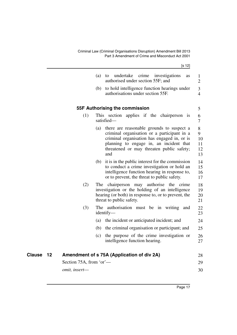<span id="page-18-1"></span><span id="page-18-0"></span>

|        |    |                         |     | [s 12]                                                                                                                                                                                                                                 |                                |
|--------|----|-------------------------|-----|----------------------------------------------------------------------------------------------------------------------------------------------------------------------------------------------------------------------------------------|--------------------------------|
|        |    |                         | (a) | undertake<br>crime<br>investigations<br>to<br>as<br>authorised under section 55F; and                                                                                                                                                  | 1<br>$\overline{2}$            |
|        |    |                         | (b) | to hold intelligence function hearings under<br>authorisations under section 55F.                                                                                                                                                      | 3<br>$\overline{4}$            |
|        |    |                         |     | 55F Authorising the commission                                                                                                                                                                                                         | 5                              |
|        |    | (1)                     |     | This section applies if the chairperson is<br>satisfied-                                                                                                                                                                               | 6<br>$\tau$                    |
|        |    |                         | (a) | there are reasonable grounds to suspect a<br>criminal organisation or a participant in a<br>criminal organisation has engaged in, or is<br>planning to engage in, an incident that<br>threatened or may threaten public safety;<br>and | 8<br>9<br>10<br>11<br>12<br>13 |
|        |    |                         | (b) | it is in the public interest for the commission<br>to conduct a crime investigation or hold an<br>intelligence function hearing in response to,<br>or to prevent, the threat to public safety.                                         | 14<br>15<br>16<br>17           |
|        |    | (2)                     |     | The chairperson may authorise the crime<br>investigation or the holding of an intelligence<br>hearing (or both) in response to, or to prevent, the<br>threat to public safety.                                                         | 18<br>19<br>20<br>21           |
|        |    | (3)                     |     | The authorisation must be in writing<br>and<br>identify—                                                                                                                                                                               | 22<br>23                       |
|        |    |                         | (a) | the incident or anticipated incident; and                                                                                                                                                                                              | 24                             |
|        |    |                         | (b) | the criminal organisation or participant; and                                                                                                                                                                                          | 25                             |
|        |    |                         | (c) | the purpose of the crime investigation or<br>intelligence function hearing.                                                                                                                                                            | 26<br>27                       |
| Clause | 12 |                         |     | Amendment of s 75A (Application of div 2A)                                                                                                                                                                                             | 28                             |
|        |    | Section 75A, from 'or'- |     |                                                                                                                                                                                                                                        | 29                             |
|        |    | omit, insert-           |     |                                                                                                                                                                                                                                        | 30                             |
|        |    |                         |     |                                                                                                                                                                                                                                        |                                |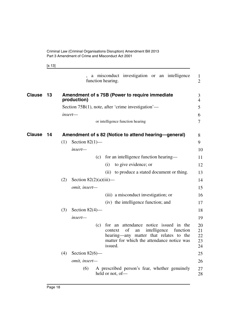[s 13]

<span id="page-19-1"></span><span id="page-19-0"></span>

|               |    | a misconduct investigation or an intelligence<br>function hearing.                                                                                                                                  | $\mathbf{1}$<br>$\overline{2}$ |
|---------------|----|-----------------------------------------------------------------------------------------------------------------------------------------------------------------------------------------------------|--------------------------------|
| <b>Clause</b> | 13 | Amendment of s 75B (Power to require immediate<br>production)                                                                                                                                       | 3<br>$\overline{4}$            |
|               |    | Section 75B(1), note, after 'crime investigation'—                                                                                                                                                  | 5                              |
|               |    | insert-                                                                                                                                                                                             | 6                              |
|               |    | or intelligence function hearing                                                                                                                                                                    | $\overline{7}$                 |
| <b>Clause</b> | 14 | Amendment of s 82 (Notice to attend hearing-general)                                                                                                                                                | 8                              |
|               |    | Section $82(1)$ —<br>(1)                                                                                                                                                                            | 9                              |
|               |    | $insert-$                                                                                                                                                                                           | 10                             |
|               |    | for an intelligence function hearing—<br>(c)                                                                                                                                                        | 11                             |
|               |    | to give evidence; or<br>(i)                                                                                                                                                                         | 12                             |
|               |    | (ii) to produce a stated document or thing.                                                                                                                                                         | 13                             |
|               |    | (2)<br>Section $82(2)(a)(iii)$ —                                                                                                                                                                    | 14                             |
|               |    | omit, insert-                                                                                                                                                                                       | 15                             |
|               |    | (iii) a misconduct investigation; or                                                                                                                                                                | 16                             |
|               |    | (iv) the intelligence function; and                                                                                                                                                                 | 17                             |
|               |    | (3)<br>Section $82(4)$ —                                                                                                                                                                            | 18                             |
|               |    | insert-                                                                                                                                                                                             | 19                             |
|               |    | for an attendance notice issued in the<br>(c)<br>of<br>intelligence<br>context<br>function<br>an<br>hearing—any matter that relates to the<br>matter for which the attendance notice was<br>issued. | 20<br>21<br>22<br>23<br>24     |
|               |    | (4)<br>Section $82(6)$ —                                                                                                                                                                            | 25                             |
|               |    | omit, insert-                                                                                                                                                                                       | 26                             |
|               |    | A prescribed person's fear, whether genuinely<br>(6)<br>held or not, of-                                                                                                                            | 27<br>28                       |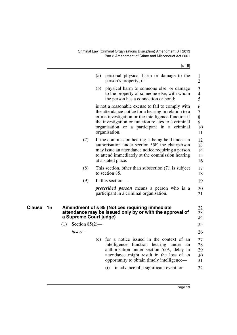[s 15]

<span id="page-20-0"></span>

|         | personal physical harm or damage to the<br>(a)<br>person's property; or                                                                                                                                                                                                                 | 1<br>$\overline{2}$                                                                                                                                       |
|---------|-----------------------------------------------------------------------------------------------------------------------------------------------------------------------------------------------------------------------------------------------------------------------------------------|-----------------------------------------------------------------------------------------------------------------------------------------------------------|
|         | (b) physical harm to someone else, or damage<br>to the property of someone else, with whom<br>the person has a connection or bond;                                                                                                                                                      | 3<br>$\overline{4}$<br>5                                                                                                                                  |
|         | is not a reasonable excuse to fail to comply with<br>the attendance notice for a hearing in relation to a<br>crime investigation or the intelligence function if<br>the investigation or function relates to a criminal<br>organisation or a participant in a criminal<br>organisation. | 6<br>$\overline{7}$<br>8<br>9<br>10<br>11                                                                                                                 |
| (7)     | If the commission hearing is being held under an<br>authorisation under section 55F, the chairperson<br>may issue an attendance notice requiring a person<br>to attend immediately at the commission hearing<br>at a stated place.                                                      | 12<br>13<br>14<br>15<br>16                                                                                                                                |
| (8)     | This section, other than subsection $(7)$ , is subject<br>to section 85.                                                                                                                                                                                                                | 17<br>18                                                                                                                                                  |
| (9)     | In this section-                                                                                                                                                                                                                                                                        | 19                                                                                                                                                        |
|         | <i>prescribed person</i> means a person who is a<br>participant in a criminal organisation.                                                                                                                                                                                             | 20<br>21                                                                                                                                                  |
|         |                                                                                                                                                                                                                                                                                         | 22<br>23<br>24                                                                                                                                            |
| (1)     |                                                                                                                                                                                                                                                                                         | 25                                                                                                                                                        |
| insert— |                                                                                                                                                                                                                                                                                         | 26                                                                                                                                                        |
|         | for a notice issued in the context of an<br>(c)<br>intelligence function hearing under<br>an<br>authorisation under section 55A, delay in<br>attendance might result in the loss of an<br>opportunity to obtain timely intelligence—<br>(i)<br>in advance of a significant event; or    | 27<br>28<br>29<br>30<br>31<br>32                                                                                                                          |
|         |                                                                                                                                                                                                                                                                                         | Amendment of s 85 (Notices requiring immediate<br>attendance may be issued only by or with the approval of<br>a Supreme Court judge)<br>Section $85(2)$ — |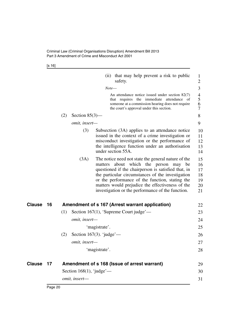[s 16]

<span id="page-21-1"></span><span id="page-21-0"></span>

|        |    |               |                              |               | (ii) that may help prevent a risk to public<br>safety.                                                                                                                                                                                                                                                                                                               | 1<br>$\overline{c}$                    |
|--------|----|---------------|------------------------------|---------------|----------------------------------------------------------------------------------------------------------------------------------------------------------------------------------------------------------------------------------------------------------------------------------------------------------------------------------------------------------------------|----------------------------------------|
|        |    |               |                              | Note—         |                                                                                                                                                                                                                                                                                                                                                                      | 3                                      |
|        |    |               |                              |               | An attendance notice issued under section $82(7)$<br>that requires the immediate attendance of<br>someone at a commission hearing does not require<br>the court's approval under this section.                                                                                                                                                                       | 4<br>5<br>6<br>7                       |
|        |    | (2)           | Section $85(3)$ —            |               |                                                                                                                                                                                                                                                                                                                                                                      | 8                                      |
|        |    |               | omit, insert-                |               |                                                                                                                                                                                                                                                                                                                                                                      | 9                                      |
|        |    |               | (3)                          |               | Subsection (3A) applies to an attendance notice<br>issued in the context of a crime investigation or<br>misconduct investigation or the performance of<br>the intelligence function under an authorisation<br>under section 55A.                                                                                                                                     | 10<br>11<br>12<br>13<br>14             |
|        |    |               | (3A)                         |               | The notice need not state the general nature of the<br>matters about which the person may be<br>questioned if the chairperson is satisfied that, in<br>the particular circumstances of the investigation<br>or the performance of the function, stating the<br>matters would prejudice the effectiveness of the<br>investigation or the performance of the function. | 15<br>16<br>17<br>18<br>19<br>20<br>21 |
| Clause | 16 |               |                              |               | Amendment of s 167 (Arrest warrant application)                                                                                                                                                                                                                                                                                                                      | 22                                     |
|        |    | (1)           |                              |               | Section 167(1), 'Supreme Court judge'—                                                                                                                                                                                                                                                                                                                               | 23                                     |
|        |    |               | omit, insert-                |               |                                                                                                                                                                                                                                                                                                                                                                      | 24                                     |
|        |    |               |                              | 'magistrate'. |                                                                                                                                                                                                                                                                                                                                                                      | 25                                     |
|        |    | (2)           | Section 167(3). 'judge'—     |               |                                                                                                                                                                                                                                                                                                                                                                      | 26                                     |
|        |    |               | omit, insert-                |               |                                                                                                                                                                                                                                                                                                                                                                      |                                        |
|        |    |               |                              |               |                                                                                                                                                                                                                                                                                                                                                                      | 27                                     |
|        |    |               |                              | 'magistrate'. |                                                                                                                                                                                                                                                                                                                                                                      | 28                                     |
| Clause | 17 |               |                              |               | Amendment of s 168 (Issue of arrest warrant)                                                                                                                                                                                                                                                                                                                         | 29                                     |
|        |    |               | Section 168 $(1)$ , 'judge'— |               |                                                                                                                                                                                                                                                                                                                                                                      | 30                                     |
|        |    | omit, insert- |                              |               |                                                                                                                                                                                                                                                                                                                                                                      | 31                                     |
|        |    |               |                              |               |                                                                                                                                                                                                                                                                                                                                                                      |                                        |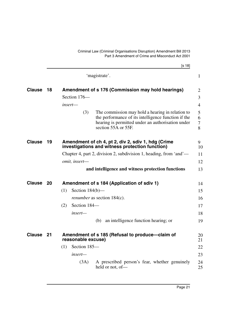<span id="page-22-3"></span><span id="page-22-2"></span><span id="page-22-1"></span><span id="page-22-0"></span>

|               |    | [s 18]                                                                                                                                                                                     |                       |
|---------------|----|--------------------------------------------------------------------------------------------------------------------------------------------------------------------------------------------|-----------------------|
|               |    | 'magistrate'.                                                                                                                                                                              | $\mathbf{1}$          |
| <b>Clause</b> | 18 | Amendment of s 176 (Commission may hold hearings)                                                                                                                                          | $\overline{2}$        |
|               |    | Section 176-                                                                                                                                                                               | 3                     |
|               |    | insert—                                                                                                                                                                                    | $\overline{4}$        |
|               |    | (3)<br>The commission may hold a hearing in relation to<br>the performance of its intelligence function if the<br>hearing is permitted under an authorisation under<br>section 55A or 55F. | 5<br>6<br>$\tau$<br>8 |
| <b>Clause</b> | 19 | Amendment of ch 4, pt 2, div 2, sdiv 1, hdg (Crime<br>investigations and witness protection function)                                                                                      | 9<br>10               |
|               |    | Chapter 4, part 2, division 2, subdivision 1, heading, from 'and'—                                                                                                                         | 11                    |
|               |    | omit, insert-                                                                                                                                                                              | 12                    |
|               |    | and intelligence and witness protection functions                                                                                                                                          | 13                    |
| <b>Clause</b> | 20 | Amendment of s 184 (Application of sdiv 1)                                                                                                                                                 | 14                    |
|               |    | (1)<br>Section $184(b)$ —                                                                                                                                                                  | 15                    |
|               |    | <i>renumber</i> as section $184(c)$ .                                                                                                                                                      | 16                    |
|               |    | Section 184-<br>(2)                                                                                                                                                                        | 17                    |
|               |    | $insert-$                                                                                                                                                                                  | 18                    |
|               |    | (b) an intelligence function hearing; or                                                                                                                                                   | 19                    |
| <b>Clause</b> | 21 | Amendment of s 185 (Refusal to produce-claim of<br>reasonable excuse)                                                                                                                      | 20<br>21              |
|               |    | Section 185-<br>(1)                                                                                                                                                                        | 22                    |
|               |    | insert—                                                                                                                                                                                    | 23                    |
|               |    | (3A)<br>A prescribed person's fear, whether genuinely<br>held or not, of-                                                                                                                  | 24<br>25              |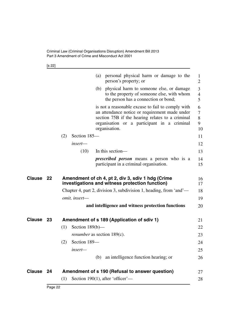[s 22]

<span id="page-23-2"></span><span id="page-23-1"></span><span id="page-23-0"></span>

|                  |    | (a) personal physical harm or damage to the<br>person's property; or                                                                                                                                                    | 1<br>$\overline{2}$      |
|------------------|----|-------------------------------------------------------------------------------------------------------------------------------------------------------------------------------------------------------------------------|--------------------------|
|                  |    | physical harm to someone else, or damage<br>(b)<br>to the property of someone else, with whom<br>the person has a connection or bond;                                                                                   | 3<br>$\overline{4}$<br>5 |
|                  |    | is not a reasonable excuse to fail to comply with<br>an attendance notice or requirement made under<br>section 75B if the hearing relates to a criminal<br>organisation or a participant in a criminal<br>organisation. | 6<br>7<br>8<br>9<br>10   |
|                  |    | Section 185-<br>(2)                                                                                                                                                                                                     | 11                       |
|                  |    | insert—                                                                                                                                                                                                                 | 12                       |
|                  |    | (10)<br>In this section-                                                                                                                                                                                                | 13                       |
|                  |    | <i>prescribed person</i> means a person who is a<br>participant in a criminal organisation.                                                                                                                             | 14<br>15                 |
| Clause           | 22 | Amendment of ch 4, pt 2, div 3, sdiv 1 hdg (Crime<br>investigations and witness protection function)                                                                                                                    | 16<br>17                 |
|                  |    | Chapter 4, part 2, division 3, subdivision 1, heading, from 'and'—                                                                                                                                                      | 18                       |
|                  |    | omit, insert-                                                                                                                                                                                                           | 19                       |
|                  |    | and intelligence and witness protection functions                                                                                                                                                                       | 20                       |
| <b>Clause 23</b> |    | Amendment of s 189 (Application of sdiv 1)                                                                                                                                                                              | 21                       |
|                  |    | (1)<br>Section $189(b)$ —                                                                                                                                                                                               | 22                       |
|                  |    | <i>renumber</i> as section 189(c).                                                                                                                                                                                      | 23                       |
|                  |    | Section 189-<br>(2)                                                                                                                                                                                                     | 24                       |
|                  |    | insert-                                                                                                                                                                                                                 | 25                       |
|                  |    | (b) an intelligence function hearing; or                                                                                                                                                                                | 26                       |
| Clause           | 24 | Amendment of s 190 (Refusal to answer question)                                                                                                                                                                         | 27                       |
|                  |    | Section 190(1), after 'officer'—<br>(1)                                                                                                                                                                                 | 28                       |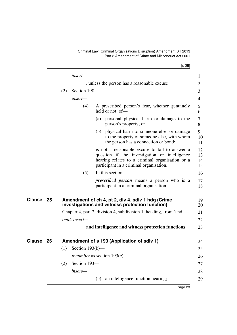[s 25]

<span id="page-24-1"></span><span id="page-24-0"></span>

|        |    |     | insert-                                     |     |                                                                                                                                                                                               | $\mathbf{1}$         |  |
|--------|----|-----|---------------------------------------------|-----|-----------------------------------------------------------------------------------------------------------------------------------------------------------------------------------------------|----------------------|--|
|        |    |     | , unless the person has a reasonable excuse |     |                                                                                                                                                                                               |                      |  |
|        |    | (2) | Section 190-                                |     |                                                                                                                                                                                               | 3                    |  |
|        |    |     | insert-                                     |     |                                                                                                                                                                                               | $\overline{4}$       |  |
|        |    |     | (4)                                         |     | A prescribed person's fear, whether genuinely<br>held or not, of-                                                                                                                             | 5<br>6               |  |
|        |    |     |                                             |     | (a) personal physical harm or damage to the<br>person's property; or                                                                                                                          | 7<br>8               |  |
|        |    |     |                                             |     | (b) physical harm to someone else, or damage<br>to the property of someone else, with whom<br>the person has a connection or bond;                                                            | 9<br>10<br>11        |  |
|        |    |     |                                             |     | is not a reasonable excuse to fail to answer a<br>question if the investigation or intelligence<br>hearing relates to a criminal organisation or a<br>participant in a criminal organisation. | 12<br>13<br>14<br>15 |  |
|        |    |     | (5)                                         |     | In this section—                                                                                                                                                                              | 16                   |  |
|        |    |     |                                             |     | <i>prescribed person</i> means a person who is a<br>participant in a criminal organisation.                                                                                                   | 17<br>18             |  |
| Clause | 25 |     |                                             |     | Amendment of ch 4, pt 2, div 4, sdiv 1 hdg (Crime<br>investigations and witness protection function)                                                                                          | 19<br>20             |  |
|        |    |     |                                             |     | Chapter 4, part 2, division 4, subdivision 1, heading, from 'and'—                                                                                                                            | 21                   |  |
|        |    |     | omit, insert-                               |     |                                                                                                                                                                                               | 22                   |  |
|        |    |     |                                             |     | and intelligence and witness protection functions                                                                                                                                             | 23                   |  |
| Clause | 26 |     |                                             |     | Amendment of s 193 (Application of sdiv 1)                                                                                                                                                    | 24                   |  |
|        |    |     | $(1)$ Section 193(b)-                       |     |                                                                                                                                                                                               | 25                   |  |
|        |    |     |                                             |     | renumber as section 193(c).                                                                                                                                                                   | 26                   |  |
|        |    | (2) | Section 193-                                |     |                                                                                                                                                                                               | 27                   |  |
|        |    |     | insert-                                     |     |                                                                                                                                                                                               | 28                   |  |
|        |    |     |                                             | (b) | an intelligence function hearing;                                                                                                                                                             | 29                   |  |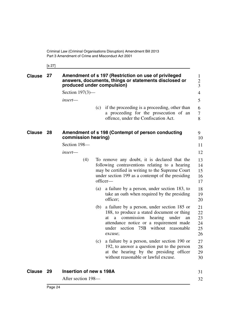<span id="page-25-0"></span>[s 27]

<span id="page-25-1"></span>

| <b>Clause</b> | 27   | Amendment of s 197 (Restriction on use of privileged<br>answers, documents, things or statements disclosed or<br>produced under compulsion) |     |                                                                                                                                                                                                                                               |                                  |
|---------------|------|---------------------------------------------------------------------------------------------------------------------------------------------|-----|-----------------------------------------------------------------------------------------------------------------------------------------------------------------------------------------------------------------------------------------------|----------------------------------|
|               |      | Section $197(3)$ —                                                                                                                          |     |                                                                                                                                                                                                                                               | 4                                |
|               |      | insert—                                                                                                                                     |     |                                                                                                                                                                                                                                               | 5                                |
|               |      |                                                                                                                                             | (c) | if the proceeding is a proceeding, other than<br>a proceeding for the prosecution of an<br>offence, under the Confiscation Act.                                                                                                               | 6<br>$\tau$<br>8                 |
| Clause 28     |      | commission hearing)                                                                                                                         |     | Amendment of s 198 (Contempt of person conducting                                                                                                                                                                                             | 9<br>10                          |
|               |      | Section 198-                                                                                                                                |     |                                                                                                                                                                                                                                               | 11                               |
|               |      | insert—                                                                                                                                     |     |                                                                                                                                                                                                                                               | 12                               |
|               |      | (4)                                                                                                                                         |     | To remove any doubt, it is declared that the<br>following contraventions relating to a hearing<br>may be certified in writing to the Supreme Court<br>under section 199 as a contempt of the presiding<br>officer-                            | 13<br>14<br>15<br>16<br>17       |
|               |      |                                                                                                                                             | (a) | a failure by a person, under section 183, to<br>take an oath when required by the presiding<br>officer;                                                                                                                                       | 18<br>19<br>20                   |
|               |      |                                                                                                                                             | (b) | a failure by a person, under section 185 or<br>188, to produce a stated document or thing<br>commission<br>hearing<br>under<br>at<br>a<br>an<br>attendance notice or a requirement made<br>without reasonable<br>under section 75B<br>excuse; | 21<br>22<br>23<br>24<br>25<br>26 |
|               |      |                                                                                                                                             | (c) | a failure by a person, under section 190 or<br>192, to answer a question put to the person<br>at the hearing by the presiding officer<br>without reasonable or lawful excuse.                                                                 | 27<br>28<br>29<br>30             |
| <b>Clause</b> | - 29 | Insertion of new s 198A                                                                                                                     |     |                                                                                                                                                                                                                                               | 31                               |
|               |      | After section 198—                                                                                                                          |     |                                                                                                                                                                                                                                               | 32                               |

<span id="page-25-2"></span>After section 198—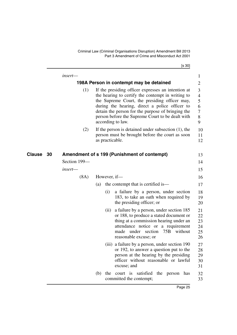[s 30]

<span id="page-26-1"></span><span id="page-26-0"></span>

|              | insert-      |     |                                                                                                                                                                                                                                                                                                                                          | 1                                            |
|--------------|--------------|-----|------------------------------------------------------------------------------------------------------------------------------------------------------------------------------------------------------------------------------------------------------------------------------------------------------------------------------------------|----------------------------------------------|
|              |              |     | 198A Person in contempt may be detained                                                                                                                                                                                                                                                                                                  | $\overline{2}$                               |
|              | (1)          |     | If the presiding officer expresses an intention at<br>the hearing to certify the contempt in writing to<br>the Supreme Court, the presiding officer may,<br>during the hearing, direct a police officer to<br>detain the person for the purpose of bringing the<br>person before the Supreme Court to be dealt with<br>according to law. | 3<br>$\overline{4}$<br>5<br>6<br>7<br>8<br>9 |
|              | (2)          |     | If the person is detained under subsection $(1)$ , the<br>person must be brought before the court as soon<br>as practicable.                                                                                                                                                                                                             | 10<br>11<br>12                               |
| Clause<br>30 |              |     | Amendment of s 199 (Punishment of contempt)                                                                                                                                                                                                                                                                                              | 13                                           |
|              | Section 199- |     |                                                                                                                                                                                                                                                                                                                                          | 14                                           |
|              | insert—      |     |                                                                                                                                                                                                                                                                                                                                          | 15                                           |
|              | (8A)         |     | However, if-                                                                                                                                                                                                                                                                                                                             | 16                                           |
|              |              | (a) | the contempt that is certified is—                                                                                                                                                                                                                                                                                                       | 17                                           |
|              |              |     | (i)<br>a failure by a person, under section<br>183, to take an oath when required by<br>the presiding officer; or                                                                                                                                                                                                                        | 18<br>19<br>20                               |
|              |              |     | a failure by a person, under section 185<br>(ii)<br>or 188, to produce a stated document or<br>thing at a commission hearing under an<br>attendance notice or a requirement<br>made under section 75B<br>without<br>reasonable excuse; or                                                                                                | 21<br>22<br>23<br>24<br>25<br>26             |
|              |              |     | (iii) a failure by a person, under section 190<br>or 192, to answer a question put to the<br>person at the hearing by the presiding<br>officer without reasonable or lawful<br>excuse; and                                                                                                                                               | 27<br>28<br>29<br>30<br>31                   |
|              |              | (b) | the<br>court is satisfied the person has<br>committed the contempt;                                                                                                                                                                                                                                                                      | 32<br>33                                     |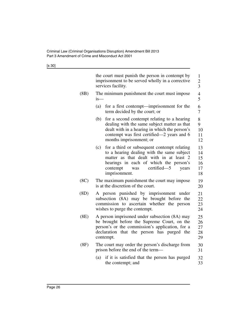[s 30]

|      | the court must punish the person in contempt by<br>imprisonment to be served wholly in a corrective<br>services facility.                                                                                                                         | 1<br>$\overline{c}$<br>$\overline{3}$ |
|------|---------------------------------------------------------------------------------------------------------------------------------------------------------------------------------------------------------------------------------------------------|---------------------------------------|
| (BB) | The minimum punishment the court must impose<br>$i s$ —                                                                                                                                                                                           | $\overline{4}$<br>5                   |
|      | for a first contempt—imprisonment for the<br>(a)<br>term decided by the court; or                                                                                                                                                                 | 6<br>7                                |
|      | (b)<br>for a second contempt relating to a hearing<br>dealing with the same subject matter as that<br>dealt with in a hearing in which the person's<br>contempt was first certified—2 years and 6<br>months imprisonment; or                      | 8<br>9<br>10<br>11<br>12              |
|      | (c)<br>for a third or subsequent contempt relating<br>to a hearing dealing with the same subject<br>matter as that dealt with in at least 2<br>hearings in each of which the person's<br>certified-5<br>contempt<br>was<br>years<br>imprisonment. | 13<br>14<br>15<br>16<br>17<br>18      |
| (8C) | The maximum punishment the court may impose.<br>is at the discretion of the court.                                                                                                                                                                | 19<br>20                              |
| (8D) | A person punished by imprisonment under<br>subsection (8A) may be brought before the<br>commission to ascertain whether the person<br>wishes to purge the contempt.                                                                               | 21<br>22<br>23<br>24                  |
| (8E) | A person imprisoned under subsection (8A) may<br>be brought before the Supreme Court, on the<br>person's or the commission's application, for a<br>that the person has purged the<br>declaration<br>contempt.                                     | 25<br>26<br>27<br>28<br>29            |
| (8F) | The court may order the person's discharge from<br>prison before the end of the term-                                                                                                                                                             | 30<br>31                              |
|      | if it is satisfied that the person has purged<br>(a)<br>the contempt; and                                                                                                                                                                         | 32<br>33                              |
|      |                                                                                                                                                                                                                                                   |                                       |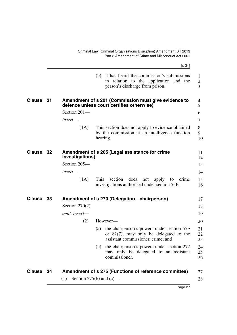<span id="page-28-3"></span><span id="page-28-2"></span><span id="page-28-1"></span><span id="page-28-0"></span>

|               |      |                    | [s 31]                                                                                                                               |                                     |
|---------------|------|--------------------|--------------------------------------------------------------------------------------------------------------------------------------|-------------------------------------|
|               |      |                    | (b) it has heard the commission's submissions<br>in relation to the application and the<br>person's discharge from prison.           | $\mathbf{1}$<br>$\overline{c}$<br>3 |
| <b>Clause</b> | - 31 |                    | Amendment of s 201 (Commission must give evidence to<br>defence unless court certifies otherwise)                                    | 4<br>5                              |
|               |      | Section 201-       |                                                                                                                                      | 6                                   |
|               |      | $insert$ —         |                                                                                                                                      | 7                                   |
|               |      | (1A)               | This section does not apply to evidence obtained<br>by the commission at an intelligence function<br>hearing.                        | 8<br>9<br>10                        |
| Clause 32     |      | investigations)    | Amendment of s 205 (Legal assistance for crime                                                                                       | 11<br>12                            |
|               |      | Section 205-       |                                                                                                                                      | 13                                  |
|               |      | insert-            |                                                                                                                                      | 14                                  |
|               |      | (1A)               | This<br>section<br>does<br>not<br>apply<br>to<br>crime<br>investigations authorised under section 55F.                               | 15<br>16                            |
| <b>Clause</b> | - 33 |                    | Amendment of s 270 (Delegation-chairperson)                                                                                          | 17                                  |
|               |      | Section $270(2)$ — |                                                                                                                                      | 18                                  |
|               |      | omit, insert-      |                                                                                                                                      | 19                                  |
|               |      | (2)                | However-                                                                                                                             | 20                                  |
|               |      |                    | the chairperson's powers under section 55F<br>(a)<br>or $82(7)$ , may only be delegated to the<br>assistant commissioner, crime; and | 21<br>22<br>23                      |
|               |      |                    | the chairperson's powers under section 272<br>(b)<br>may only be delegated to an assistant<br>commissioner.                          | 24<br>25<br>26                      |
| Clause 34     |      |                    | Amendment of s 275 (Functions of reference committee)                                                                                | 27                                  |
|               |      | (1)                | Section 275(b) and $(c)$ —                                                                                                           | 28                                  |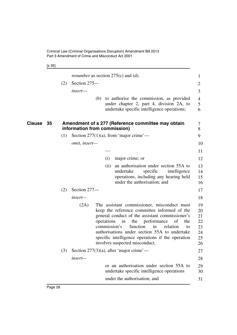[s 35]

<span id="page-29-0"></span>

|              |     |                              |                            |      | <i>renumber</i> as section $275(c)$ and (d).                                                                                                                                                                                                                                                                                                                        | 1                                            |
|--------------|-----|------------------------------|----------------------------|------|---------------------------------------------------------------------------------------------------------------------------------------------------------------------------------------------------------------------------------------------------------------------------------------------------------------------------------------------------------------------|----------------------------------------------|
|              | (2) | Section 275-                 |                            |      |                                                                                                                                                                                                                                                                                                                                                                     | 2                                            |
|              |     | insert—                      |                            |      |                                                                                                                                                                                                                                                                                                                                                                     | 3                                            |
|              |     |                              |                            |      | (b) to authorise the commission, as provided<br>under chapter 2, part 4, division 2A, to<br>undertake specific intelligence operations;                                                                                                                                                                                                                             | $\overline{4}$<br>5<br>6                     |
| Clause<br>35 |     | information from commission) |                            |      | Amendment of s 277 (Reference committee may obtain                                                                                                                                                                                                                                                                                                                  | 7<br>8                                       |
|              | (1) |                              |                            |      | Section $277(1)(a)$ , from 'major crime'—                                                                                                                                                                                                                                                                                                                           | 9                                            |
|              |     | omit, insert-                |                            |      |                                                                                                                                                                                                                                                                                                                                                                     | 10                                           |
|              |     |                              |                            |      |                                                                                                                                                                                                                                                                                                                                                                     | 11                                           |
|              |     |                              |                            | (i)  | major crime; or                                                                                                                                                                                                                                                                                                                                                     | 12                                           |
|              |     |                              |                            | (ii) | an authorisation under section 55A to<br>undertake<br>specific<br>intelligence<br>operations, including any hearing held<br>under the authorisation; and                                                                                                                                                                                                            | 13<br>14<br>15<br>16                         |
|              | (2) | Section 277-                 |                            |      |                                                                                                                                                                                                                                                                                                                                                                     | 17                                           |
|              |     | insert—                      |                            |      |                                                                                                                                                                                                                                                                                                                                                                     | 18                                           |
|              |     | (2A)                         | operations<br>commission's |      | The assistant commissioner, misconduct must<br>keep the reference committee informed of the<br>general conduct of the assistant commissioner's<br>performance<br>in<br>the<br>of<br>the<br>function<br>in<br>relation<br>to<br>authorisations under section 55A to undertake<br>specific intelligence operations if the operation<br>involves suspected misconduct. | 19<br>20<br>21<br>22<br>23<br>24<br>25<br>26 |
|              | (3) |                              |                            |      | Section $277(3)(a)$ , after 'major crime'—                                                                                                                                                                                                                                                                                                                          | 27                                           |
|              |     | insert-                      |                            |      |                                                                                                                                                                                                                                                                                                                                                                     | 28                                           |
|              |     |                              |                            |      | or an authorisation under section 55A to<br>undertake specific intelligence operations                                                                                                                                                                                                                                                                              | 29<br>30                                     |
|              |     |                              |                            |      | under the authorisation; and                                                                                                                                                                                                                                                                                                                                        | 31                                           |
|              |     |                              |                            |      |                                                                                                                                                                                                                                                                                                                                                                     |                                              |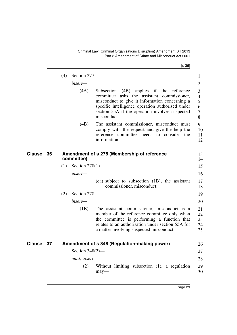[s 36]

<span id="page-30-1"></span><span id="page-30-0"></span>

|        |    | (4) | Section 277-       |                                                                                                                                                                                                                                                                            | $\mathbf{1}$                            |
|--------|----|-----|--------------------|----------------------------------------------------------------------------------------------------------------------------------------------------------------------------------------------------------------------------------------------------------------------------|-----------------------------------------|
|        |    |     | insert—            |                                                                                                                                                                                                                                                                            | $\overline{2}$                          |
|        |    |     | (4A)               | Subsection<br>(4B)<br>applies if the<br>reference<br>committee<br>asks the assistant commissioner,<br>misconduct to give it information concerning a<br>specific intelligence operation authorised under<br>section 55A if the operation involves suspected<br>misconduct. | 3<br>$\overline{4}$<br>5<br>6<br>7<br>8 |
|        |    |     | (4B)               | The assistant commissioner, misconduct must<br>comply with the request and give the help the<br>reference committee needs to consider the<br>information.                                                                                                                  | 9<br>10<br>11<br>12                     |
| Clause | 36 |     | committee)         | Amendment of s 278 (Membership of reference                                                                                                                                                                                                                                | 13<br>14                                |
|        |    | (1) | Section $278(1)$ — |                                                                                                                                                                                                                                                                            | 15                                      |
|        |    |     | insert—            |                                                                                                                                                                                                                                                                            | 16                                      |
|        |    |     |                    | (ea) subject to subsection (1B), the assistant<br>commissioner, misconduct;                                                                                                                                                                                                | 17<br>18                                |
|        |    | (2) | Section 278-       |                                                                                                                                                                                                                                                                            | 19                                      |
|        |    |     | insert—            |                                                                                                                                                                                                                                                                            | 20                                      |
|        |    |     | (1B)               | The assistant commissioner, misconduct is a<br>member of the reference committee only when<br>the committee is performing a function that<br>relates to an authorisation under section 55A for<br>a matter involving suspected misconduct.                                 | 21<br>22<br>23<br>24<br>25              |
| Clause | 37 |     |                    | Amendment of s 348 (Regulation-making power)                                                                                                                                                                                                                               | 26                                      |
|        |    |     | Section $348(2)$ — |                                                                                                                                                                                                                                                                            | 27                                      |
|        |    |     | omit, insert-      |                                                                                                                                                                                                                                                                            | 28                                      |
|        |    |     | (2)                | Without limiting subsection (1), a regulation<br>$may$ —                                                                                                                                                                                                                   | 29<br>30                                |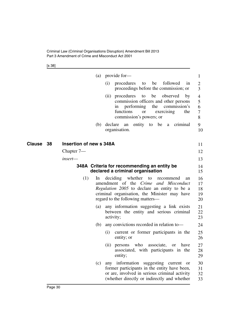[s 38]

<span id="page-31-1"></span><span id="page-31-0"></span>

| (a) provide for-<br>followed<br>procedures<br>be<br>(i)<br>to<br>in<br>proceedings before the commission; or<br>(ii) procedures<br>be<br>observed<br>to<br>by<br>commission officers and other persons<br>the<br>performing<br>commission's<br>1n<br>functions<br>exercising<br><b>or</b><br>the<br>commission's powers; or<br>declare<br>entity to<br>be a criminal<br>(b)<br>an<br>organisation.<br><b>Insertion of new s 348A</b><br>Clause<br>38<br>Chapter $7-$<br>insert—<br>348A Criteria for recommending an entity be<br>declared a criminal organisation<br>(1)<br>deciding whether to recommend<br>$\ln$<br>an<br>amendment of the Crime and Misconduct<br>Regulation 2005 to declare an entity to be a<br>criminal organisation, the Minister may have<br>regard to the following matters—<br>any information suggesting a link exists<br>(a)<br>between the entity and serious criminal<br>activity;<br>any convictions recorded in relation to-<br>(b)<br>current or former participants in the<br>(i)<br>entity; or<br>(ii) persons who associate,<br>or have<br>associated, with participants in the<br>entity;<br>any<br>- or |                            |                                |     |  |
|------------------------------------------------------------------------------------------------------------------------------------------------------------------------------------------------------------------------------------------------------------------------------------------------------------------------------------------------------------------------------------------------------------------------------------------------------------------------------------------------------------------------------------------------------------------------------------------------------------------------------------------------------------------------------------------------------------------------------------------------------------------------------------------------------------------------------------------------------------------------------------------------------------------------------------------------------------------------------------------------------------------------------------------------------------------------------------------------------------------------------------------------|----------------------------|--------------------------------|-----|--|
|                                                                                                                                                                                                                                                                                                                                                                                                                                                                                                                                                                                                                                                                                                                                                                                                                                                                                                                                                                                                                                                                                                                                                | 1                          |                                |     |  |
|                                                                                                                                                                                                                                                                                                                                                                                                                                                                                                                                                                                                                                                                                                                                                                                                                                                                                                                                                                                                                                                                                                                                                | 2<br>3                     |                                |     |  |
|                                                                                                                                                                                                                                                                                                                                                                                                                                                                                                                                                                                                                                                                                                                                                                                                                                                                                                                                                                                                                                                                                                                                                | 4<br>5<br>6<br>7<br>8      |                                |     |  |
|                                                                                                                                                                                                                                                                                                                                                                                                                                                                                                                                                                                                                                                                                                                                                                                                                                                                                                                                                                                                                                                                                                                                                | 9<br>10                    |                                |     |  |
|                                                                                                                                                                                                                                                                                                                                                                                                                                                                                                                                                                                                                                                                                                                                                                                                                                                                                                                                                                                                                                                                                                                                                | 11                         |                                |     |  |
|                                                                                                                                                                                                                                                                                                                                                                                                                                                                                                                                                                                                                                                                                                                                                                                                                                                                                                                                                                                                                                                                                                                                                | 12                         |                                |     |  |
|                                                                                                                                                                                                                                                                                                                                                                                                                                                                                                                                                                                                                                                                                                                                                                                                                                                                                                                                                                                                                                                                                                                                                | 13                         |                                |     |  |
|                                                                                                                                                                                                                                                                                                                                                                                                                                                                                                                                                                                                                                                                                                                                                                                                                                                                                                                                                                                                                                                                                                                                                | 14<br>15                   |                                |     |  |
|                                                                                                                                                                                                                                                                                                                                                                                                                                                                                                                                                                                                                                                                                                                                                                                                                                                                                                                                                                                                                                                                                                                                                | 16<br>17<br>18<br>19<br>20 |                                |     |  |
|                                                                                                                                                                                                                                                                                                                                                                                                                                                                                                                                                                                                                                                                                                                                                                                                                                                                                                                                                                                                                                                                                                                                                | 21<br>22<br>23             |                                |     |  |
|                                                                                                                                                                                                                                                                                                                                                                                                                                                                                                                                                                                                                                                                                                                                                                                                                                                                                                                                                                                                                                                                                                                                                | 24                         |                                |     |  |
|                                                                                                                                                                                                                                                                                                                                                                                                                                                                                                                                                                                                                                                                                                                                                                                                                                                                                                                                                                                                                                                                                                                                                | 25<br>26                   |                                |     |  |
|                                                                                                                                                                                                                                                                                                                                                                                                                                                                                                                                                                                                                                                                                                                                                                                                                                                                                                                                                                                                                                                                                                                                                | 27<br>28<br>29             |                                |     |  |
| former participants in the entity have been,<br>or are, involved in serious criminal activity<br>(whether directly or indirectly and whether                                                                                                                                                                                                                                                                                                                                                                                                                                                                                                                                                                                                                                                                                                                                                                                                                                                                                                                                                                                                   | 30<br>31<br>32<br>33       | information suggesting current | (c) |  |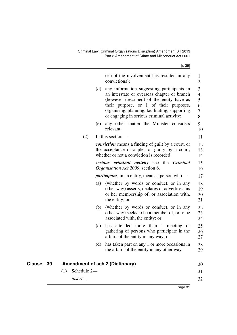| ×<br>i |  |
|--------|--|
|--------|--|

<span id="page-32-0"></span>

|           |                    | or not the involvement has resulted in any<br>convictions);                                                                                                                                                                                                                            | 1<br>$\overline{2}$                                    |
|-----------|--------------------|----------------------------------------------------------------------------------------------------------------------------------------------------------------------------------------------------------------------------------------------------------------------------------------|--------------------------------------------------------|
|           |                    | any information suggesting participants in<br>(d)<br>an interstate or overseas chapter or branch<br>(however described) of the entity have as<br>their purpose, or 1 of their purposes,<br>organising, planning, facilitating, supporting<br>or engaging in serious criminal activity; | 3<br>$\overline{4}$<br>5<br>6<br>$\boldsymbol{7}$<br>8 |
|           |                    | any other matter the Minister considers<br>(e)<br>relevant.                                                                                                                                                                                                                            | 9<br>10                                                |
|           | (2)                | In this section-                                                                                                                                                                                                                                                                       | 11                                                     |
|           |                    | <i>conviction</i> means a finding of guilt by a court, or<br>the acceptance of a plea of guilty by a court,<br>whether or not a conviction is recorded.                                                                                                                                | 12<br>13<br>14                                         |
|           |                    | serious criminal activity see the Criminal<br>Organisation Act 2009, section 6.                                                                                                                                                                                                        | 15<br>16                                               |
|           |                    | <i>participant</i> , in an entity, means a person who-                                                                                                                                                                                                                                 | 17                                                     |
|           |                    | (a) (whether by words or conduct, or in any<br>other way) asserts, declares or advertises his<br>or her membership of, or association with,<br>the entity; or                                                                                                                          | 18<br>19<br>20<br>21                                   |
|           |                    | (b) (whether by words or conduct, or in any<br>other way) seeks to be a member of, or to be<br>associated with, the entity; or                                                                                                                                                         | 22<br>23<br>24                                         |
|           |                    | has attended more than 1 meeting or<br>(c)<br>gathering of persons who participate in the<br>affairs of the entity in any way; or                                                                                                                                                      | 25<br>26<br>27                                         |
|           |                    | has taken part on any 1 or more occasions in<br>(d)<br>the affairs of the entity in any other way.                                                                                                                                                                                     | 28<br>29                                               |
| Clause 39 |                    | <b>Amendment of sch 2 (Dictionary)</b>                                                                                                                                                                                                                                                 | 30                                                     |
|           | Schedule 2-<br>(1) |                                                                                                                                                                                                                                                                                        | 31                                                     |
|           | insert-            |                                                                                                                                                                                                                                                                                        | 32                                                     |
|           |                    |                                                                                                                                                                                                                                                                                        |                                                        |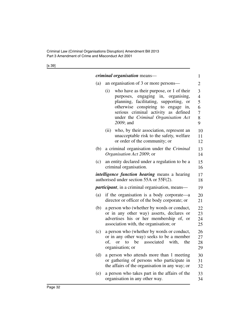[s 39]

|     |      | <i>criminal organisation</i> means—                                                                                                                                                                                                                                    | 1                                                         |
|-----|------|------------------------------------------------------------------------------------------------------------------------------------------------------------------------------------------------------------------------------------------------------------------------|-----------------------------------------------------------|
| (a) |      | an organisation of 3 or more persons—                                                                                                                                                                                                                                  | $\overline{2}$                                            |
|     | (i)  | who have as their purpose, or 1 of their<br>engaging in,<br>organising,<br>purposes,<br>planning, facilitating, supporting,<br>or<br>otherwise conspiring to engage<br>in,<br>serious criminal activity as defined<br>under the Criminal Organisation Act<br>2009; and | 3<br>$\overline{4}$<br>5<br>6<br>$\overline{7}$<br>8<br>9 |
|     | (ii) | who, by their association, represent an<br>unacceptable risk to the safety, welfare<br>or order of the community; or                                                                                                                                                   | 10<br>11<br>12                                            |
| (b) |      | a criminal organisation under the <i>Criminal</i><br>Organisation Act 2009; or                                                                                                                                                                                         | 13<br>14                                                  |
| (c) |      | an entity declared under a regulation to be a<br>criminal organisation.                                                                                                                                                                                                | 15<br>16                                                  |
|     |      | <i>intelligence function hearing</i> means a hearing<br>authorised under section 55A or 55F(2).                                                                                                                                                                        | 17<br>18                                                  |
|     |      | <i>participant</i> , in a criminal organisation, means—                                                                                                                                                                                                                | 19                                                        |
| (a) |      | if the organisation is a body corporate—a<br>director or officer of the body corporate; or                                                                                                                                                                             | 20<br>21                                                  |
| (b) |      | a person who (whether by words or conduct,<br>or in any other way) asserts, declares or<br>advertises his or her membership of, or<br>association with, the organisation; or                                                                                           | 22<br>23<br>24<br>25                                      |
| (c) | of,  | a person who (whether by words or conduct,<br>or in any other way) seeks to be a member<br>associated<br>to<br>be<br>with,<br>the<br><sub>or</sub><br>organisation; or                                                                                                 | 26<br>27<br>28<br>29                                      |
| (d) |      | a person who attends more than 1 meeting<br>or gathering of persons who participate in<br>the affairs of the organisation in any way; or                                                                                                                               | 30<br>31<br>32                                            |
| (e) |      | a person who takes part in the affairs of the<br>organisation in any other way.                                                                                                                                                                                        | 33<br>34                                                  |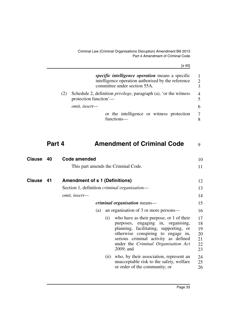Criminal Law (Criminal Organisations Disruption) Amendment Bill 2013 Part 4 Amendment of Criminal Code

[s 40]

| Part 4 | <b>Amendment of Criminal Code</b>                                                                                                             | 9                         |
|--------|-----------------------------------------------------------------------------------------------------------------------------------------------|---------------------------|
|        | or the intelligence or witness protection<br>functions—                                                                                       | $\overline{7}$            |
|        | omit, insert-                                                                                                                                 | 6                         |
| (2)    | Schedule 2, definition <i>privilege</i> , paragraph (a), 'or the witness<br>protection function'—                                             | $\frac{4}{5}$             |
|        | <i>specific intelligence operation</i> means a specific<br>intelligence operation authorised by the reference<br>committee under section 55A. | -1<br>$\overline{2}$<br>3 |
|        |                                                                                                                                               |                           |

<span id="page-34-2"></span><span id="page-34-1"></span><span id="page-34-0"></span>

| <b>Clause</b> | 40 | Code amended                                         |     |                                                                                                                                                                                                                                                            | 10                                     |
|---------------|----|------------------------------------------------------|-----|------------------------------------------------------------------------------------------------------------------------------------------------------------------------------------------------------------------------------------------------------------|----------------------------------------|
|               |    | This part amends the Criminal Code.                  |     |                                                                                                                                                                                                                                                            | 11                                     |
| <b>Clause</b> | 41 | <b>Amendment of s 1 (Definitions)</b>                |     |                                                                                                                                                                                                                                                            | 12                                     |
|               |    | Section 1, definition <i>criminal organisation</i> — |     |                                                                                                                                                                                                                                                            | 13                                     |
|               |    | omit, insert-                                        |     |                                                                                                                                                                                                                                                            | 14                                     |
|               |    |                                                      |     | <i>criminal organisation</i> means—                                                                                                                                                                                                                        | 15                                     |
|               |    | (a)                                                  |     | an organisation of 3 or more persons—                                                                                                                                                                                                                      | 16                                     |
|               |    |                                                      | (i) | who have as their purpose, or 1 of their<br>purposes, engaging in, organising,<br>planning, facilitating, supporting, or<br>otherwise conspiring to engage in,<br>serious criminal activity as defined<br>under the Criminal Organisation Act<br>2009; and | 17<br>18<br>19<br>20<br>21<br>22<br>23 |
|               |    |                                                      |     | (ii) who, by their association, represent an<br>unacceptable risk to the safety, welfare<br>or order of the community; or                                                                                                                                  | 24<br>25<br>26                         |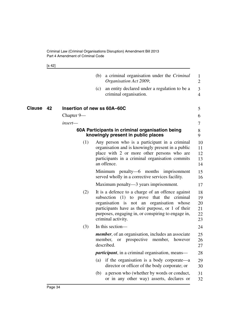[s 42]

<span id="page-35-1"></span><span id="page-35-0"></span>

|              |                             | (b) | a criminal organisation under the <i>Criminal</i><br>Organisation Act 2009;                                                                                                                                                                                                  | $\mathbf{1}$<br>$\overline{2}$   |
|--------------|-----------------------------|-----|------------------------------------------------------------------------------------------------------------------------------------------------------------------------------------------------------------------------------------------------------------------------------|----------------------------------|
|              |                             | (c) | an entity declared under a regulation to be a<br>criminal organisation.                                                                                                                                                                                                      | 3<br>$\overline{4}$              |
| Clause<br>42 | Insertion of new ss 60A-60C |     |                                                                                                                                                                                                                                                                              | 5                                |
|              | Chapter 9—                  |     |                                                                                                                                                                                                                                                                              | 6                                |
|              | insert-                     |     |                                                                                                                                                                                                                                                                              | 7                                |
|              |                             |     | 60A Participants in criminal organisation being<br>knowingly present in public places                                                                                                                                                                                        | 8<br>9                           |
|              | (1)                         |     | Any person who is a participant in a criminal<br>organisation and is knowingly present in a public<br>place with 2 or more other persons who are<br>participants in a criminal organisation commits<br>an offence.                                                           | 10<br>11<br>12<br>13<br>14       |
|              |                             |     | Minimum penalty—6 months imprisonment<br>served wholly in a corrective services facility.                                                                                                                                                                                    | 15<br>16                         |
|              |                             |     | Maximum penalty—3 years imprisonment.                                                                                                                                                                                                                                        | 17                               |
|              | (2)                         |     | It is a defence to a charge of an offence against<br>subsection (1) to prove that the criminal<br>organisation is not an organisation whose<br>participants have as their purpose, or 1 of their<br>purposes, engaging in, or conspiring to engage in,<br>criminal activity. | 18<br>19<br>20<br>21<br>22<br>23 |
|              | (3)                         |     | In this section-                                                                                                                                                                                                                                                             | 24                               |
|              |                             |     | <i>member</i> , of an organisation, includes an associate<br>member, or prospective member,<br>however<br>described.                                                                                                                                                         | 25<br>26<br>27                   |
|              |                             |     | <i>participant</i> , in a criminal organisation, means-                                                                                                                                                                                                                      | 28                               |
|              |                             | (a) | if the organisation is a body corporate—a<br>director or officer of the body corporate; or                                                                                                                                                                                   | 29<br>30                         |
|              |                             | (b) | a person who (whether by words or conduct,<br>or in any other way) asserts, declares or                                                                                                                                                                                      | 31<br>32                         |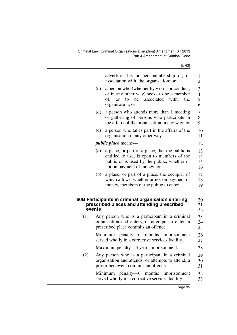Criminal Law (Criminal Organisations Disruption) Amendment Bill 2013 Part 4 Amendment of Criminal Code

[s 42]

|     |        | advertises his or her membership of, or<br>association with, the organisation; or                                                                                           | 1<br>$\overline{2}$           |
|-----|--------|-----------------------------------------------------------------------------------------------------------------------------------------------------------------------------|-------------------------------|
|     | (c)    | a person who (whether by words or conduct,<br>or in any other way) seeks to be a member<br>associated<br>to be<br>with,<br>of,<br><b>or</b><br>the<br>organisation; or      | 3<br>$\overline{4}$<br>5<br>6 |
|     | (d)    | a person who attends more than 1 meeting<br>or gathering of persons who participate in<br>the affairs of the organisation in any way; or                                    | $\boldsymbol{7}$<br>8<br>9    |
|     | (e)    | a person who takes part in the affairs of the<br>organisation in any other way.                                                                                             | 10<br>11                      |
|     |        | <i>public place</i> means—                                                                                                                                                  | 12                            |
|     | (a)    | a place, or part of a place, that the public is<br>entitled to use, is open to members of the<br>public or is used by the public, whether or<br>not on payment of money; or | 13<br>14<br>15<br>16          |
|     | (b)    | a place, or part of a place, the occupier of<br>which allows, whether or not on payment of<br>money, members of the public to enter.                                        | 17<br>18<br>19                |
|     | events | 60B Participants in criminal organisation entering<br>prescribed places and attending prescribed                                                                            | 20<br>21<br>22                |
| (1) |        | Any person who is a participant in a criminal<br>organisation and enters, or attempts to enter, a<br>prescribed place commits an offence.                                   | 23<br>24<br>25                |
|     |        | Minimum penalty—6 months<br>imprisonment<br>served wholly in a corrective services facility.                                                                                | 26<br>27                      |
|     |        | Maximum penalty-3 years imprisonment.                                                                                                                                       | 28                            |
| (2) |        | Any person who is a participant in a criminal<br>organisation and attends, or attempts to attend, a<br>prescribed event commits an offence.                                 | 29<br>30<br>31                |
|     |        | penalty—6 months imprisonment<br>Minimum<br>served wholly in a corrective services facility.                                                                                | 32<br>33                      |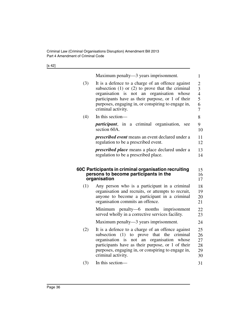[s 42]

|     | Maximum penalty—3 years imprisonment.                                                                                                                                                                                                                                                   | $\mathbf{1}$                                         |
|-----|-----------------------------------------------------------------------------------------------------------------------------------------------------------------------------------------------------------------------------------------------------------------------------------------|------------------------------------------------------|
| (3) | It is a defence to a charge of an offence against<br>subsection $(1)$ or $(2)$ to prove that the criminal<br>organisation is not an organisation whose<br>participants have as their purpose, or 1 of their<br>purposes, engaging in, or conspiring to engage in,<br>criminal activity. | $\overline{c}$<br>3<br>$\overline{4}$<br>5<br>6<br>7 |
| (4) | In this section-                                                                                                                                                                                                                                                                        | 8                                                    |
|     | <i>participant</i> , in a criminal organisation,<br>see<br>section 60A.                                                                                                                                                                                                                 | 9<br>10                                              |
|     | <i>prescribed event</i> means an event declared under a<br>regulation to be a prescribed event.                                                                                                                                                                                         | 11<br>12                                             |
|     | <i>prescribed place</i> means a place declared under a<br>regulation to be a prescribed place.                                                                                                                                                                                          | 13<br>14                                             |
|     |                                                                                                                                                                                                                                                                                         |                                                      |
|     | 60C Participants in criminal organisation recruiting<br>persons to become participants in the<br>organisation                                                                                                                                                                           | 15<br>16<br>17                                       |
| (1) | Any person who is a participant in a criminal<br>organisation and recruits, or attempts to recruit,<br>anyone to become a participant in a criminal<br>organisation commits an offence.                                                                                                 | 18<br>19<br>20<br>21                                 |
|     | Minimum penalty—6 months imprisonment<br>served wholly in a corrective services facility.                                                                                                                                                                                               | 22<br>23                                             |
|     | Maximum penalty—3 years imprisonment.                                                                                                                                                                                                                                                   | 24                                                   |
| (2) | It is a defence to a charge of an offence against<br>subsection (1) to prove that the criminal<br>organisation is not an organisation<br>whose<br>participants have as their purpose, or 1 of their<br>purposes, engaging in, or conspiring to engage in,<br>criminal activity.         | 25<br>26<br>27<br>28<br>29<br>30                     |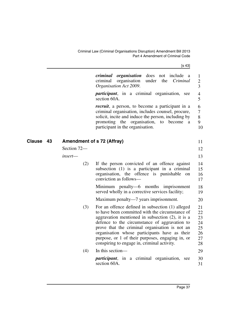Criminal Law (Criminal Organisations Disruption) Amendment Bill 2013 Part 4 Amendment of Criminal Code

[s 43]

|              |             | organisation<br>does<br>include<br>criminal<br>not<br>a<br>organisation<br>under<br>the<br>Criminal<br>criminal<br>Organisation Act 2009.                                                                                                                                                                                                                                                                         | 1<br>$\overline{2}$<br>3                     |
|--------------|-------------|-------------------------------------------------------------------------------------------------------------------------------------------------------------------------------------------------------------------------------------------------------------------------------------------------------------------------------------------------------------------------------------------------------------------|----------------------------------------------|
|              |             | <i>participant</i> , in a criminal organisation, see<br>section 60A.                                                                                                                                                                                                                                                                                                                                              | $\overline{4}$<br>5                          |
|              |             | <i>recruit</i> , a person, to become a participant in a<br>criminal organisation, includes counsel, procure,<br>solicit, incite and induce the person, including by<br>promoting the organisation,<br>to become<br>a<br>participant in the organisation.                                                                                                                                                          | 6<br>$\overline{7}$<br>8<br>9<br>10          |
| Clause<br>43 |             | Amendment of s 72 (Affray)                                                                                                                                                                                                                                                                                                                                                                                        | 11                                           |
|              | Section 72- |                                                                                                                                                                                                                                                                                                                                                                                                                   | 12                                           |
|              | insert-     |                                                                                                                                                                                                                                                                                                                                                                                                                   | 13                                           |
|              | (2)         | If the person convicted of an offence against<br>subsection (1) is a participant in a criminal<br>organisation, the offence is punishable<br>on<br>conviction as follows-                                                                                                                                                                                                                                         | 14<br>15<br>16<br>17                         |
|              |             | Minimum penalty—6 months imprisonment<br>served wholly in a corrective services facility;                                                                                                                                                                                                                                                                                                                         | 18<br>19                                     |
|              |             | Maximum penalty—7 years imprisonment.                                                                                                                                                                                                                                                                                                                                                                             | 20                                           |
|              | (3)         | For an offence defined in subsection (1) alleged<br>to have been committed with the circumstance of<br>aggravation mentioned in subsection $(2)$ , it is a<br>defence to the circumstance of aggravation to<br>prove that the criminal organisation is not an<br>organisation whose participants have as their<br>purpose, or 1 of their purposes, engaging in, or<br>conspiring to engage in, criminal activity. | 21<br>22<br>23<br>24<br>25<br>26<br>27<br>28 |
|              | (4)         | In this section-                                                                                                                                                                                                                                                                                                                                                                                                  | 29                                           |
|              |             | <i>participant</i> , in a criminal organisation,<br>see<br>section 60A.                                                                                                                                                                                                                                                                                                                                           | 30<br>31                                     |
|              |             |                                                                                                                                                                                                                                                                                                                                                                                                                   |                                              |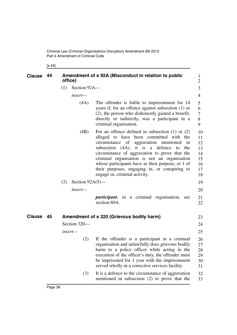[s 44]

| <b>Clause</b> | 44   | office) |                    | Amendment of s 92A (Misconduct in relation to public                                                                                                                                                                                                                                                                                                                                                                                | $\mathbf{1}$<br>$\overline{2}$                     |
|---------------|------|---------|--------------------|-------------------------------------------------------------------------------------------------------------------------------------------------------------------------------------------------------------------------------------------------------------------------------------------------------------------------------------------------------------------------------------------------------------------------------------|----------------------------------------------------|
|               |      | (1)     | Section 92A-       |                                                                                                                                                                                                                                                                                                                                                                                                                                     | 3                                                  |
|               |      |         | insert-            |                                                                                                                                                                                                                                                                                                                                                                                                                                     | $\overline{4}$                                     |
|               |      |         | (4A)               | The offender is liable to imprisonment for 14<br>years if, for an offence against subsection (1) or<br>(2), the person who dishonestly gained a benefit,<br>directly or indirectly, was a participant in a<br>criminal organisation.                                                                                                                                                                                                | 5<br>6<br>7<br>8<br>9                              |
|               |      |         | (4B)               | For an offence defined in subsection $(1)$ or $(2)$<br>alleged to have been committed with the<br>circumstance of aggravation mentioned<br>in<br>subsection (4A), it is a defence to<br>the<br>circumstance of aggravation to prove that the<br>criminal organisation is not an organisation<br>whose participants have as their purpose, or 1 of<br>their purposes, engaging in, or conspiring to<br>engage in, criminal activity. | 10<br>11<br>12<br>13<br>14<br>15<br>16<br>17<br>18 |
|               |      | (2)     | Section $92A(5)$ — |                                                                                                                                                                                                                                                                                                                                                                                                                                     | 19                                                 |
|               |      |         | insert-            |                                                                                                                                                                                                                                                                                                                                                                                                                                     | 20                                                 |
|               |      |         |                    | <i>participant</i> , in a criminal organisation, see<br>section 60A.                                                                                                                                                                                                                                                                                                                                                                | 21<br>22                                           |
| <b>Clause</b> | - 45 |         |                    | Amendment of s 320 (Grievous bodily harm)                                                                                                                                                                                                                                                                                                                                                                                           | 23                                                 |
|               |      |         | Section 320-       |                                                                                                                                                                                                                                                                                                                                                                                                                                     | 24                                                 |
|               |      |         | $insert-$          |                                                                                                                                                                                                                                                                                                                                                                                                                                     | 25                                                 |
|               |      |         | (2)                | If the offender is a participant in a criminal<br>organisation and unlawfully does grievous bodily<br>harm to a police officer while acting in the<br>execution of the officer's duty, the offender must<br>be imprisoned for 1 year with the imprisonment<br>served wholly in a corrective services facility.                                                                                                                      | 26<br>27<br>28<br>29<br>30<br>31                   |
|               |      |         | (3)                | It is a defence to the circumstance of aggravation<br>mentioned in subsection $(2)$ to prove that the                                                                                                                                                                                                                                                                                                                               | 32<br>33                                           |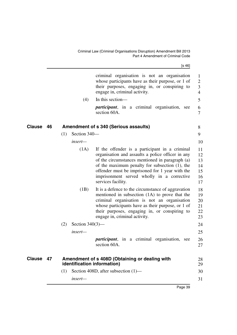Criminal Law (Criminal Organisations Disruption) Amendment Bill 2013 Part 4 Amendment of Criminal Code

[s 46]

|           |    |     | (4)                | criminal organisation is not an organisation<br>whose participants have as their purpose, or 1 of<br>their purposes, engaging in, or conspiring to<br>engage in, criminal activity.<br>In this section-<br><i>participant</i> , in a criminal organisation, see<br>section 60A.                                                    | $\mathbf{1}$<br>$\overline{2}$<br>$\overline{3}$<br>$\overline{4}$<br>5<br>6<br>$\overline{7}$ |
|-----------|----|-----|--------------------|------------------------------------------------------------------------------------------------------------------------------------------------------------------------------------------------------------------------------------------------------------------------------------------------------------------------------------|------------------------------------------------------------------------------------------------|
| Clause    | 46 |     |                    | <b>Amendment of s 340 (Serious assaults)</b>                                                                                                                                                                                                                                                                                       | 8                                                                                              |
|           |    | (1) | Section 340-       |                                                                                                                                                                                                                                                                                                                                    | 9                                                                                              |
|           |    |     | insert-            |                                                                                                                                                                                                                                                                                                                                    | 10                                                                                             |
|           |    |     | (1A)               | If the offender is a participant in a criminal<br>organisation and assaults a police officer in any<br>of the circumstances mentioned in paragraph (a)<br>of the maximum penalty for subsection $(1)$ , the<br>offender must be imprisoned for 1 year with the<br>imprisonment served wholly in a corrective<br>services facility. | 11<br>12<br>13<br>14<br>15<br>16<br>17                                                         |
|           |    |     | (1B)               | It is a defence to the circumstance of aggravation<br>mentioned in subsection (1A) to prove that the<br>criminal organisation is not an organisation<br>whose participants have as their purpose, or 1 of<br>their purposes, engaging in, or conspiring to<br>engage in, criminal activity.                                        | 18<br>19<br>20<br>21<br>22<br>23                                                               |
|           |    | (2) | Section $340(3)$ — |                                                                                                                                                                                                                                                                                                                                    | 24                                                                                             |
|           |    |     | insert-            |                                                                                                                                                                                                                                                                                                                                    | 25                                                                                             |
|           |    |     |                    | <i>participant</i> , in a criminal organisation,<br>see<br>section 60A.                                                                                                                                                                                                                                                            | 26<br>27                                                                                       |
| Clause 47 |    |     |                    | Amendment of s 408D (Obtaining or dealing with<br>identification information)                                                                                                                                                                                                                                                      | 28<br>29                                                                                       |
|           |    | (1) |                    | Section 408D, after subsection $(1)$ —                                                                                                                                                                                                                                                                                             | 30                                                                                             |
|           |    |     | insert-            |                                                                                                                                                                                                                                                                                                                                    | 31                                                                                             |
|           |    |     |                    | Dess 20                                                                                                                                                                                                                                                                                                                            |                                                                                                |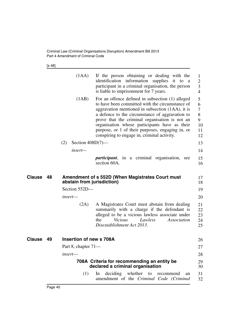Criminal Law (Criminal Organisations Disruption) Amendment Bill 2013 Part 4 Amendment of Criminal Code

[s 48]

|        |    | (1AA)                      | If the person obtaining or dealing with the<br>identification information supplies it to a<br>participant in a criminal organisation, the person<br>is liable to imprisonment for 7 years.                                                                                                                                                                                                                       | 1<br>$\overline{2}$<br>3<br>$\overline{4}$   |
|--------|----|----------------------------|------------------------------------------------------------------------------------------------------------------------------------------------------------------------------------------------------------------------------------------------------------------------------------------------------------------------------------------------------------------------------------------------------------------|----------------------------------------------|
|        |    | (1AB)                      | For an offence defined in subsection (1) alleged<br>to have been committed with the circumstance of<br>aggravation mentioned in subsection (1AA), it is<br>a defence to the circumstance of aggravation to<br>prove that the criminal organisation is not an<br>organisation whose participants have as their<br>purpose, or 1 of their purposes, engaging in, or<br>conspiring to engage in, criminal activity. | 5<br>6<br>$\tau$<br>8<br>9<br>10<br>11<br>12 |
|        |    | (2)<br>Section $408D(7)$ — |                                                                                                                                                                                                                                                                                                                                                                                                                  | 13                                           |
|        |    | insert—                    |                                                                                                                                                                                                                                                                                                                                                                                                                  | 14                                           |
|        |    |                            | <i>participant</i> , in a criminal organisation, see<br>section 60A.                                                                                                                                                                                                                                                                                                                                             | 15<br>16                                     |
| Clause | 48 | abstain from jurisdiction) | Amendment of s 552D (When Magistrates Court must                                                                                                                                                                                                                                                                                                                                                                 | 17<br>18                                     |
|        |    | Section 552D-              |                                                                                                                                                                                                                                                                                                                                                                                                                  | 19                                           |
|        |    | insert—                    |                                                                                                                                                                                                                                                                                                                                                                                                                  | 20                                           |
|        |    | (2A)                       | A Magistrates Court must abstain from dealing<br>summarily with a charge if the defendant is<br>alleged to be a vicious lawless associate under<br>the<br>Vicious<br>Lawless<br>Association<br>Disestablishment Act 2013.                                                                                                                                                                                        | 21<br>22<br>23<br>24<br>25                   |
| Clause | 49 | Insertion of new s 708A    |                                                                                                                                                                                                                                                                                                                                                                                                                  | 26                                           |
|        |    | Part 8, chapter 71—        |                                                                                                                                                                                                                                                                                                                                                                                                                  | 27                                           |
|        |    | insert—                    |                                                                                                                                                                                                                                                                                                                                                                                                                  | 28                                           |
|        |    |                            | 708A Criteria for recommending an entity be<br>declared a criminal organisation                                                                                                                                                                                                                                                                                                                                  | 29<br>30                                     |
|        |    | (1)                        | In deciding whether to recommend<br>an<br>amendment of the Criminal Code (Criminal                                                                                                                                                                                                                                                                                                                               | 31<br>32                                     |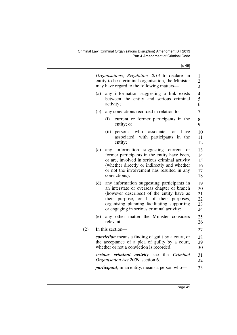[s 49]

| Organisations) Regulation 2013 to declare an<br>entity to be a criminal organisation, the Minister<br>may have regard to the following matters— |                                                                                                                                                                                                                                                                                 |                                  |
|-------------------------------------------------------------------------------------------------------------------------------------------------|---------------------------------------------------------------------------------------------------------------------------------------------------------------------------------------------------------------------------------------------------------------------------------|----------------------------------|
| (a)                                                                                                                                             | any information suggesting a link exists<br>between the entity and serious criminal<br>activity;                                                                                                                                                                                | $\overline{4}$<br>5<br>6         |
| (b)                                                                                                                                             | any convictions recorded in relation to-                                                                                                                                                                                                                                        | $\tau$                           |
|                                                                                                                                                 | current or former participants in the<br>(i)<br>entity; or                                                                                                                                                                                                                      | 8<br>9                           |
|                                                                                                                                                 | persons who associate, or have<br>(ii)<br>associated, with participants in the<br>entity;                                                                                                                                                                                       | 10<br>11<br>12                   |
| (c)                                                                                                                                             | any information suggesting current<br><b>or</b><br>former participants in the entity have been,<br>or are, involved in serious criminal activity<br>(whether directly or indirectly and whether<br>or not the involvement has resulted in any<br>convictions);                  | 13<br>14<br>15<br>16<br>17<br>18 |
| (d)                                                                                                                                             | any information suggesting participants in<br>an interstate or overseas chapter or branch<br>(however described) of the entity have as<br>their purpose, or 1 of their purposes,<br>organising, planning, facilitating, supporting<br>or engaging in serious criminal activity; | 19<br>20<br>21<br>22<br>23<br>24 |
| (e)                                                                                                                                             | any other matter the Minister considers<br>relevant.                                                                                                                                                                                                                            | 25<br>26                         |
|                                                                                                                                                 | In this section-                                                                                                                                                                                                                                                                | 27                               |
|                                                                                                                                                 | <i>conviction</i> means a finding of guilt by a court, or<br>the acceptance of a plea of guilty by a court,<br>whether or not a conviction is recorded.                                                                                                                         | 28<br>29<br>30                   |
|                                                                                                                                                 | serious criminal activity see the Criminal<br>Organisation Act 2009, section 6.                                                                                                                                                                                                 | 31<br>32                         |
|                                                                                                                                                 | <i>participant</i> , in an entity, means a person who-                                                                                                                                                                                                                          | 33                               |

 $(2)$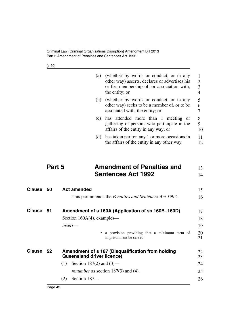Criminal Law (Criminal Organisations Disruption) Amendment Bill 2013 Part 5 Amendment of Penalties and Sentences Act 1992

| ٠<br>×<br>۰, |
|--------------|
|--------------|

|               |        | (a)                           | (whether by words or conduct, or in any<br>other way) asserts, declares or advertises his<br>or her membership of, or association with,<br>the entity; or | 1<br>$\overline{2}$<br>3<br>$\overline{4}$ |
|---------------|--------|-------------------------------|-----------------------------------------------------------------------------------------------------------------------------------------------------------|--------------------------------------------|
|               |        | (b)                           | (whether by words or conduct, or in any<br>other way) seeks to be a member of, or to be<br>associated with, the entity; or                                | 5<br>6<br>7                                |
|               |        | (c)                           | has attended more than 1 meeting<br><sub>or</sub><br>gathering of persons who participate in the<br>affairs of the entity in any way; or                  | 8<br>9<br>10                               |
|               |        | (d)                           | has taken part on any 1 or more occasions in<br>the affairs of the entity in any other way.                                                               | 11<br>12                                   |
|               | Part 5 |                               | <b>Amendment of Penalties and</b>                                                                                                                         | 13                                         |
|               |        |                               | <b>Sentences Act 1992</b>                                                                                                                                 | 14                                         |
| <b>Clause</b> | 50     | <b>Act amended</b>            |                                                                                                                                                           | 15                                         |
|               |        |                               | This part amends the <i>Penalties and Sentences Act 1992</i> .                                                                                            | 16                                         |
| <b>Clause</b> | 51     |                               | Amendment of s 160A (Application of ss 160B-160D)                                                                                                         | 17                                         |
|               |        | Section $160A(4)$ , examples— |                                                                                                                                                           | 18                                         |
|               |        | $insert$ —                    |                                                                                                                                                           | 19                                         |
|               |        |                               | a provision providing that a minimum term of<br>imprisonment be served                                                                                    | 20<br>21                                   |

| Clause<br>52 | Amendment of s 187 (Disqualification from holding<br><b>Queensland driver licence)</b> | 22<br>23 |
|--------------|----------------------------------------------------------------------------------------|----------|
|              | Section 187(2) and $(3)$ —                                                             | 24       |
|              | <i>renumber</i> as section $187(3)$ and (4).                                           | 25       |
|              | Section 187-                                                                           | 26       |
|              |                                                                                        |          |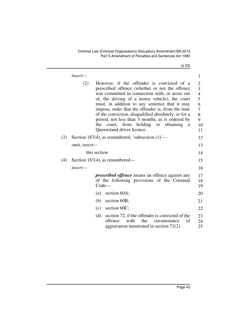[s 52]

|     | insert—       |                                                                                                                                                                                                                                                                                                                                                                                                                                                                                                             | $\mathbf{1}$                                                                               |
|-----|---------------|-------------------------------------------------------------------------------------------------------------------------------------------------------------------------------------------------------------------------------------------------------------------------------------------------------------------------------------------------------------------------------------------------------------------------------------------------------------------------------------------------------------|--------------------------------------------------------------------------------------------|
|     | (2)           | However, if the offender is convicted of a<br>prescribed offence (whether or not the offence<br>was committed in connection with, or arose out<br>of, the driving of a motor vehicle), the court<br>must, in addition to any sentence that it may<br>impose, order that the offender is, from the time<br>of the conviction, disqualified absolutely, or for a<br>period, not less than 3 months, as is ordered by<br>court, from holding or obtaining<br>the<br><sub>a</sub><br>Queensland driver licence. | $\overline{\mathbf{c}}$<br>$\frac{3}{4}$<br>5<br>6<br>$\sqrt{ }$<br>$8\,$<br>9<br>10<br>11 |
| (3) |               | Section 187(4), as renumbered, 'subsection $(1)$ '—                                                                                                                                                                                                                                                                                                                                                                                                                                                         | 12                                                                                         |
|     | omit, insert- |                                                                                                                                                                                                                                                                                                                                                                                                                                                                                                             | 13                                                                                         |
|     | this section  |                                                                                                                                                                                                                                                                                                                                                                                                                                                                                                             | 14                                                                                         |
| (4) |               | Section 187(4), as renumbered—                                                                                                                                                                                                                                                                                                                                                                                                                                                                              | 15                                                                                         |
|     | insert—       |                                                                                                                                                                                                                                                                                                                                                                                                                                                                                                             | 16                                                                                         |
|     |               | <i>prescribed offence</i> means an offence against any<br>of the following provisions of the Criminal<br>$Code-$                                                                                                                                                                                                                                                                                                                                                                                            | 17<br>18<br>19                                                                             |
|     | (a)           | section 60A;                                                                                                                                                                                                                                                                                                                                                                                                                                                                                                | 20                                                                                         |
|     | (b)           | section 60B;                                                                                                                                                                                                                                                                                                                                                                                                                                                                                                | 21                                                                                         |
|     | (c)           | section 60C;                                                                                                                                                                                                                                                                                                                                                                                                                                                                                                | 22                                                                                         |
|     |               | section 72, if the offender is convicted of the<br>(d)<br>with<br>the<br>offence<br>circumstance<br>of<br>aggravation mentioned in section $72(2)$ .                                                                                                                                                                                                                                                                                                                                                        | 23<br>24<br>25                                                                             |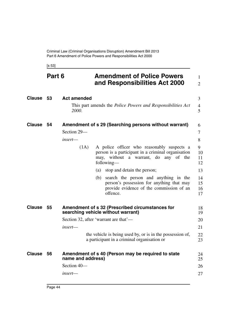[s 53]

| Part 6 |    |                    | <b>Amendment of Police Powers</b><br>and Responsibilities Act 2000                                                                                         |                      |
|--------|----|--------------------|------------------------------------------------------------------------------------------------------------------------------------------------------------|----------------------|
| Clause | 53 | <b>Act amended</b> |                                                                                                                                                            | 3                    |
|        |    | 2000.              | This part amends the <i>Police Powers and Responsibilities Act</i>                                                                                         | 4<br>5               |
| Clause | 54 |                    | Amendment of s 29 (Searching persons without warrant)                                                                                                      | 6                    |
|        |    | Section 29-        |                                                                                                                                                            | 7                    |
|        |    | insert—            |                                                                                                                                                            | 8                    |
|        |    | (1A)               | A police officer who reasonably suspects a<br>person is a participant in a criminal organisation<br>may, without a warrant,<br>do any of the<br>following— | 9<br>10<br>11<br>12  |
|        |    |                    | (a) stop and detain the person;                                                                                                                            | 13                   |
|        |    |                    | search the person and anything in the<br>(b)<br>person's possession for anything that may<br>provide evidence of the commission of an<br>offence.          | 14<br>15<br>16<br>17 |
| Clause | 55 |                    | Amendment of s 32 (Prescribed circumstances for<br>searching vehicle without warrant)                                                                      | 18<br>19             |
|        |    |                    | Section 32, after 'warrant are that'—                                                                                                                      | 20                   |
|        |    | insert—            |                                                                                                                                                            | 21                   |
|        |    |                    | the vehicle is being used by, or is in the possession of,<br>a participant in a criminal organisation or                                                   | 22<br>23             |
| Clause | 56 | name and address)  | Amendment of s 40 (Person may be required to state                                                                                                         | 24<br>25             |
|        |    | Section 40-        |                                                                                                                                                            | 26                   |
|        |    | insert—            |                                                                                                                                                            | 27                   |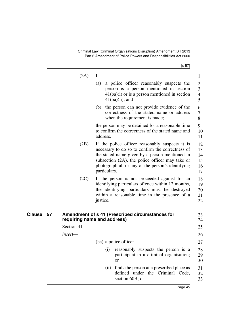Criminal Law (Criminal Organisations Disruption) Amendment Bill 2013 Part 6 Amendment of Police Powers and Responsibilities Act 2000

[s 57]

|              | (2A)        | $If$ —                                                                                                                                                                                                                                                                           | $\mathbf{1}$                     |
|--------------|-------------|----------------------------------------------------------------------------------------------------------------------------------------------------------------------------------------------------------------------------------------------------------------------------------|----------------------------------|
|              |             | a police officer reasonably suspects the<br>(a)                                                                                                                                                                                                                                  | $\overline{2}$                   |
|              |             | person is a person mentioned in section<br>$41(ba)(i)$ or is a person mentioned in section                                                                                                                                                                                       | 3<br>$\overline{4}$              |
|              |             | $41(ba)(ii)$ ; and                                                                                                                                                                                                                                                               | 5                                |
|              |             | (b) the person can not provide evidence of the<br>correctness of the stated name or address<br>when the requirement is made;                                                                                                                                                     | 6<br>7<br>8                      |
|              |             | the person may be detained for a reasonable time<br>to confirm the correctness of the stated name and<br>address.                                                                                                                                                                | 9<br>10<br>11                    |
|              | (2B)        | If the police officer reasonably suspects it is<br>necessary to do so to confirm the correctness of<br>the stated name given by a person mentioned in<br>subsection $(2A)$ , the police officer may take or<br>photograph all or any of the person's identifying<br>particulars. | 12<br>13<br>14<br>15<br>16<br>17 |
|              | (2C)        | If the person is not proceeded against for an<br>identifying particulars offence within 12 months,<br>the identifying particulars must be destroyed<br>within a reasonable time in the presence of a<br>justice.                                                                 | 18<br>19<br>20<br>21<br>22       |
| Clause<br>57 |             | Amendment of s 41 (Prescribed circumstances for<br>requiring name and address)                                                                                                                                                                                                   | 23<br>24                         |
|              | Section 41- |                                                                                                                                                                                                                                                                                  | 25                               |
|              | insert—     |                                                                                                                                                                                                                                                                                  | 26                               |
|              |             | (ba) a police officer—                                                                                                                                                                                                                                                           | 27                               |
|              |             | (i)<br>reasonably suspects the person is a<br>participant in a criminal organisation;<br><b>or</b>                                                                                                                                                                               | 28<br>29<br>30                   |
|              |             | finds the person at a prescribed place as<br>(ii)<br>defined under the Criminal Code,<br>section 60B; or                                                                                                                                                                         | 31<br>32<br>33                   |
|              |             |                                                                                                                                                                                                                                                                                  |                                  |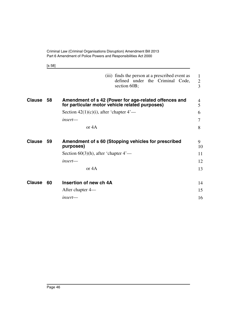|               |        | Part 6 Amendment of Police Powers and Responsibilities Act 2000                                         |                          |
|---------------|--------|---------------------------------------------------------------------------------------------------------|--------------------------|
|               | [s 58] |                                                                                                         |                          |
|               |        | (iii) finds the person at a prescribed event as<br>defined under the Criminal Code,<br>section 60B;     | 1<br>$\overline{2}$<br>3 |
| <b>Clause</b> | 58     | Amendment of s 42 (Power for age-related offences and<br>for particular motor vehicle related purposes) | 4<br>5                   |
|               |        | Section $42(1)(c)(i)$ , after 'chapter $4'$ —                                                           | 6                        |
|               |        | insert—                                                                                                 | 7                        |
|               |        | or $4A$                                                                                                 | 8                        |
| <b>Clause</b> | 59     | Amendment of s 60 (Stopping vehicles for prescribed<br>purposes)                                        | 9<br>10                  |
|               |        | Section $60(3)(h)$ , after 'chapter $4'$ —                                                              | 11                       |
|               |        | insert—                                                                                                 | 12                       |
|               |        | or $4A$                                                                                                 | 13                       |
| <b>Clause</b> | 60     | Insertion of new ch 4A                                                                                  | 14                       |
|               |        | After chapter 4—                                                                                        | 15                       |
|               |        | $insert$ —                                                                                              | 16                       |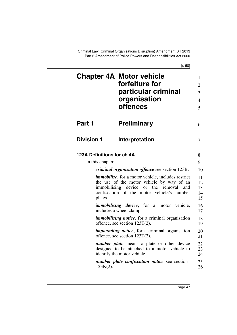Criminal Law (Criminal Organisations Disruption) Amendment Bill 2013 Part 6 Amendment of Police Powers and Responsibilities Act 2000

|                            | <b>Chapter 4A Motor vehicle</b><br>forfeiture for<br>particular criminal<br>organisation<br><b>offences</b>                                                                                                            | 1<br>$\overline{2}$<br>3<br>$\overline{4}$<br>5 |
|----------------------------|------------------------------------------------------------------------------------------------------------------------------------------------------------------------------------------------------------------------|-------------------------------------------------|
| Part 1                     | <b>Preliminary</b>                                                                                                                                                                                                     | 6                                               |
| <b>Division 1</b>          | Interpretation                                                                                                                                                                                                         | 7                                               |
| 123A Definitions for ch 4A |                                                                                                                                                                                                                        | 8                                               |
| In this chapter—           |                                                                                                                                                                                                                        | 9                                               |
|                            | <i>criminal organisation offence see section 123B.</i>                                                                                                                                                                 | 10                                              |
| plates.                    | <i>immobilise</i> , for a motor vehicle, includes restrict<br>the use of the motor vehicle by way of an<br>immobilising device<br><sub>or</sub><br>the<br>removal<br>and<br>confiscation of the motor vehicle's number | 11<br>12<br>13<br>14<br>15                      |
|                            | <i>immobilising device</i> , for a motor vehicle,<br>includes a wheel clamp.                                                                                                                                           | 16<br>17                                        |
|                            | <i>immobilising notice</i> , for a criminal organisation<br>offence, see section $123T(2)$ .                                                                                                                           | 18<br>19                                        |
|                            | <i>impounding notice</i> , for a criminal organisation<br>offence, see section $123T(2)$ .                                                                                                                             | 20<br>21                                        |
|                            | <i>number plate</i> means a plate or other device<br>designed to be attached to a motor vehicle to<br>identify the motor vehicle.                                                                                      | 22<br>23<br>24                                  |
| $123K(2)$ .                | number plate confiscation notice see section                                                                                                                                                                           | 25<br>26                                        |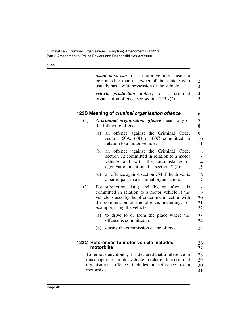<span id="page-49-0"></span>

|     | <i>usual possessor</i> , of a motor vehicle, means a<br>person other than an owner of the vehicle who<br>usually has lawful possession of the vehicle.                                                                                     | $\mathbf{1}$<br>$\overline{c}$<br>3 |
|-----|--------------------------------------------------------------------------------------------------------------------------------------------------------------------------------------------------------------------------------------------|-------------------------------------|
|     | <i>vehicle production notice</i> , for a<br>criminal<br>organisation offence, see section 123N(2).                                                                                                                                         | $\overline{4}$<br>5                 |
|     | 123B Meaning of criminal organisation offence                                                                                                                                                                                              | 6                                   |
| (1) | A criminal organisation offence means any of<br>the following offences-                                                                                                                                                                    | 7<br>8                              |
|     | an offence against the Criminal Code,<br>(a)<br>section 60A, 60B or 60C committed in<br>relation to a motor vehicle;                                                                                                                       | 9<br>10<br>11                       |
|     | an offence against the Criminal Code,<br>(b)<br>section 72 committed in relation to a motor<br>vehicle<br>and<br>with the circumstance<br>of<br>aggravation mentioned in section $72(2)$ ;                                                 | 12<br>13<br>14<br>15                |
|     | (c)<br>an offence against section 754 if the driver is<br>a participant in a criminal organisation.                                                                                                                                        | 16<br>17                            |
| (2) | For subsection $(1)(a)$ and $(b)$ , an offence is<br>committed in relation to a motor vehicle if the<br>vehicle is used by the offender in connection with<br>the commission of the offence, including, for<br>example, using the vehicle— | 18<br>19<br>20<br>21<br>22          |
|     | to drive to or from the place where the<br>(a)<br>offence is committed; or                                                                                                                                                                 | 23<br>24                            |
|     | during the commission of the offence.<br>(b)                                                                                                                                                                                               | 25                                  |
|     | 123C References to motor vehicle includes<br>motorbike                                                                                                                                                                                     | 26<br>27                            |
|     | To remove any doubt, it is declared that a reference in<br>this chapter to a motor vehicle in relation to a criminal<br>organisation<br>includes<br>offence<br>reference<br>$\rm{a}$<br>to<br>a<br>motorbike.                              | 28<br>29<br>30<br>31                |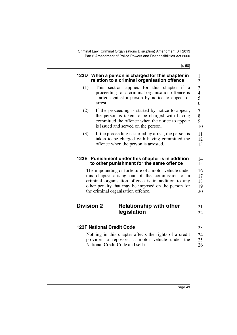Criminal Law (Criminal Organisations Disruption) Amendment Bill 2013 Part 6 Amendment of Police Powers and Responsibilities Act 2000

<span id="page-50-0"></span>

| 123D              | When a person is charged for this chapter in<br>relation to a criminal organisation offence                                                                                                                                                                  | $\mathbf{1}$<br>2             |
|-------------------|--------------------------------------------------------------------------------------------------------------------------------------------------------------------------------------------------------------------------------------------------------------|-------------------------------|
| (1)               | This section applies for this chapter if a<br>proceeding for a criminal organisation offence is<br>started against a person by notice to appear or<br>arrest.                                                                                                | 3<br>$\overline{4}$<br>5<br>6 |
| (2)               | If the proceeding is started by notice to appear,<br>the person is taken to be charged with having<br>committed the offence when the notice to appear<br>is issued and served on the person.                                                                 | $\tau$<br>8<br>9<br>10        |
| (3)               | If the proceeding is started by arrest, the person is<br>taken to be charged with having committed the<br>offence when the person is arrested.                                                                                                               | 11<br>12<br>13                |
|                   | 123E Punishment under this chapter is in addition<br>to other punishment for the same offence                                                                                                                                                                | 14<br>15                      |
|                   | The impounding or forfeiture of a motor vehicle under<br>this chapter arising out of the commission of a<br>criminal organisation offence is in addition to any<br>other penalty that may be imposed on the person for<br>the criminal organisation offence. | 16<br>17<br>18<br>19<br>20    |
| <b>Division 2</b> | <b>Relationship with other</b><br>legislation                                                                                                                                                                                                                | 21<br>22                      |
|                   | <b>123F National Credit Code</b>                                                                                                                                                                                                                             | 23                            |
|                   | Nothing in this chapter affects the rights of a credit                                                                                                                                                                                                       | 24                            |
|                   | provider to repossess a motor vehicle under the<br>National Credit Code and sell it.                                                                                                                                                                         | 25<br>26                      |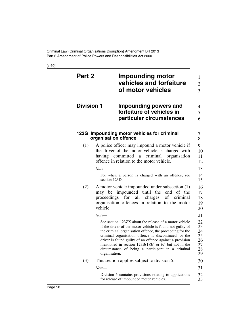<span id="page-51-0"></span>

| Part 2            |               | <b>Impounding motor</b><br>vehicles and forfeiture<br>of motor vehicles                                                                                                                                                                                                                                                                                                                                               | 1<br>$\overline{2}$<br>$\overline{3}$        |
|-------------------|---------------|-----------------------------------------------------------------------------------------------------------------------------------------------------------------------------------------------------------------------------------------------------------------------------------------------------------------------------------------------------------------------------------------------------------------------|----------------------------------------------|
| <b>Division 1</b> |               | Impounding powers and<br>forfeiture of vehicles in<br>particular circumstances                                                                                                                                                                                                                                                                                                                                        | 4<br>5<br>6                                  |
|                   |               | 123G Impounding motor vehicles for criminal<br>organisation offence                                                                                                                                                                                                                                                                                                                                                   | 7<br>8                                       |
| (1)               |               | A police officer may impound a motor vehicle if<br>the driver of the motor vehicle is charged with<br>having committed a criminal organisation<br>offence in relation to the motor vehicle.                                                                                                                                                                                                                           | 9<br>10<br>11<br>12                          |
|                   | Note—         |                                                                                                                                                                                                                                                                                                                                                                                                                       | 13                                           |
|                   | section 123D. | For when a person is charged with an offence, see                                                                                                                                                                                                                                                                                                                                                                     | 14<br>15                                     |
| (2)               | vehicle.      | A motor vehicle impounded under subsection (1)<br>may be impounded until the end of the<br>proceedings for<br>all charges of criminal<br>organisation offences in relation to the motor                                                                                                                                                                                                                               | 16<br>17<br>18<br>19<br>20                   |
|                   | Note—         |                                                                                                                                                                                                                                                                                                                                                                                                                       | 21                                           |
|                   | organisation. | See section 123ZX about the release of a motor vehicle<br>if the driver of the motor vehicle is found not guilty of<br>the criminal organisation offence, the proceeding for the<br>criminal organisation offence is discontinued, or the<br>driver is found guilty of an offence against a provision<br>mentioned in section $123B(1)(b)$ or (c) but not in the<br>circumstance of being a participant in a criminal | 22<br>23<br>24<br>25<br>26<br>27<br>28<br>29 |
| (3)               |               | This section applies subject to division 5.                                                                                                                                                                                                                                                                                                                                                                           | 30                                           |
|                   | Note—         |                                                                                                                                                                                                                                                                                                                                                                                                                       | 31                                           |
|                   |               | Division 5 contains provisions relating to applications<br>for release of impounded motor vehicles.                                                                                                                                                                                                                                                                                                                   | 32<br>33                                     |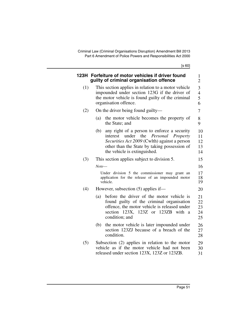<span id="page-52-0"></span>

|     | 123H Forfeiture of motor vehicles if driver found<br>guilty of criminal organisation offence                                                                                                                                           | 1<br>$\overline{2}$           |
|-----|----------------------------------------------------------------------------------------------------------------------------------------------------------------------------------------------------------------------------------------|-------------------------------|
| (1) | This section applies in relation to a motor vehicle<br>impounded under section 123G if the driver of<br>the motor vehicle is found guilty of the criminal<br>organisation offence.                                                     | 3<br>$\overline{4}$<br>5<br>6 |
| (2) | On the driver being found guilty—                                                                                                                                                                                                      | 7                             |
|     | (a)<br>the motor vehicle becomes the property of<br>the State; and                                                                                                                                                                     | 8<br>9                        |
|     | any right of a person to enforce a security<br>(b)<br>under<br>the<br>Personal<br>interest<br>Property<br>Securities Act 2009 (Cwlth) against a person<br>other than the State by taking possession of<br>the vehicle is extinguished. | 10<br>11<br>12<br>13<br>14    |
| (3) | This section applies subject to division 5.                                                                                                                                                                                            | 15                            |
|     | Note—                                                                                                                                                                                                                                  | 16                            |
|     | Under division 5 the commissioner may grant an<br>application for the release of an impounded motor<br>vehicle.                                                                                                                        | 17<br>18<br>19                |
| (4) | However, subsection (5) applies if—                                                                                                                                                                                                    | 20                            |
|     | before the driver of the motor vehicle is<br>(a)<br>found guilty of the criminal organisation<br>offence, the motor vehicle is released under<br>section 123X, 123Z or 123ZB with<br><sub>a</sub><br>condition; and                    | 21<br>22<br>23<br>24<br>25    |
|     | the motor vehicle is later impounded under<br>(b)<br>section 123ZJ because of a breach of the<br>condition.                                                                                                                            | 26<br>27<br>28                |
| (5) | Subsection (2) applies in relation to the motor<br>vehicle as if the motor vehicle had not been<br>released under section 123X, 123Z or 123ZB.                                                                                         | 29<br>30<br>31                |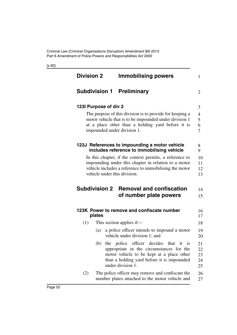<span id="page-53-0"></span>

| <b>Division 2</b> |                       | <b>Immobilising powers</b>                                                                                                                                                                             |
|-------------------|-----------------------|--------------------------------------------------------------------------------------------------------------------------------------------------------------------------------------------------------|
|                   |                       | <b>Subdivision 1 Preliminary</b>                                                                                                                                                                       |
|                   | 123I Purpose of div 2 |                                                                                                                                                                                                        |
|                   |                       | The purpose of this division is to provide for keeping a<br>motor vehicle that is to be impounded under division 1<br>at a place other than a holding yard before it is<br>impounded under division 1. |
|                   |                       | 123J References to impounding a motor vehicle<br>includes reference to immobilising vehicle                                                                                                            |
|                   |                       | In this chapter, if the context permits, a reference to<br>impounding under this chapter in relation to a motor                                                                                        |
|                   |                       | vehicle includes a reference to immobilising the motor<br>vehicle under this division.                                                                                                                 |
|                   | <b>Subdivision 2</b>  | <b>Removal and confiscation</b><br>of number plate powers                                                                                                                                              |
|                   | plates                | 123K Power to remove and confiscate number                                                                                                                                                             |
| (1)               |                       | This section applies if-                                                                                                                                                                               |
|                   | (a)                   | a police officer intends to impound a motor<br>vehicle under division 1; and                                                                                                                           |
|                   | (b)                   | the police officer decides that it is<br>appropriate in the circumstances for the<br>motor vehicle to be kept at a place other<br>than a holding yard before it is impounded<br>under division 1.      |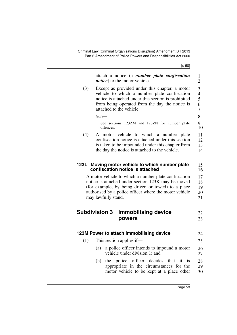| (3)<br>(4) | attach a notice (a <i>number plate confiscation</i><br><i>notice</i> ) to the motor vehicle.<br>Except as provided under this chapter, a motor<br>vehicle to which a number plate confiscation<br>notice is attached under this section is prohibited<br>from being operated from the day the notice is<br>attached to the vehicle.<br>Note—<br>See sections 123ZM and 123ZN for number plate<br>offences.<br>A motor vehicle to which a number plate<br>confiscation notice is attached under this section | $\mathbf{1}$<br>$\overline{2}$<br>3<br>$\overline{\mathcal{L}}$<br>5<br>6<br>7<br>8<br>9<br>10<br>11 |
|------------|-------------------------------------------------------------------------------------------------------------------------------------------------------------------------------------------------------------------------------------------------------------------------------------------------------------------------------------------------------------------------------------------------------------------------------------------------------------------------------------------------------------|------------------------------------------------------------------------------------------------------|
|            | is taken to be impounded under this chapter from                                                                                                                                                                                                                                                                                                                                                                                                                                                            | 12<br>13                                                                                             |
|            | the day the notice is attached to the vehicle.                                                                                                                                                                                                                                                                                                                                                                                                                                                              | 14                                                                                                   |
|            |                                                                                                                                                                                                                                                                                                                                                                                                                                                                                                             |                                                                                                      |
|            | 123L Moving motor vehicle to which number plate<br>confiscation notice is attached                                                                                                                                                                                                                                                                                                                                                                                                                          | 15<br>16                                                                                             |
|            | A motor vehicle to which a number plate confiscation                                                                                                                                                                                                                                                                                                                                                                                                                                                        | 17                                                                                                   |
|            | notice is attached under section 123K may be moved<br>(for example, by being driven or towed) to a place                                                                                                                                                                                                                                                                                                                                                                                                    | 18<br>19                                                                                             |
|            | authorised by a police officer where the motor vehicle                                                                                                                                                                                                                                                                                                                                                                                                                                                      | 20                                                                                                   |
|            | may lawfully stand.                                                                                                                                                                                                                                                                                                                                                                                                                                                                                         | 21                                                                                                   |
|            |                                                                                                                                                                                                                                                                                                                                                                                                                                                                                                             |                                                                                                      |
|            | <b>Subdivision 3</b><br><b>Immobilising device</b>                                                                                                                                                                                                                                                                                                                                                                                                                                                          | 22                                                                                                   |
|            | powers                                                                                                                                                                                                                                                                                                                                                                                                                                                                                                      | 23                                                                                                   |
|            | 123M Power to attach immobilising device                                                                                                                                                                                                                                                                                                                                                                                                                                                                    | 24                                                                                                   |
| (1)        | This section applies if—                                                                                                                                                                                                                                                                                                                                                                                                                                                                                    | 25                                                                                                   |
|            | (a) a police officer intends to impound a motor                                                                                                                                                                                                                                                                                                                                                                                                                                                             | 26                                                                                                   |
|            | vehicle under division 1; and                                                                                                                                                                                                                                                                                                                                                                                                                                                                               | 27                                                                                                   |
|            | officer decides<br>(b)<br>police<br>that it<br>the<br>$-1S$                                                                                                                                                                                                                                                                                                                                                                                                                                                 | 28                                                                                                   |
|            | appropriate in the circumstances for the                                                                                                                                                                                                                                                                                                                                                                                                                                                                    | 29                                                                                                   |
|            | motor vehicle to be kept at a place other                                                                                                                                                                                                                                                                                                                                                                                                                                                                   | 30                                                                                                   |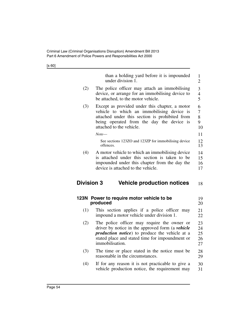<span id="page-55-0"></span>

|      | than a holding yard before it is impounded<br>under division 1.                                                                                                                                                         |
|------|-------------------------------------------------------------------------------------------------------------------------------------------------------------------------------------------------------------------------|
|      |                                                                                                                                                                                                                         |
| (2)  | The police officer may attach an immobilising<br>device, or arrange for an immobilising device to<br>be attached, to the motor vehicle.                                                                                 |
| (3)  | Except as provided under this chapter, a motor<br>vehicle to which an immobilising device is<br>attached under this section is prohibited from<br>being operated from the day the device is<br>attached to the vehicle. |
|      | Note—                                                                                                                                                                                                                   |
|      | See sections 123ZO and 123ZP for immobilising device<br>offences.                                                                                                                                                       |
| (4)  | A motor vehicle to which an immobilising device<br>is attached under this section is taken to be                                                                                                                        |
|      |                                                                                                                                                                                                                         |
|      | impounded under this chapter from the day the<br>device is attached to the vehicle.<br><b>Division 3</b><br><b>Vehicle production notices</b>                                                                           |
|      | Power to require motor vehicle to be                                                                                                                                                                                    |
| (1)  | produced<br>This section applies if a police officer may<br>impound a motor vehicle under division 1.                                                                                                                   |
| (2)  | The police officer may require the owner or                                                                                                                                                                             |
|      | driver by notice in the approved form (a vehicle                                                                                                                                                                        |
| 123N | <i>production notice</i> ) to produce the vehicle at a<br>stated place and stated time for impoundment or<br>immobilisation.                                                                                            |
| (3)  | The time or place stated in the notice must be<br>reasonable in the circumstances.                                                                                                                                      |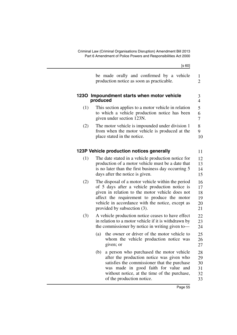|     | be made orally and confirmed by a vehicle<br>production notice as soon as practicable.                                                                                                                                                                                                   | 1<br>$\overline{2}$              |
|-----|------------------------------------------------------------------------------------------------------------------------------------------------------------------------------------------------------------------------------------------------------------------------------------------|----------------------------------|
|     | 1230 Impoundment starts when motor vehicle<br>produced                                                                                                                                                                                                                                   | 3<br>$\overline{4}$              |
| (1) | This section applies to a motor vehicle in relation<br>to which a vehicle production notice has been<br>given under section 123N.                                                                                                                                                        | 5<br>6<br>$\overline{7}$         |
| (2) | The motor vehicle is impounded under division 1<br>from when the motor vehicle is produced at the<br>place stated in the notice.                                                                                                                                                         | 8<br>9<br>10                     |
|     | 123P Vehicle production notices generally                                                                                                                                                                                                                                                | 11                               |
| (1) | The date stated in a vehicle production notice for<br>production of a motor vehicle must be a date that<br>is no later than the first business day occurring 5<br>days after the notice is given.                                                                                        | 12<br>13<br>14<br>15             |
| (2) | The disposal of a motor vehicle within the period<br>of 5 days after a vehicle production notice is<br>given in relation to the motor vehicle does not<br>affect the requirement to produce the motor<br>vehicle in accordance with the notice, except as<br>provided by subsection (3). |                                  |
| (3) | A vehicle production notice ceases to have effect<br>in relation to a motor vehicle if it is withdrawn by<br>the commissioner by notice in writing given to-                                                                                                                             | 22<br>23<br>24                   |
|     | the owner or driver of the motor vehicle to<br>(a)<br>whom the vehicle production notice was<br>given; or                                                                                                                                                                                | 25<br>26<br>27                   |
|     | (b)<br>a person who purchased the motor vehicle<br>after the production notice was given who<br>satisfies the commissioner that the purchase<br>was made in good faith for value and<br>without notice, at the time of the purchase,<br>of the production notice.                        | 28<br>29<br>30<br>31<br>32<br>33 |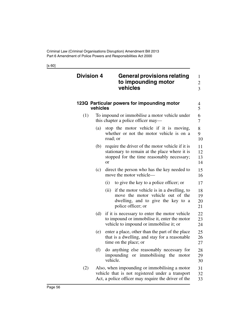| <b>Division 4</b> |          | <b>General provisions relating</b><br>to impounding motor<br>vehicles                                                                                            | 1<br>$\overline{2}$<br>3 |
|-------------------|----------|------------------------------------------------------------------------------------------------------------------------------------------------------------------|--------------------------|
|                   | vehicles | 123Q Particular powers for impounding motor                                                                                                                      | 4<br>5                   |
| (1)               |          | To impound or immobilise a motor vehicle under<br>this chapter a police officer may—                                                                             | 6<br>7                   |
|                   | (a)      | stop the motor vehicle if it is moving,<br>whether or not the motor vehicle is on a<br>road; or                                                                  | 8<br>9<br>10             |
|                   | (b)      | require the driver of the motor vehicle if it is<br>stationary to remain at the place where it is<br>stopped for the time reasonably necessary;<br><sub>or</sub> | 11<br>12<br>13<br>14     |
|                   | (c)      | direct the person who has the key needed to<br>move the motor vehicle—                                                                                           | 15<br>16                 |
|                   |          | to give the key to a police officer; or<br>(i)                                                                                                                   | 17                       |
|                   |          | if the motor vehicle is in a dwelling, to<br>(ii)<br>move the motor vehicle out of the<br>dwelling, and to give the key to a<br>police officer; or               | 18<br>19<br>20<br>21     |
|                   | (d)      | if it is necessary to enter the motor vehicle<br>to impound or immobilise it, enter the motor<br>vehicle to impound or immobilise it; or                         | 22<br>23<br>24           |
|                   | (e)      | enter a place, other than the part of the place<br>that is a dwelling, and stay for a reasonable<br>time on the place; or                                        | 25<br>26<br>27           |
|                   | (f)      | do anything else reasonably necessary for<br>impounding or immobilising the motor<br>vehicle.                                                                    | 28<br>29<br>30           |
| (2)               |          | Also, when impounding or immobilising a motor<br>vehicle that is not registered under a transport<br>Act, a police officer may require the driver of the         | 31<br>32<br>33           |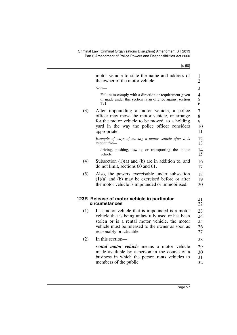motor vehicle to state the name and address of the owner of the motor vehicle. *Note*— Failure to comply with a direction or requirement given or made under this section is an offence against section 791. (3) After impounding a motor vehicle, a police officer may move the motor vehicle, or arrange for the motor vehicle to be moved, to a holding yard in the way the police officer considers appropriate. *Example of ways of moving a motor vehicle after it is impounded* driving, pushing, towing or transporting the motor vehicle (4) Subsection (1)(a) and (b) are in addition to, and do not limit, sections 60 and 61. (5) Also, the powers exercisable under subsection (1)(a) and (b) may be exercised before or after the motor vehicle is impounded or immobilised. **123R Release of motor vehicle in particular circumstances** (1) If a motor vehicle that is impounded is a motor vehicle that is being unlawfully used or has been stolen or is a rental motor vehicle, the motor vehicle must be released to the owner as soon as reasonably practicable. (2) In this section *rental motor vehicle* means a motor vehicle made available by a person in the course of a business in which the person rents vehicles to members of the public. 1 2 3 4 5 6 7 8 9 10 11 12 13 14 15 16 17 18 19 20 21 22 23 24 25 26 27 28 29 30 31 32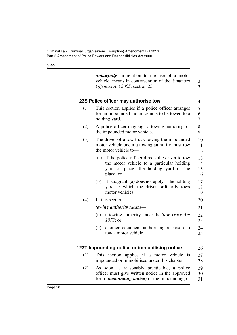<span id="page-59-0"></span>

|     | <i>unlawfully</i> , in relation to the use of a motor<br>vehicle, means in contravention of the Summary<br>Offences Act 2005, section 25.                | 1<br>$\overline{\mathbf{c}}$<br>$\overline{3}$ |
|-----|----------------------------------------------------------------------------------------------------------------------------------------------------------|------------------------------------------------|
|     | 123S Police officer may authorise tow                                                                                                                    | 4                                              |
| (1) | This section applies if a police officer arranges<br>for an impounded motor vehicle to be towed to a<br>holding yard.                                    | 5<br>6<br>$\tau$                               |
| (2) | A police officer may sign a towing authority for<br>the impounded motor vehicle.                                                                         | 8<br>9                                         |
| (3) | The driver of a tow truck towing the impounded<br>motor vehicle under a towing authority must tow<br>the motor vehicle to-                               | 10<br>11<br>12                                 |
|     | (a) if the police officer directs the driver to tow<br>the motor vehicle to a particular holding<br>yard or place—the holding yard or the<br>place; or   | 13<br>14<br>15<br>16                           |
|     | if paragraph (a) does not apply—the holding<br>(b)<br>yard to which the driver ordinarily tows<br>motor vehicles.                                        | 17<br>18<br>19                                 |
| (4) | In this section—                                                                                                                                         | 20                                             |
|     | towing authority means-                                                                                                                                  | 21                                             |
|     | a towing authority under the Tow Truck Act<br>(a)<br>$1973$ ; or                                                                                         | 22<br>23                                       |
|     | another document authorising a person to<br>(b)<br>tow a motor vehicle.                                                                                  | 24<br>25                                       |
|     | 123T Impounding notice or immobilising notice                                                                                                            | 26                                             |
| (1) | This section applies if a motor vehicle is<br>impounded or immobilised under this chapter.                                                               | 27<br>28                                       |
| (2) | As soon as reasonably practicable, a police<br>officer must give written notice in the approved<br>form <i>(impounding notice)</i> of the impounding, or | 29<br>30<br>31                                 |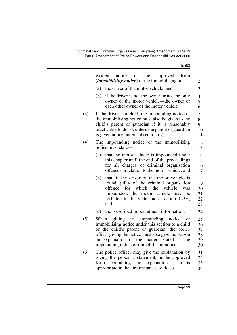|     | written<br>notice<br>in<br>the<br>approved<br>form<br><i>(immobilising notice)</i> of the immobilising, to-                                                                                                                                                                                                 | 1<br>$\overline{2}$                  |
|-----|-------------------------------------------------------------------------------------------------------------------------------------------------------------------------------------------------------------------------------------------------------------------------------------------------------------|--------------------------------------|
|     | the driver of the motor vehicle; and<br>(a)                                                                                                                                                                                                                                                                 | 3                                    |
|     | (b)<br>if the driver is not the owner or not the only<br>owner of the motor vehicle—the owner or<br>each other owner of the motor vehicle.                                                                                                                                                                  | $\overline{4}$<br>5<br>6             |
| (3) | If the driver is a child, the impounding notice or<br>the immobilising notice must also be given to the<br>child's parent or guardian if it is reasonably<br>practicable to do so, unless the parent or guardian<br>is given notice under subsection (2).                                                   | $\overline{7}$<br>8<br>9<br>10<br>11 |
| (4) | The impounding notice or the immobilising<br>notice must state—                                                                                                                                                                                                                                             | 12<br>13                             |
|     | that the motor vehicle is impounded under<br>(a)<br>this chapter until the end of the proceedings<br>for all charges of criminal organisation<br>offences in relation to the motor vehicle; and                                                                                                             | 14<br>15<br>16<br>17                 |
|     | that, if the driver of the motor vehicle is<br>(b)<br>found guilty of the criminal organisation<br>offence<br>for<br>which<br>the<br>vehicle<br>was<br>impounded, the motor vehicle may be<br>forfeited to the State under section 123H;<br>and                                                             | 18<br>19<br>20<br>21<br>22<br>23     |
|     | the prescribed impoundment information.<br>(c)                                                                                                                                                                                                                                                              | 24                                   |
| (5) | giving<br>When<br>impounding<br>notice<br>an<br>or<br>immobilising notice under this section to a child<br>or the child's parent or guardian, the police<br>officer giving the notice must also give the person<br>an explanation of the matters stated in the<br>impounding notice or immobilising notice. | 25<br>26<br>27<br>28<br>29<br>30     |
| (6) | The police officer may give the explanation by<br>giving the person a statement, in the approved<br>containing the explanation<br>if<br>it<br>$\frac{1}{1}$<br>form,<br>appropriate in the circumstances to do so.                                                                                          | 31<br>32<br>33<br>34                 |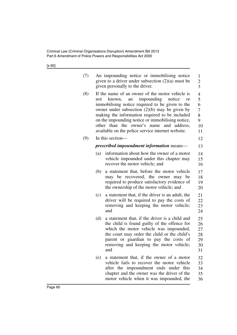| (7) | An impounding notice or immobilising notice<br>given to a driver under subsection $(2)(a)$ must be<br>given personally to the driver.                                                                                                                                                                                                                                                                                       | $\mathbf{1}$<br>$\overline{c}$<br>$\overline{3}$ |
|-----|-----------------------------------------------------------------------------------------------------------------------------------------------------------------------------------------------------------------------------------------------------------------------------------------------------------------------------------------------------------------------------------------------------------------------------|--------------------------------------------------|
| (8) | If the name of an owner of the motor vehicle is<br>impounding<br>notice<br>known,<br>not<br>an<br><b>or</b><br>immobilising notice required to be given to the<br>owner under subsection $(2)(b)$ may be given by<br>making the information required to be included<br>on the impounding notice or immobilising notice,<br>other than the owner's name<br>and address,<br>available on the police service internet website. | 4<br>5<br>6<br>7<br>8<br>9<br>10<br>11           |
| (9) | In this section—                                                                                                                                                                                                                                                                                                                                                                                                            | 12                                               |
|     | <i>prescribed impoundment information means—</i>                                                                                                                                                                                                                                                                                                                                                                            | 13                                               |
|     | information about how the owner of a motor<br>(a)<br>vehicle impounded under this chapter may<br>recover the motor vehicle; and                                                                                                                                                                                                                                                                                             | 14<br>15<br>16                                   |
|     | a statement that, before the motor vehicle<br>(b)<br>may be recovered, the owner may be<br>required to produce satisfactory evidence of<br>the ownership of the motor vehicle; and                                                                                                                                                                                                                                          | 17<br>18<br>19<br>20                             |
|     | a statement that, if the driver is an adult, the<br>(c)<br>driver will be required to pay the costs of<br>removing and keeping the motor vehicle;<br>and                                                                                                                                                                                                                                                                    | 21<br>22<br>23<br>24                             |
|     | a statement that, if the driver is a child and<br>(d)<br>the child is found guilty of the offence for<br>which the motor vehicle was impounded,<br>the court may order the child or the child's<br>parent or guardian to pay the costs of<br>removing and keeping the motor vehicle;<br>and                                                                                                                                 | 25<br>26<br>27<br>28<br>29<br>30<br>31           |
|     | (e)<br>a statement that, if the owner of a motor<br>vehicle fails to recover the motor vehicle<br>after the impoundment ends under this<br>chapter and the owner was the driver of the<br>motor vehicle when it was impounded, the                                                                                                                                                                                          | 32<br>33<br>34<br>35<br>36                       |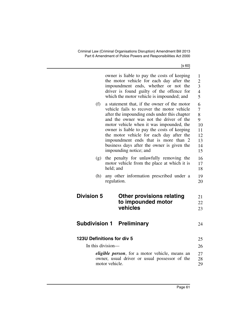|                   | owner is liable to pay the costs of keeping<br>the motor vehicle for each day after the<br>impoundment ends, whether or not<br>the<br>driver is found guilty of the offence for<br>which the motor vehicle is impounded; and                                                                                                                                                                                                                | $\mathbf{1}$<br>$\overline{2}$<br>3<br>$\overline{4}$<br>5        |
|-------------------|---------------------------------------------------------------------------------------------------------------------------------------------------------------------------------------------------------------------------------------------------------------------------------------------------------------------------------------------------------------------------------------------------------------------------------------------|-------------------------------------------------------------------|
| (f)               | a statement that, if the owner of the motor<br>vehicle fails to recover the motor vehicle<br>after the impounding ends under this chapter<br>and the owner was not the driver of the<br>motor vehicle when it was impounded, the<br>owner is liable to pay the costs of keeping<br>the motor vehicle for each day after the<br>impoundment ends that is more than 2<br>business days after the owner is given the<br>impounding notice; and | 6<br>$\overline{7}$<br>8<br>9<br>10<br>11<br>12<br>13<br>14<br>15 |
| (g)               | the penalty for unlawfully removing the<br>motor vehicle from the place at which it is<br>held; and                                                                                                                                                                                                                                                                                                                                         | 16<br>17<br>18                                                    |
| (h)               | any other information prescribed under a<br>regulation.                                                                                                                                                                                                                                                                                                                                                                                     | 19<br>20                                                          |
| <b>Division 5</b> | <b>Other provisions relating</b><br>to impounded motor<br>vehicles                                                                                                                                                                                                                                                                                                                                                                          | 21<br>22<br>23                                                    |
|                   | <b>Subdivision 1 Preliminary</b>                                                                                                                                                                                                                                                                                                                                                                                                            | 24                                                                |
| In this division— | 123U Definitions for div 5                                                                                                                                                                                                                                                                                                                                                                                                                  | 25<br>26                                                          |
|                   | <i>eligible person</i> , for a motor vehicle, means an<br>owner, usual driver or usual possessor of the<br>motor vehicle.                                                                                                                                                                                                                                                                                                                   | 27<br>28<br>29                                                    |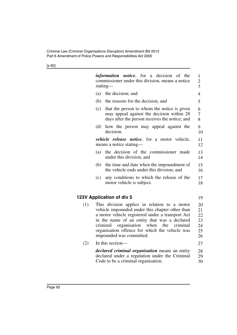|     |     | <i>information notice</i> , for a decision of the<br>commissioner under this division, means a notice<br>stating-                                                                                                                                                                                                                  | 1<br>$\overline{c}$<br>$\overline{3}$  |
|-----|-----|------------------------------------------------------------------------------------------------------------------------------------------------------------------------------------------------------------------------------------------------------------------------------------------------------------------------------------|----------------------------------------|
|     | (a) | the decision; and                                                                                                                                                                                                                                                                                                                  | 4                                      |
|     | (b) | the reasons for the decision; and                                                                                                                                                                                                                                                                                                  | 5                                      |
|     | (c) | that the person to whom the notice is given<br>may appeal against the decision within 28<br>days after the person receives the notice; and                                                                                                                                                                                         | 6<br>7<br>8                            |
|     | (d) | how the person may appeal against the<br>decision.                                                                                                                                                                                                                                                                                 | 9<br>10                                |
|     |     | <i>vehicle release notice</i> , for a motor vehicle,<br>means a notice stating-                                                                                                                                                                                                                                                    | 11<br>12                               |
|     | (a) | the decision of the commissioner made<br>under this division; and                                                                                                                                                                                                                                                                  | 13<br>14                               |
|     | (b) | the time and date when the impoundment of<br>the vehicle ends under this division; and                                                                                                                                                                                                                                             | 15<br>16                               |
|     | (c) | any conditions to which the release of the<br>motor vehicle is subject.                                                                                                                                                                                                                                                            | 17<br>18                               |
|     |     | 123V Application of div 5                                                                                                                                                                                                                                                                                                          | 19                                     |
| (1) |     | This division applies in relation to a motor<br>vehicle impounded under this chapter other than<br>a motor vehicle registered under a transport Act<br>in the name of an entity that was a declared<br>criminal organisation when<br>the<br>criminal<br>organisation offence for which the vehicle was<br>impounded was committed. | 20<br>21<br>22<br>23<br>24<br>25<br>26 |
| (2) |     | In this section-                                                                                                                                                                                                                                                                                                                   | 27                                     |
|     |     | <i>declared criminal organisation</i> means an entity<br>declared under a regulation under the Criminal<br>Code to be a criminal organisation.                                                                                                                                                                                     | 28<br>29<br>30                         |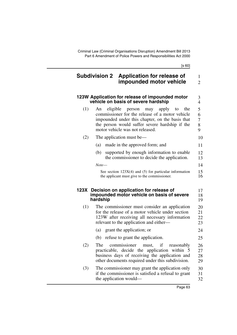3

## **Subdivision 2 Application for release of impounded motor vehicle** 1 2

## <span id="page-64-1"></span>**123W Application for release of impounded motor vehicle on basis of severe hardship**

<span id="page-64-0"></span>

|     | vehicle on basis of severe hardship                                                                                                                                                                                                        | 4                          |
|-----|--------------------------------------------------------------------------------------------------------------------------------------------------------------------------------------------------------------------------------------------|----------------------------|
| (1) | eligible<br>person may apply<br>the<br>An<br>to<br>commissioner for the release of a motor vehicle<br>impounded under this chapter, on the basis that<br>the person would suffer severe hardship if the<br>motor vehicle was not released. | 5<br>6<br>$\tau$<br>8<br>9 |
| (2) | The application must be—                                                                                                                                                                                                                   | 10                         |
|     | made in the approved form; and<br>(a)                                                                                                                                                                                                      | 11                         |
|     | supported by enough information to enable<br>(b)<br>the commissioner to decide the application.                                                                                                                                            | 12<br>13                   |
|     | Note—                                                                                                                                                                                                                                      | 14                         |
|     | See section $123X(4)$ and (5) for particular information<br>the applicant must give to the commissioner.                                                                                                                                   | 15<br>16                   |
|     | 123X Decision on application for release of<br>impounded motor vehicle on basis of severe<br>hardship                                                                                                                                      | 17<br>18<br>19             |
| (1) | The commissioner must consider an application<br>for the release of a motor vehicle under section<br>123W after receiving all necessary information<br>relevant to the application and either—                                             | 20<br>21<br>22<br>23       |
|     | (a) grant the application; or                                                                                                                                                                                                              | 24                         |
|     | refuse to grant the application.<br>(b)                                                                                                                                                                                                    | 25                         |
| (2) | commissioner<br>must, if<br>The<br>reasonably                                                                                                                                                                                              | 26                         |
|     | practicable, decide the application within 5<br>business days of receiving the application and<br>other documents required under this subdivision.                                                                                         | 27<br>28<br>29             |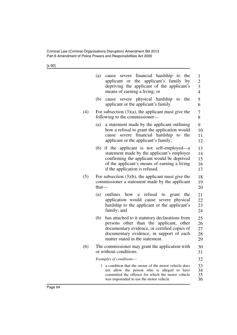|     | cause severe financial hardship to<br>(a)<br>the<br>applicant or the applicant's family<br>by<br>depriving the applicant of the applicant's<br>means of earning a living; or                                                    | $\mathbf{1}$<br>$\overline{\mathbf{c}}$<br>$\overline{3}$<br>$\overline{4}$ |
|-----|---------------------------------------------------------------------------------------------------------------------------------------------------------------------------------------------------------------------------------|-----------------------------------------------------------------------------|
|     | severe physical hardship<br>(b)<br>to<br>the<br>cause<br>applicant or the applicant's family.                                                                                                                                   | 5<br>6                                                                      |
| (4) | For subsection $(3)(a)$ , the applicant must give the<br>following to the commissioner—                                                                                                                                         | 7<br>8                                                                      |
|     | a statement made by the applicant outlining<br>(a)<br>how a refusal to grant the application would<br>financial hardship<br>severe<br>to<br>the<br>cause<br>applicant or the applicant's family;                                | 9<br>10<br>11<br>12                                                         |
|     | (b) if the applicant is not self-employed—a<br>statement made by the applicant's employer<br>confirming the applicant would be deprived<br>of the applicant's means of earning a living<br>if the application is refused.       | 13<br>14<br>15<br>16<br>17                                                  |
| (5) | For subsection $(3)(b)$ , the applicant must give the<br>commissioner a statement made by the applicant<br>that-                                                                                                                | 18<br>19<br>20                                                              |
|     | how<br>refusal<br>(a)<br>outlines<br>to<br>grant<br>a a<br>the<br>application would cause severe physical<br>hardship to the applicant or the applicant's<br>family; and                                                        | 21<br>22<br>23<br>24                                                        |
|     | has attached to it statutory declarations from<br>(b)<br>persons other than the applicant, other<br>documentary evidence, or certified copies of<br>documentary evidence, in support of each<br>matter stated in the statement. | 25<br>26<br>27<br>28<br>29                                                  |
| (6) | The commissioner may grant the application with<br>or without conditions.                                                                                                                                                       | 30<br>31                                                                    |
|     | Examples of conditions-                                                                                                                                                                                                         | 32                                                                          |
|     | 1 a condition that the owner of the motor vehicle does<br>not allow the person who is alleged to have<br>committed the offence for which the motor vehicle<br>was impounded to use the motor vehicle                            | 33<br>34<br>35<br>36                                                        |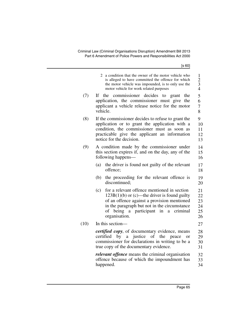|      | 2 a condition that the owner of the motor vehicle who<br>is alleged to have committed the offence for which<br>the motor vehicle was impounded, is to only use the<br>motor vehicle for work related purposes                                                         | $\mathbf{1}$<br>$\begin{array}{c} 2 \\ 3 \\ 4 \end{array}$ |
|------|-----------------------------------------------------------------------------------------------------------------------------------------------------------------------------------------------------------------------------------------------------------------------|------------------------------------------------------------|
| (7)  | If<br>the commissioner decides<br>to<br>grant<br>the<br>application, the commissioner must give the<br>applicant a vehicle release notice for the motor<br>vehicle.                                                                                                   | 5<br>6<br>7<br>8                                           |
| (8)  | If the commissioner decides to refuse to grant the<br>application or to grant the application with a<br>condition, the commissioner must as soon as<br>practicable give the applicant an information<br>notice for the decision.                                      | 9<br>10<br>11<br>12<br>13                                  |
| (9)  | A condition made by the commissioner under<br>this section expires if, and on the day, any of the<br>following happens-                                                                                                                                               | 14<br>15<br>16                                             |
|      | the driver is found not guilty of the relevant<br>(a)<br>offence;                                                                                                                                                                                                     | 17<br>18                                                   |
|      | (b)<br>the proceeding for the relevant offence is<br>discontinued;                                                                                                                                                                                                    | 19<br>20                                                   |
|      | for a relevant offence mentioned in section<br>(c)<br>$123B(1)(b)$ or (c)—the driver is found guilty<br>of an offence against a provision mentioned<br>in the paragraph but not in the circumstance<br>being a participant in<br>of<br>criminal<br>a<br>organisation. | 21<br>22<br>23<br>24<br>25<br>26                           |
| (10) | In this section-                                                                                                                                                                                                                                                      | 27                                                         |
|      | certified copy, of documentary evidence, means<br>of the peace<br>certified by<br>a justice<br>or<br>commissioner for declarations in writing to be a<br>true copy of the documentary evidence.                                                                       | 28<br>29<br>30<br>31                                       |
|      | <i>relevant offence</i> means the criminal organisation<br>offence because of which the impoundment has<br>happened.                                                                                                                                                  | 32<br>33<br>34                                             |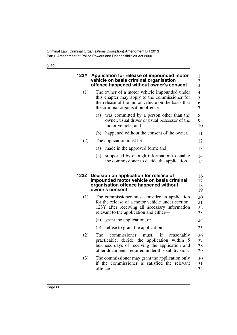<span id="page-67-1"></span><span id="page-67-0"></span>

| 123Y | Application for release of impounded motor<br>vehicle on basis criminal organisation<br>offence happened without owner's consent                                                                       | 1<br>$\overline{c}$<br>3                             |
|------|--------------------------------------------------------------------------------------------------------------------------------------------------------------------------------------------------------|------------------------------------------------------|
| (1)  | The owner of a motor vehicle impounded under<br>this chapter may apply to the commissioner for<br>the release of the motor vehicle on the basis that<br>the criminal organisation offence—             | $\overline{\mathcal{L}}$<br>5<br>6<br>$\overline{7}$ |
|      | was committed by a person other than the<br>(a)<br>owner, usual driver or usual possessor of the<br>motor vehicle; and                                                                                 | 8<br>9<br>10                                         |
|      | happened without the consent of the owner.<br>(b)                                                                                                                                                      | 11                                                   |
| (2)  | The application must be—                                                                                                                                                                               | 12                                                   |
|      | made in the approved form; and<br>(a)                                                                                                                                                                  | 13                                                   |
|      | (b)<br>supported by enough information to enable<br>the commissioner to decide the application.                                                                                                        | 14<br>15                                             |
|      |                                                                                                                                                                                                        |                                                      |
| 123Z | Decision on application for release of<br>impounded motor vehicle on basis criminal<br>organisation offence happened without<br>owner's consent                                                        | 16<br>17<br>18<br>19                                 |
| (1)  | The commissioner must consider an application<br>for the release of a motor vehicle under section<br>123Y after receiving all necessary information<br>relevant to the application and either—         | 20<br>21<br>22<br>23                                 |
|      | (a)<br>grant the application; or                                                                                                                                                                       | 24                                                   |
|      | refuse to grant the application.<br>(b)                                                                                                                                                                | 25                                                   |
| (2)  | The<br>if<br>commissioner<br>must,<br>reasonably<br>practicable, decide the application within 5<br>business days of receiving the application and<br>other documents required under this subdivision. | 26<br>27<br>28<br>29                                 |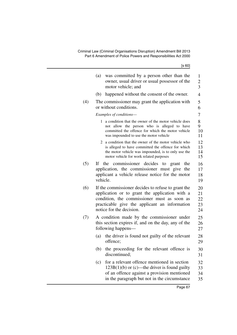|     | [s 60]                                                                                                                                                                                                                           |                            |
|-----|----------------------------------------------------------------------------------------------------------------------------------------------------------------------------------------------------------------------------------|----------------------------|
|     | (a)<br>was committed by a person other than the<br>owner, usual driver or usual possessor of the<br>motor vehicle; and                                                                                                           | 1<br>$\overline{2}$<br>3   |
|     | happened without the consent of the owner.<br>(b)                                                                                                                                                                                | 4                          |
| (4) | The commissioner may grant the application with<br>or without conditions.                                                                                                                                                        | 5<br>6                     |
|     | Examples of conditions-                                                                                                                                                                                                          | 7                          |
|     | 1 a condition that the owner of the motor vehicle does<br>not allow the person who is alleged to have<br>committed the offence for which the motor vehicle<br>was impounded to use the motor vehicle                             | 8<br>9<br>10<br>11         |
|     | 2 a condition that the owner of the motor vehicle who<br>is alleged to have committed the offence for which<br>the motor vehicle was impounded, is to only use the<br>motor vehicle for work related purposes                    | 12<br>13<br>14<br>15       |
| (5) | If the commissioner decides to grant<br>the<br>application, the commissioner must give<br>the<br>applicant a vehicle release notice for the motor<br>vehicle.                                                                    | 16<br>17<br>18<br>19       |
| (6) | If the commissioner decides to refuse to grant the<br>application or to grant the application with a<br>condition, the commissioner must as soon as<br>practicable give the applicant an information<br>notice for the decision. | 20<br>21<br>22<br>23<br>24 |
| (7) | A condition made by the commissioner under<br>this section expires if, and on the day, any of the<br>following happens—                                                                                                          | 25<br>26<br>27             |
|     | the driver is found not guilty of the relevant<br>(a)<br>offence:                                                                                                                                                                | 28<br>29                   |
|     | the proceeding for the relevant offence is<br>(b)<br>discontinued;                                                                                                                                                               | 30<br>31                   |
|     | for a relevant offence mentioned in section<br>(c)<br>$123B(1)(b)$ or (c)—the driver is found guilty<br>of an offence against a provision mentioned<br>in the paragraph but not in the circumstance                              | 32<br>33<br>34<br>35       |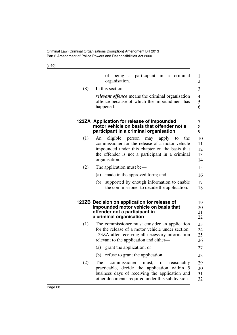<span id="page-69-1"></span><span id="page-69-0"></span>

|     | of being a participant in a criminal<br>organisation.                                                                                                                                                                          | $\mathbf{1}$<br>2          |
|-----|--------------------------------------------------------------------------------------------------------------------------------------------------------------------------------------------------------------------------------|----------------------------|
| (8) | In this section—                                                                                                                                                                                                               | 3                          |
|     | <i>relevant offence</i> means the criminal organisation<br>offence because of which the impoundment has<br>happened.                                                                                                           | 4<br>5<br>6                |
|     | 123ZA Application for release of impounded<br>motor vehicle on basis that offender not a<br>participant in a criminal organisation                                                                                             | 7<br>8<br>9                |
| (1) | eligible<br>An<br>person<br>may<br>apply<br>the<br>to<br>commissioner for the release of a motor vehicle<br>impounded under this chapter on the basis that<br>the offender is not a participant in a criminal<br>organisation. | 10<br>11<br>12<br>13<br>14 |
| (2) | The application must be—                                                                                                                                                                                                       | 15                         |
|     | made in the approved form; and<br>(a)                                                                                                                                                                                          | 16                         |
|     | supported by enough information to enable<br>(b)<br>the commissioner to decide the application.                                                                                                                                | 17<br>18                   |
|     | 123ZB Decision on application for release of<br>impounded motor vehicle on basis that<br>offender not a participant in<br>a criminal organisation                                                                              | 19<br>20<br>21<br>22       |
| (1) | The commissioner must consider an application<br>for the release of a motor vehicle under section<br>123ZA after receiving all necessary information<br>relevant to the application and either—                                | 23<br>24<br>25<br>26       |
|     | (a) grant the application; or                                                                                                                                                                                                  | 27                         |
|     | (b) refuse to grant the application.                                                                                                                                                                                           | 28                         |
| (2) | commissioner<br>must, if<br>The<br>reasonably<br>practicable, decide the application within 5<br>business days of receiving the application and<br>other documents required under this subdivision.                            | 29<br>30<br>31<br>32       |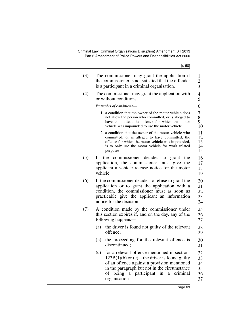Criminal Law (Criminal Organisations Disruption) Amendment Bill 2013 Part 6 Amendment of Police Powers and Responsibilities Act 2000

| (3) | The commissioner may grant the application if<br>the commissioner is not satisfied that the offender<br>is a participant in a criminal organisation.                                                                                                               | 1<br>$\overline{c}$<br>3         |
|-----|--------------------------------------------------------------------------------------------------------------------------------------------------------------------------------------------------------------------------------------------------------------------|----------------------------------|
| (4) | The commissioner may grant the application with<br>or without conditions.                                                                                                                                                                                          | 4<br>5                           |
|     | Examples of conditions-                                                                                                                                                                                                                                            | 6                                |
|     | 1 a condition that the owner of the motor vehicle does<br>not allow the person who committed, or is alleged to<br>have committed, the offence for which the motor<br>vehicle was impounded to use the motor vehicle                                                | 7<br>8<br>9<br>10                |
|     | 2 a condition that the owner of the motor vehicle who<br>committed, or is alleged to have committed, the<br>offence for which the motor vehicle was impounded,<br>is to only use the motor vehicle for work related<br>purposes                                    | 11<br>12<br>13<br>14<br>15       |
| (5) | the commissioner decides<br>If -<br>to<br>grant the<br>application, the commissioner must give the<br>applicant a vehicle release notice for the motor<br>vehicle.                                                                                                 | 16<br>17<br>18<br>19             |
| (6) | If the commissioner decides to refuse to grant the<br>application or to grant the application with a<br>condition, the commissioner must as soon as<br>practicable give the applicant an information<br>notice for the decision.                                   | 20<br>21<br>22<br>23<br>24       |
| (7) | A condition made by the commissioner under<br>this section expires if, and on the day, any of the<br>following happens—                                                                                                                                            | 25<br>26<br>27                   |
|     | the driver is found not guilty of the relevant<br>(a)<br>offence;                                                                                                                                                                                                  | 28<br>29                         |
|     | the proceeding for the relevant offence is<br>(b)<br>discontinued;                                                                                                                                                                                                 | 30<br>31                         |
|     | for a relevant offence mentioned in section<br>(c)<br>$123B(1)(b)$ or (c)—the driver is found guilty<br>of an offence against a provision mentioned<br>in the paragraph but not in the circumstance<br>of being a participant in<br>criminal<br>a<br>organisation. | 32<br>33<br>34<br>35<br>36<br>37 |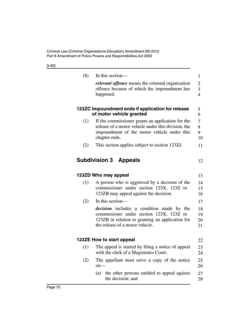| (8) | In this section-                                                                                                                                                                    |
|-----|-------------------------------------------------------------------------------------------------------------------------------------------------------------------------------------|
|     | <i>relevant offence</i> means the criminal organisation<br>offence because of which the impoundment has<br>happened.                                                                |
|     | 123ZC Impoundment ends if application for release<br>of motor vehicle granted                                                                                                       |
| (1) | If the commissioner grants an application for the<br>release of a motor vehicle under this division, the<br>impoundment of the motor vehicle under this<br>chapter ends.            |
| (2) | This section applies subject to section 123ZJ.                                                                                                                                      |
|     |                                                                                                                                                                                     |
|     |                                                                                                                                                                                     |
| (1) | 123ZD Who may appeal<br>A person who is aggrieved by a decision of the                                                                                                              |
|     | commissioner under section 123X, 123Z or<br>123ZB may appeal against the decision.                                                                                                  |
| (2) | In this section-                                                                                                                                                                    |
|     | <i>decision</i> includes a condition made by the<br>commissioner under section 123X, 123Z or<br>123ZB in relation to granting an application for<br>the release of a motor vehicle. |
|     | 123ZE How to start appeal                                                                                                                                                           |
| (1) | The appeal is started by filing a notice of appeal<br>with the clerk of a Magistrates Court.                                                                                        |
| (2) | The appellant must serve a copy of the notice<br>$on-$                                                                                                                              |
|     | the other persons entitled to appeal against<br>(a)<br>the decision; and                                                                                                            |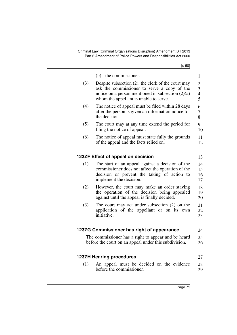|     | (b) the commissioner.                                                                              | $\mathbf{1}$        |
|-----|----------------------------------------------------------------------------------------------------|---------------------|
| (3) | Despite subsection $(2)$ , the clerk of the court may                                              | $\overline{c}$      |
|     | ask the commissioner to serve a copy of the<br>notice on a person mentioned in subsection $(2)(a)$ | 3<br>$\overline{4}$ |
|     | whom the appellant is unable to serve.                                                             | 5                   |
| (4) | The notice of appeal must be filed within 28 days                                                  | 6                   |
|     | after the person is given an information notice for<br>the decision.                               | 7<br>8              |
| (5) | The court may at any time extend the period for                                                    | 9                   |
|     | filing the notice of appeal.                                                                       | 10                  |
| (6) | The notice of appeal must state fully the grounds<br>of the appeal and the facts relied on.        | 11<br>12            |
|     |                                                                                                    |                     |
|     | 123ZF Effect of appeal on decision                                                                 | 13                  |
| (1) | The start of an appeal against a decision of the                                                   | 14                  |
|     | commissioner does not affect the operation of the                                                  | 15                  |
|     | decision or prevent the taking of action to                                                        | 16                  |
|     | implement the decision.                                                                            | 17                  |
| (2) | However, the court may make an order staying                                                       | 18                  |
|     | the operation of the decision being appealed<br>against until the appeal is finally decided.       | 19<br>20            |
| (3) | The court may act under subsection $(2)$ on the                                                    | 21                  |
|     | application of the appellant or on its own                                                         | 22                  |
|     | initiative.                                                                                        | 23                  |
|     |                                                                                                    |                     |
|     | 123ZG Commissioner has right of appearance                                                         | 24                  |
|     | The commissioner has a right to appear and be heard                                                | 25                  |
|     | before the court on an appeal under this subdivision.                                              | 26                  |
|     |                                                                                                    |                     |
|     | <b>123ZH Hearing procedures</b>                                                                    | 27                  |
| (1) | An appeal must be decided on the evidence<br>before the commissioner.                              | 28<br>29            |
|     |                                                                                                    |                     |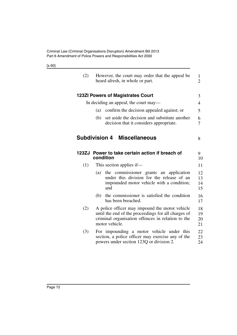| (2)   | However, the court may order that the appeal be<br>heard afresh, in whole or part.                                                                                           | $\mathbf{1}$<br>$\overline{2}$ |
|-------|------------------------------------------------------------------------------------------------------------------------------------------------------------------------------|--------------------------------|
|       | <b>123ZI Powers of Magistrates Court</b>                                                                                                                                     | 3                              |
|       | In deciding an appeal, the court may—                                                                                                                                        | 4                              |
|       | confirm the decision appealed against; or<br>(a)                                                                                                                             | 5                              |
|       | set aside the decision and substitute another<br>(b)<br>decision that it considers appropriate.                                                                              | 6<br>7                         |
|       | <b>Subdivision 4 Miscellaneous</b>                                                                                                                                           | 8                              |
| 123ZJ | Power to take certain action if breach of<br>condition                                                                                                                       | 9<br>10                        |
| (1)   | This section applies if-                                                                                                                                                     | 11                             |
|       | (a)<br>the commissioner grants an application<br>under this division for the release of an<br>impounded motor vehicle with a condition;<br>and                               | 12<br>13<br>14<br>15           |
|       | the commissioner is satisfied the condition<br>(b)<br>has been breached.                                                                                                     | 16<br>17                       |
| (2)   | A police officer may impound the motor vehicle<br>until the end of the proceedings for all charges of<br>criminal organisation offences in relation to the<br>motor vehicle. | 18<br>19<br>20<br>21           |
| (3)   | For impounding a motor vehicle under this<br>section, a police officer may exercise any of the<br>powers under section 123Q or division 2.                                   | 22<br>23<br>24                 |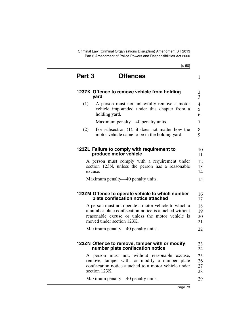| Part 3 | <b>Offences</b>                                                                                                                                                                                 | 1                        |
|--------|-------------------------------------------------------------------------------------------------------------------------------------------------------------------------------------------------|--------------------------|
|        | 123ZK Offence to remove vehicle from holding<br>yard                                                                                                                                            | $\frac{2}{3}$            |
| (1)    | A person must not unlawfully remove a motor<br>vehicle impounded under this chapter from a<br>holding yard.                                                                                     | $\overline{4}$<br>5<br>6 |
|        | Maximum penalty—40 penalty units.                                                                                                                                                               | 7                        |
| (2)    | For subsection $(1)$ , it does not matter how the<br>motor vehicle came to be in the holding yard.                                                                                              | 8<br>9                   |
|        | 123ZL Failure to comply with requirement to<br>produce motor vehicle                                                                                                                            | 10<br>11                 |
|        | A person must comply with a requirement under<br>section 123N, unless the person has a reasonable<br>excuse.                                                                                    | 12<br>13<br>14           |
|        | Maximum penalty—40 penalty units.                                                                                                                                                               | 15                       |
|        | 123ZM Offence to operate vehicle to which number<br>plate confiscation notice attached                                                                                                          | 16<br>17                 |
|        | A person must not operate a motor vehicle to which a<br>a number plate confiscation notice is attached without<br>reasonable excuse or unless the motor vehicle is<br>moved under section 123K. | 18<br>19<br>20<br>21     |
|        | Maximum penalty—40 penalty units.                                                                                                                                                               | 22                       |
|        | 123ZN Offence to remove, tamper with or modify<br>number plate confiscation notice                                                                                                              | 23<br>24                 |
|        | A person must not, without reasonable excuse,<br>remove, tamper with, or modify a number plate<br>confiscation notice attached to a motor vehicle under<br>section 123K.                        | 25<br>26<br>27<br>28     |
|        | Maximum penalty—40 penalty units.                                                                                                                                                               | 29                       |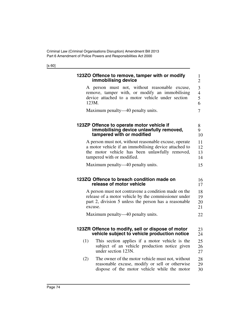|     | 123ZO Offence to remove, tamper with or modify<br>immobilising device                                                                                                                                                                                                                           |
|-----|-------------------------------------------------------------------------------------------------------------------------------------------------------------------------------------------------------------------------------------------------------------------------------------------------|
|     | A person must not, without reasonable excuse,<br>remove, tamper with, or modify an immobilising<br>device attached to a motor vehicle under section<br>123M.                                                                                                                                    |
|     | Maximum penalty—40 penalty units.                                                                                                                                                                                                                                                               |
|     | 123ZP Offence to operate motor vehicle if<br>immobilising device unlawfully removed,<br>tampered with or modified                                                                                                                                                                               |
|     | A person must not, without reasonable excuse, operate<br>a motor vehicle if an immobilising device attached to<br>the motor vehicle has been unlawfully removed,<br>tampered with or modified.                                                                                                  |
|     | Maximum penalty—40 penalty units.                                                                                                                                                                                                                                                               |
|     |                                                                                                                                                                                                                                                                                                 |
|     | 123ZQ Offence to breach condition made on<br>release of motor vehicle                                                                                                                                                                                                                           |
|     | excuse.                                                                                                                                                                                                                                                                                         |
|     | Maximum penalty—40 penalty units.                                                                                                                                                                                                                                                               |
|     | 123ZR Offence to modify, sell or dispose of motor<br>vehicle subject to vehicle production notice                                                                                                                                                                                               |
| (1) | A person must not contravene a condition made on the<br>release of a motor vehicle by the commissioner under<br>part 2, division 5 unless the person has a reasonable<br>This section applies if a motor vehicle is the<br>subject of an vehicle production notice given<br>under section 123N. |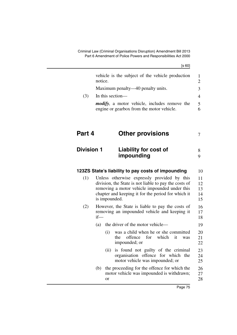|     | vehicle is the subject of the vehicle production<br>notice.                                       | $\mathcal{D}$ |
|-----|---------------------------------------------------------------------------------------------------|---------------|
|     | Maximum penalty—40 penalty units.                                                                 | 3             |
| (3) | In this section—                                                                                  | 4             |
|     | <i>modify</i> , a motor vehicle, includes remove the<br>engine or gearbox from the motor vehicle. | $\mathcal{F}$ |

### **Part 4 Other provisions** 7

#### **Division 1 Liability for cost of impounding** 8 9

#### <span id="page-76-0"></span>**123ZS State's liability to pay costs of impounding** 10

- (1) Unless otherwise expressly provided by this division, the State is not liable to pay the costs of removing a motor vehicle impounded under this chapter and keeping it for the period for which it is impounded. 11 12 13 14 15
- (2) However, the State is liable to pay the costs of removing an impounded vehicle and keeping it if— 16 17 18
	- (a) the driver of the motor vehicle— 19
		- (i) was a child when he or she committed the offence for which it was impounded; or 20 21 22
		- (ii) is found not guilty of the criminal organisation offence for which the motor vehicle was impounded; or 23 24 25
	- (b) the proceeding for the offence for which the motor vehicle was impounded is withdrawn; or 26 27 28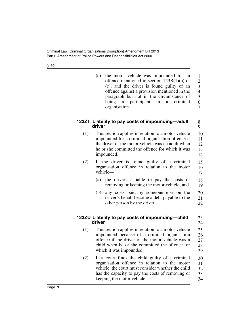(c) the motor vehicle was impounded for an offence mentioned in section [123B\(](#page-49-0)1)(b) or (c), and the driver is found guilty of an offence against a provision mentioned in the paragraph but not in the circumstance of being a participant in a criminal organisation. 1 2 3 4 5 6 7

> 8 9

23 24

## **123ZT Liability to pay costs of impounding—adult driver**

- (1) This section applies in relation to a motor vehicle impounded for a criminal organisation offence if the driver of the motor vehicle was an adult when he or she committed the offence for which it was impounded. 10 11 12 13 14
- (2) If the driver is found guilty of a criminal organisation offence in relation to the motor vehicle— 15 16 17
	- (a) the driver is liable to pay the costs of removing or keeping the motor vehicle; and 18 19
	- (b) any costs paid by someone else on the driver's behalf become a debt payable to the other person by the driver. 20 21 22

# <span id="page-77-0"></span>**123ZU Liability to pay costs of impounding—child driver**

- (1) This section applies in relation to a motor vehicle impounded because of a criminal organisation offence if the driver of the motor vehicle was a child when he or she committed the offence for which it was impounded. 25 26 27 28 29
- (2) If a court finds the child guilty of a criminal organisation offence in relation to the motor vehicle, the court must consider whether the child has the capacity to pay the costs of removing or keeping the motor vehicle. 30 31 32 33 34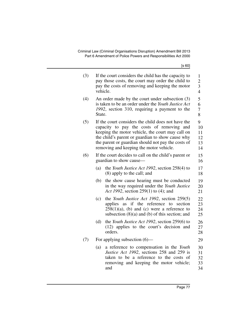| (3) | vehicle. | If the court considers the child has the capacity to<br>pay those costs, the court may order the child to<br>pay the costs of removing and keeping the motor                                                                                                                                             | 1<br>$\overline{c}$<br>3<br>$\overline{4}$ |
|-----|----------|----------------------------------------------------------------------------------------------------------------------------------------------------------------------------------------------------------------------------------------------------------------------------------------------------------|--------------------------------------------|
| (4) | State.   | An order made by the court under subsection (3)<br>is taken to be an order under the Youth Justice Act<br>1992, section 310, requiring a payment to the                                                                                                                                                  | 5<br>6<br>7<br>8                           |
| (5) |          | If the court considers the child does not have the<br>capacity to pay the costs of removing and<br>keeping the motor vehicle, the court may call on<br>the child's parent or guardian to show cause why<br>the parent or guardian should not pay the costs of<br>removing and keeping the motor vehicle. | 9<br>10<br>11<br>12<br>13<br>14            |
| (6) |          | If the court decides to call on the child's parent or<br>guardian to show cause—                                                                                                                                                                                                                         | 15<br>16                                   |
|     | (a)      | the <i>Youth Justice Act 1992</i> , section 258(4) to<br>(8) apply to the call; and                                                                                                                                                                                                                      | 17<br>18                                   |
|     | (b)      | the show cause hearing must be conducted<br>in the way required under the Youth Justice<br>Act 1992, section 259(1) to (4); and                                                                                                                                                                          | 19<br>20<br>21                             |
|     | (c)      | the Youth Justice Act 1992, section 259(5)<br>applies as if the reference to section<br>$258(1)(a)$ , (b) and (c) were a reference to<br>subsection $(8)(a)$ and $(b)$ of this section; and                                                                                                              | 22<br>23<br>24<br>25                       |
|     | (d)      | the Youth Justice Act 1992, section 259(6) to<br>(12) applies to the court's decision and<br>orders.                                                                                                                                                                                                     | 26<br>27<br>28                             |
| (7) |          | For applying subsection $(6)$ —                                                                                                                                                                                                                                                                          | 29                                         |
|     | (a)      | a reference to compensation in the Youth<br>Justice Act 1992, sections 258 and 259 is<br>taken to be a reference to the costs of<br>removing and keeping the motor vehicle;<br>and                                                                                                                       | 30<br>31<br>32<br>33<br>34                 |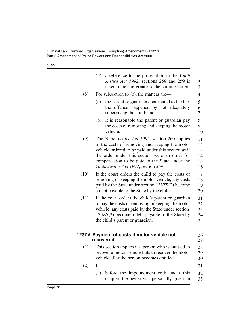|      | (b)<br>a reference to the prosecution in the Youth<br>Justice Act 1992, sections 258 and 259 is<br>taken to be a reference to the commissioner.                                                                                                                                                      | $\mathbf{1}$<br>$\overline{c}$<br>$\overline{3}$ |
|------|------------------------------------------------------------------------------------------------------------------------------------------------------------------------------------------------------------------------------------------------------------------------------------------------------|--------------------------------------------------|
| (8)  | For subsection $(6)(c)$ , the matters are—                                                                                                                                                                                                                                                           | $\overline{\mathcal{A}}$                         |
|      | the parent or guardian contributed to the fact<br>(a)<br>the offence happened by not adequately<br>supervising the child; and                                                                                                                                                                        | 5<br>6<br>7                                      |
|      | it is reasonable the parent or guardian pay<br>(b)<br>the costs of removing and keeping the motor<br>vehicle.                                                                                                                                                                                        | 8<br>9<br>10                                     |
| (9)  | The Youth Justice Act 1992, section 260 applies<br>to the costs of removing and keeping the motor<br>vehicle ordered to be paid under this section as if<br>the order under this section were an order for<br>compensation to be paid to the State under the<br>Youth Justice Act 1992, section 259. | 11<br>12<br>13<br>14<br>15<br>16                 |
| (10) | If the court orders the child to pay the costs of<br>removing or keeping the motor vehicle, any costs<br>paid by the State under section 123ZS(2) become<br>a debt payable to the State by the child.                                                                                                | 17<br>18<br>19<br>20                             |
| (11) | If the court orders the child's parent or guardian<br>to pay the costs of removing or keeping the motor<br>vehicle, any costs paid by the State under section<br>$123ZS(2)$ become a debt payable to the State by<br>the child's parent or guardian.                                                 | 21<br>22<br>23<br>24<br>25                       |
|      | 123ZV Payment of costs if motor vehicle not<br>recovered                                                                                                                                                                                                                                             | 26<br>27                                         |
| (1)  | This section applies if a person who is entitled to<br>recover a motor vehicle fails to recover the motor<br>vehicle after the person becomes entitled.                                                                                                                                              | 28<br>29<br>30                                   |
| (2)  | $If$ —                                                                                                                                                                                                                                                                                               | 31                                               |
|      | before the impoundment ends under this<br>(a)<br>chapter, the owner was personally given an                                                                                                                                                                                                          | 32<br>33                                         |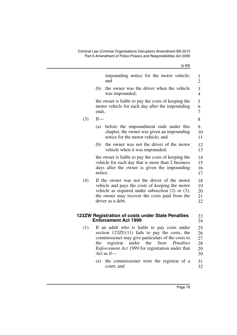|     | [s 60]                                                                                                                                                                                                                         |                            |
|-----|--------------------------------------------------------------------------------------------------------------------------------------------------------------------------------------------------------------------------------|----------------------------|
|     | impounding notice for the motor vehicle;<br>and                                                                                                                                                                                | 1<br>$\overline{c}$        |
|     | the owner was the driver when the vehicle<br>(b)<br>was impounded;                                                                                                                                                             | 3<br>$\overline{4}$        |
|     | the owner is liable to pay the costs of keeping the<br>motor vehicle for each day after the impounding<br>ends.                                                                                                                | 5<br>6<br>$\overline{7}$   |
| (3) | If                                                                                                                                                                                                                             | 8                          |
|     | (a)<br>before the impoundment ends under this<br>chapter, the owner was given an impounding<br>notice for the motor vehicle; and                                                                                               | 9<br>10<br>11              |
|     | the owner was not the driver of the motor<br>(b)<br>vehicle when it was impounded;                                                                                                                                             | 12<br>13                   |
|     | the owner is liable to pay the costs of keeping the<br>vehicle for each day that is more than 2 business<br>days after the owner is given the impounding<br>notice.                                                            | 14<br>15<br>16<br>17       |
| (4) | If the owner was not the driver of the motor<br>vehicle and pays the costs of keeping the motor<br>vehicle as required under subsection $(2)$ or $(3)$ ,<br>the owner may recover the costs paid from the<br>driver as a debt. | 18<br>19<br>20<br>21<br>22 |
|     | 123ZW Registration of costs under State Penalties<br><b>Enforcement Act 1999</b>                                                                                                                                               | 23<br>24                   |
| (1) | If an adult who is liable to pay costs under<br>$\mathcal{L}$ = $\mathcal{L}$ 1007II/11) $\mathcal{L}$ 1. $\mathcal{L}$ = $\mathcal{L}$ = $\mathcal{L}$ = $\mathcal{L}$ = $\mathcal{L}$ = $\mathcal{L}$                        | 25<br>$\sim$               |

- section [123ZU](#page-77-0)(11) fails to pay the costs, the commissioner may give particulars of the costs to<br>the registrar under the *State Penalties* the registrar under the *State Penalties Enforcement Act 1999* for registration under that Act as if— 26 27 28 29 30
	- (a) the commissioner were the registrar of a court; and 31 32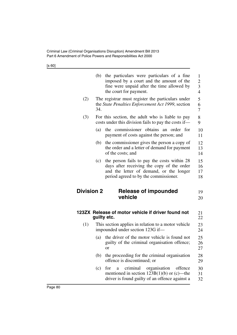|                   | (b) | the particulars were particulars of a fine<br>imposed by a court and the amount of the<br>fine were unpaid after the time allowed by<br>the court for payment.                | 1<br>$\overline{c}$<br>3<br>$\overline{4}$ |
|-------------------|-----|-------------------------------------------------------------------------------------------------------------------------------------------------------------------------------|--------------------------------------------|
| (2)               | 34. | The registrar must register the particulars under<br>the State Penalties Enforcement Act 1999, section                                                                        | 5<br>6<br>$\overline{7}$                   |
| (3)               |     | For this section, the adult who is liable to pay<br>costs under this division fails to pay the costs if—                                                                      | 8<br>9                                     |
|                   | (a) | the commissioner obtains an order for<br>payment of costs against the person; and                                                                                             | 10<br>11                                   |
|                   | (b) | the commissioner gives the person a copy of<br>the order and a letter of demand for payment<br>of the costs; and                                                              | 12<br>13<br>14                             |
|                   | (c) | the person fails to pay the costs within 28<br>days after receiving the copy of the order<br>and the letter of demand, or the longer<br>period agreed to by the commissioner. | 15<br>16<br>17<br>18                       |
| <b>Division 2</b> |     | Release of impounded<br>vehicle                                                                                                                                               | 19<br>20                                   |
|                   |     | 123ZX Release of motor vehicle if driver found not<br>guilty etc.                                                                                                             | 21<br>22                                   |
| (1)               |     | This section applies in relation to a motor vehicle<br>impounded under section 123G if—                                                                                       | 23<br>24                                   |
|                   | (a) | the driver of the motor vehicle is found not<br>guilty of the criminal organisation offence;<br>or                                                                            | 25<br>26<br>27                             |
|                   | (b) | the proceeding for the criminal organisation<br>offence is discontinued; or                                                                                                   | 28<br>29                                   |
|                   | (c) | for<br>criminal<br>organisation<br>offence<br>a<br>mentioned in section 123B(1)(b) or (c)—the<br>driver is found guilty of an offence against a                               | 30<br>31<br>32                             |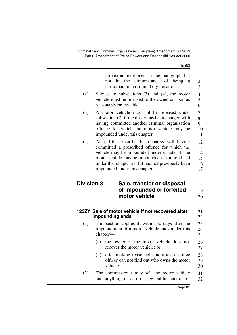<span id="page-82-0"></span>

|                   | provision mentioned in the paragraph but<br>in<br>circumstance of being<br>the<br>not<br>a<br>participant in a criminal organisation.                                                                                                                                                      | 1<br>$\overline{c}$<br>$\overline{3}$ |
|-------------------|--------------------------------------------------------------------------------------------------------------------------------------------------------------------------------------------------------------------------------------------------------------------------------------------|---------------------------------------|
| (2)               | Subject to subsections $(3)$ and $(4)$ , the motor<br>vehicle must be released to the owner as soon as<br>reasonably practicable.                                                                                                                                                          | $\overline{\mathcal{A}}$<br>5<br>6    |
| (3)               | A motor vehicle may not be released under<br>subsection (2) if the driver has been charged with<br>having committed another criminal organisation<br>offence for which the motor vehicle may be<br>impounded under this chapter.                                                           | 7<br>8<br>9<br>10<br>11               |
| (4)               | Also, if the driver has been charged with having<br>committed a prescribed offence for which the<br>vehicle may be impounded under chapter 4, the<br>motor vehicle may be impounded or immobilised<br>under that chapter as if it had not previously been<br>impounded under this chapter. | 12<br>13<br>14<br>15<br>16<br>17      |
| <b>Division 3</b> | Sale, transfer or disposal                                                                                                                                                                                                                                                                 | 18                                    |
|                   | of impounded or forfeited                                                                                                                                                                                                                                                                  | 19                                    |
|                   | motor vehicle                                                                                                                                                                                                                                                                              | 20                                    |
|                   | 123ZY Sale of motor vehicle if not recovered after<br>impounding ends                                                                                                                                                                                                                      | 21<br>22                              |
| (1)               | This section applies if, within 30 days after the<br>impoundment of a motor vehicle ends under this                                                                                                                                                                                        | 23<br>24<br>25                        |
|                   | chapter-                                                                                                                                                                                                                                                                                   |                                       |
|                   | the owner of the motor vehicle does not<br>(a)<br>recover the motor vehicle; or                                                                                                                                                                                                            | 26<br>27                              |
|                   | after making reasonable inquiries, a police<br>(b)<br>officer can not find out who owns the motor<br>vehicle.                                                                                                                                                                              | 28<br>29<br>30                        |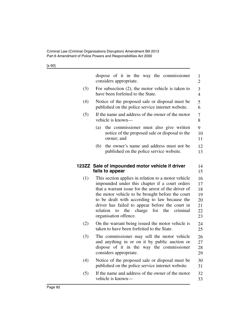<span id="page-83-0"></span>

|     | dispose of it in the way the commissioner<br>considers appropriate.                                                                                                                                                                                                                                                                                                                                         | 1<br>$\overline{2}$                          |
|-----|-------------------------------------------------------------------------------------------------------------------------------------------------------------------------------------------------------------------------------------------------------------------------------------------------------------------------------------------------------------------------------------------------------------|----------------------------------------------|
| (3) | For subsection $(2)$ , the motor vehicle is taken to<br>have been forfeited to the State.                                                                                                                                                                                                                                                                                                                   | 3<br>$\overline{4}$                          |
| (4) | Notice of the proposed sale or disposal must be<br>published on the police service internet website.                                                                                                                                                                                                                                                                                                        | 5<br>6                                       |
| (5) | If the name and address of the owner of the motor<br>vehicle is known—                                                                                                                                                                                                                                                                                                                                      | 7<br>8                                       |
|     | the commissioner must also give written<br>(a)<br>notice of the proposed sale or disposal to the<br>owner; and                                                                                                                                                                                                                                                                                              | 9<br>10<br>11                                |
|     | the owner's name and address must not be<br>(b)<br>published on the police service website.                                                                                                                                                                                                                                                                                                                 | 12<br>13                                     |
|     | 123ZZ Sale of impounded motor vehicle if driver<br>fails to appear                                                                                                                                                                                                                                                                                                                                          | 14<br>15                                     |
| (1) | This section applies in relation to a motor vehicle<br>impounded under this chapter if a court orders<br>that a warrant issue for the arrest of the driver of<br>the motor vehicle to be brought before the court<br>to be dealt with according to law because the<br>driver has failed to appear before the court in<br>relation<br>the<br>charge<br>for<br>the<br>criminal<br>to<br>organisation offence. | 16<br>17<br>18<br>19<br>20<br>21<br>22<br>23 |
| (2) | On the warrant being issued the motor vehicle is<br>taken to have been forfeited to the State.                                                                                                                                                                                                                                                                                                              | 24<br>25                                     |
| (3) | The commissioner may sell the motor vehicle<br>and anything in or on it by public auction or<br>dispose of it in the way the commissioner<br>considers appropriate.                                                                                                                                                                                                                                         | 26<br>27<br>28<br>29                         |
| (4) | Notice of the proposed sale or disposal must be<br>published on the police service internet website.                                                                                                                                                                                                                                                                                                        | 30<br>31                                     |
| (5) | If the name and address of the owner of the motor<br>vehicle is known—                                                                                                                                                                                                                                                                                                                                      | 32<br>33                                     |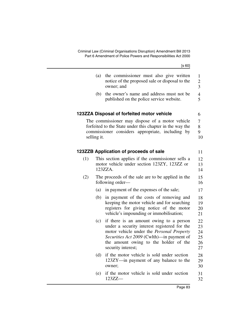<span id="page-84-1"></span><span id="page-84-0"></span>

| [s 60]                                                                                                                                                                                                                                                  |             |
|---------------------------------------------------------------------------------------------------------------------------------------------------------------------------------------------------------------------------------------------------------|-------------|
| the commissioner must also give written<br>(a)<br>notice of the proposed sale or disposal to the<br>owner; and                                                                                                                                          |             |
| the owner's name and address must not be<br>(b)<br>published on the police service website.                                                                                                                                                             |             |
| 123ZZA Disposal of forfeited motor vehicle                                                                                                                                                                                                              |             |
| The commissioner may dispose of a motor vehicle<br>forfeited to the State under this chapter in the way the<br>commissioner considers appropriate, including by                                                                                         | selling it. |
| 123ZZB Application of proceeds of sale                                                                                                                                                                                                                  |             |
| This section applies if the commissioner sells a<br>motor vehicle under section 123ZY, 123ZZ or<br>123ZZA.                                                                                                                                              | (1)         |
| The proceeds of the sale are to be applied in the<br>following order—                                                                                                                                                                                   | (2)         |
| (a)<br>in payment of the expenses of the sale;                                                                                                                                                                                                          |             |
| in payment of the costs of removing and<br>(b)<br>keeping the motor vehicle and for searching<br>registers for giving notice of the motor<br>vehicle's impounding or immobilisation;                                                                    |             |
| if there is an amount owing to a person<br>(c)<br>under a security interest registered for the<br>motor vehicle under the Personal Property<br>Securities Act 2009 (Cwlth)—in payment of<br>the amount owing to the holder of the<br>security interest; |             |
| if the motor vehicle is sold under section<br>(d)<br>123ZY-in payment of any balance to the<br>owner;                                                                                                                                                   |             |
| if the motor vehicle is sold under section<br>(e)<br>$123ZZ-$                                                                                                                                                                                           |             |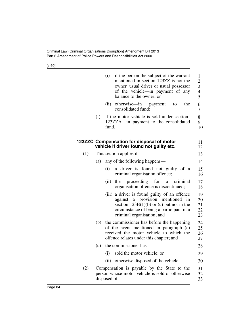|     |     | (i)          | if the person the subject of the warrant<br>mentioned in section 123ZZ is not the<br>owner, usual driver or usual possessor<br>of the vehicle—in payment of any<br>balance to the owner; or              | 1<br>$\overline{c}$<br>3<br>$\overline{\mathcal{L}}$<br>5 |
|-----|-----|--------------|----------------------------------------------------------------------------------------------------------------------------------------------------------------------------------------------------------|-----------------------------------------------------------|
|     |     | (ii)         | otherwise—in<br>the<br>payment<br>to<br>consolidated fund;                                                                                                                                               | 6<br>7                                                    |
|     | (f) | fund.        | if the motor vehicle is sold under section<br>123ZZA—in payment to the consolidated                                                                                                                      | 8<br>9<br>10                                              |
|     |     |              | 123ZZC Compensation for disposal of motor<br>vehicle if driver found not guilty etc.                                                                                                                     | 11<br>12                                                  |
| (1) |     |              | This section applies if—                                                                                                                                                                                 | 13                                                        |
|     | (a) |              | any of the following happens—                                                                                                                                                                            | 14                                                        |
|     |     | (i)          | a driver is found not guilty of a<br>criminal organisation offence;                                                                                                                                      | 15<br>16                                                  |
|     |     | (ii)         | proceeding for<br>the<br>criminal<br>a a<br>organisation offence is discontinued;                                                                                                                        | 17<br>18                                                  |
|     |     |              | (iii) a driver is found guilty of an offence<br>against a provision mentioned in<br>section $123B(1)(b)$ or (c) but not in the<br>circumstance of being a participant in a<br>criminal organisation; and | 19<br>20<br>21<br>22<br>23                                |
|     | (b) |              | the commissioner has before the happening<br>of the event mentioned in paragraph (a)<br>received the motor vehicle to which the<br>offence relates under this chapter; and                               | 24<br>25<br>26<br>27                                      |
|     | (c) |              | the commissioner has—                                                                                                                                                                                    | 28                                                        |
|     |     | (i)          | sold the motor vehicle; or                                                                                                                                                                               | 29                                                        |
|     |     | (ii)         | otherwise disposed of the vehicle.                                                                                                                                                                       | 30                                                        |
| (2) |     | disposed of. | Compensation is payable by the State to the<br>person whose motor vehicle is sold or otherwise                                                                                                           | 31<br>32<br>33                                            |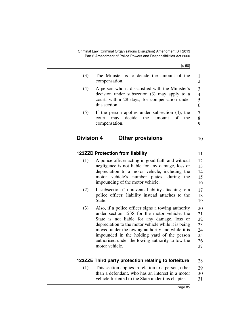| (3)               | The Minister is to decide the amount of the<br>compensation.                                                                                                                                                                                                                                                                                                                       | $\mathbf{1}$<br>$\overline{2}$               |  |  |  |  |
|-------------------|------------------------------------------------------------------------------------------------------------------------------------------------------------------------------------------------------------------------------------------------------------------------------------------------------------------------------------------------------------------------------------|----------------------------------------------|--|--|--|--|
| (4)               | A person who is dissatisfied with the Minister's<br>decision under subsection (3) may apply to a<br>court, within 28 days, for compensation under<br>this section.                                                                                                                                                                                                                 |                                              |  |  |  |  |
| (5)               | If the person applies under subsection $(4)$ , the<br>decide<br>the<br>of<br>the<br>may<br>amount<br>court<br>compensation.                                                                                                                                                                                                                                                        | 7<br>8<br>9                                  |  |  |  |  |
| <b>Division 4</b> | <b>Other provisions</b>                                                                                                                                                                                                                                                                                                                                                            | 10                                           |  |  |  |  |
|                   | <b>123ZZD Protection from liability</b>                                                                                                                                                                                                                                                                                                                                            | 11                                           |  |  |  |  |
| (1)               | A police officer acting in good faith and without<br>negligence is not liable for any damage, loss or<br>depreciation to a motor vehicle, including the<br>motor vehicle's<br>number plates,<br>during<br>the<br>impounding of the motor vehicle.                                                                                                                                  | 12<br>13<br>14<br>15<br>16                   |  |  |  |  |
| (2)               | If subsection (1) prevents liability attaching to a<br>police officer, liability instead attaches to the<br>State.                                                                                                                                                                                                                                                                 | 17<br>18<br>19                               |  |  |  |  |
| (3)               | Also, if a police officer signs a towing authority<br>under section 123S for the motor vehicle, the<br>State is not liable for any damage, loss or<br>depreciation to the motor vehicle while it is being<br>moved under the towing authority and while it is<br>impounded in the holding yard of the person<br>authorised under the towing authority to tow the<br>motor vehicle. | 20<br>21<br>22<br>23<br>24<br>25<br>26<br>27 |  |  |  |  |
|                   | 123ZZE Third party protection relating to forfeiture                                                                                                                                                                                                                                                                                                                               | 28                                           |  |  |  |  |

(1) This section applies in relation to a person, other than a defendant, who has an interest in a motor vehicle forfeited to the State under this chapter. 29 30 31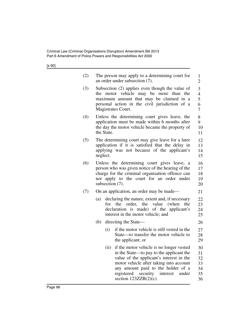| (2) |            | The person may apply to a determining court for<br>an order under subsection (7).                                                                                                                                                                                                                    | $\mathbf{1}$<br>$\overline{2}$         |
|-----|------------|------------------------------------------------------------------------------------------------------------------------------------------------------------------------------------------------------------------------------------------------------------------------------------------------------|----------------------------------------|
| (3) |            | Subsection (2) applies even though the value of<br>the motor vehicle may be more than the<br>maximum amount that may be claimed in a<br>personal action in the civil jurisdiction of a<br>Magistrates Court.                                                                                         | 3<br>$\overline{4}$<br>5<br>6<br>7     |
| (4) | the State. | Unless the determining court gives leave, the<br>application must be made within 6 months after<br>the day the motor vehicle became the property of                                                                                                                                                  | 8<br>9<br>10<br>11                     |
| (5) | neglect.   | The determining court may give leave for a later<br>application if it is satisfied that the delay in<br>applying was not because of the applicant's                                                                                                                                                  | 12<br>13<br>14<br>15                   |
| (6) |            | Unless the determining court gives leave, a<br>person who was given notice of the hearing of the<br>charge for the criminal organisation offence can<br>not apply to the court for an order under<br>subsection (7).                                                                                 | 16<br>17<br>18<br>19<br>20             |
| (7) |            | On an application, an order may be made—                                                                                                                                                                                                                                                             | 21                                     |
|     | (a)        | declaring the nature, extent and, if necessary<br>the<br>order,<br>the<br>value<br>(when<br>for<br>the<br>declaration is made) of the applicant's<br>interest in the motor vehicle; and                                                                                                              | 22<br>23<br>24<br>25                   |
|     | (b)        | directing the State—                                                                                                                                                                                                                                                                                 | 26                                     |
|     |            | if the motor vehicle is still vested in the<br>(i)<br>State—to transfer the motor vehicle to<br>the applicant; or                                                                                                                                                                                    | 27<br>28<br>29                         |
|     |            | if the motor vehicle is no longer vested<br>(ii)<br>in the State—to pay to the applicant the<br>value of the applicant's interest in the<br>motor vehicle after taking into account<br>any amount paid to the holder of a<br>security<br>registered<br>interest<br>under<br>section $123ZZB(2)(c)$ . | 30<br>31<br>32<br>33<br>34<br>35<br>36 |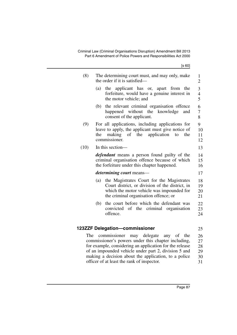| (8)  | The determining court must, and may only, make<br>the order if it is satisfied—                                                                                                                                                                                                                                               | 1<br>$\overline{2}$              |
|------|-------------------------------------------------------------------------------------------------------------------------------------------------------------------------------------------------------------------------------------------------------------------------------------------------------------------------------|----------------------------------|
|      | the applicant has or, apart from<br>(a)<br>the<br>forfeiture, would have a genuine interest in<br>the motor vehicle; and                                                                                                                                                                                                      | 3<br>$\overline{4}$<br>5         |
|      | the relevant criminal organisation offence<br>(b)<br>happened without the knowledge<br>and<br>consent of the applicant.                                                                                                                                                                                                       | 6<br>$\overline{7}$<br>8         |
| (9)  | For all applications, including applications for<br>leave to apply, the applicant must give notice of<br>application<br>the<br>making<br>of the<br>the<br>to<br>commissioner.                                                                                                                                                 | 9<br>10<br>11<br>12              |
| (10) | In this section-                                                                                                                                                                                                                                                                                                              | 13                               |
|      | <i>defendant</i> means a person found guilty of the<br>criminal organisation offence because of which<br>the forfeiture under this chapter happened.                                                                                                                                                                          | 14<br>15<br>16                   |
|      | <i>determining court</i> means—                                                                                                                                                                                                                                                                                               | 17                               |
|      | the Magistrates Court for the Magistrates<br>(a)<br>Court district, or division of the district, in<br>which the motor vehicle was impounded for<br>the criminal organisation offence; or                                                                                                                                     | 18<br>19<br>20<br>21             |
|      | the court before which the defendant was<br>(b)<br>convicted of the criminal organisation<br>offence.                                                                                                                                                                                                                         | 22<br>23<br>24                   |
|      | 123ZZF Delegation-commissioner                                                                                                                                                                                                                                                                                                | 25                               |
| The  | commissioner<br>may delegate<br>any of<br>the<br>commissioner's powers under this chapter including,<br>for example, considering an application for the release<br>of an impounded vehicle under part 2, division 5 and<br>making a decision about the application, to a police<br>officer of at least the rank of inspector. | 26<br>27<br>28<br>29<br>30<br>31 |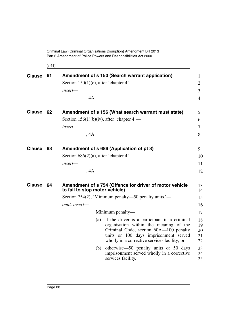[s 61]

| <b>Clause</b> | 61 |                                              | Amendment of s 150 (Search warrant application)                                                                                                                                                                               | $\mathbf{1}$               |
|---------------|----|----------------------------------------------|-------------------------------------------------------------------------------------------------------------------------------------------------------------------------------------------------------------------------------|----------------------------|
|               |    | Section 150(1)(c), after 'chapter $4'$ —     |                                                                                                                                                                                                                               | $\overline{2}$             |
|               |    | insert-                                      |                                                                                                                                                                                                                               | $\overline{3}$             |
|               |    | , 4A                                         |                                                                                                                                                                                                                               | $\overline{4}$             |
| <b>Clause</b> | 62 |                                              | Amendment of s 156 (What search warrant must state)                                                                                                                                                                           | 5                          |
|               |    | Section 156(1)(b)(iv), after 'chapter $4'$ — |                                                                                                                                                                                                                               | 6                          |
|               |    | insert-                                      |                                                                                                                                                                                                                               | $\overline{7}$             |
|               |    | , 4A                                         |                                                                                                                                                                                                                               | 8                          |
| <b>Clause</b> | 63 |                                              | Amendment of s 686 (Application of pt 3)                                                                                                                                                                                      | 9                          |
|               |    | Section $686(2)(a)$ , after 'chapter $4'$ —  |                                                                                                                                                                                                                               | 10                         |
|               |    | insert-                                      |                                                                                                                                                                                                                               | 11                         |
|               |    | , 4A                                         |                                                                                                                                                                                                                               | 12                         |
| <b>Clause</b> | 64 | to fail to stop motor vehicle)               | Amendment of s 754 (Offence for driver of motor vehicle                                                                                                                                                                       | 13<br>14                   |
|               |    |                                              | Section 754(2), 'Minimum penalty—50 penalty units.'—                                                                                                                                                                          | 15                         |
|               |    | omit, insert-                                |                                                                                                                                                                                                                               | 16                         |
|               |    |                                              | Minimum penalty—                                                                                                                                                                                                              | 17                         |
|               |    |                                              | (a) if the driver is a participant in a criminal<br>organisation within the meaning of the<br>Criminal Code, section 60A-100 penalty<br>units or 100 days imprisonment served<br>wholly in a corrective services facility; or | 18<br>19<br>20<br>21<br>22 |
|               |    | (b)                                          | otherwise—50 penalty units or 50 days<br>imprisonment served wholly in a corrective<br>services facility.                                                                                                                     | 23<br>24<br>25             |
|               |    |                                              |                                                                                                                                                                                                                               |                            |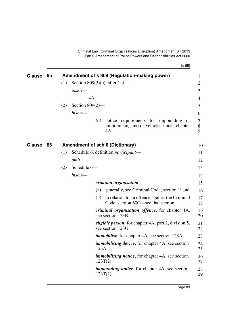[s 65]

| <b>Clause</b> | 65 |     |                    |       | Amendment of s 809 (Regulation-making power)                                                   | 1           |
|---------------|----|-----|--------------------|-------|------------------------------------------------------------------------------------------------|-------------|
|               |    | (1) |                    |       | Section 809(2)(b), after $\dot{ }$ , 4'—                                                       | 2           |
|               |    |     | insert-            |       |                                                                                                | 3           |
|               |    |     | , 4A               |       |                                                                                                | 4           |
|               |    | (2) | Section $809(2)$ — |       |                                                                                                | 5           |
|               |    |     | insert-            |       |                                                                                                | 6           |
|               |    |     |                    | (d)   | notice requirements for impounding<br>- or<br>immobilising motor vehicles under chapter<br>4A. | 7<br>8<br>9 |
| <b>Clause</b> | 66 |     |                    |       | <b>Amendment of sch 6 (Dictionary)</b>                                                         | 10          |
|               |    | (1) |                    |       | Schedule 6, definition <i>participant</i> —                                                    | 11          |
|               |    |     | <i>omit.</i>       |       |                                                                                                | 12          |
|               |    | (2) | Schedule 6-        |       |                                                                                                | 13          |
|               |    |     | insert-            |       |                                                                                                | 14          |
|               |    |     |                    |       | criminal organisation-                                                                         | 15          |
|               |    |     |                    | (a)   | generally, see Criminal Code, section 1; and                                                   | 16          |
|               |    |     |                    | (b)   | in relation to an offence against the Criminal<br>Code, section 60C—see that section.          | 17<br>18    |
|               |    |     |                    |       | <i>criminal organisation offence</i> , for chapter 4A,<br>see section 123B.                    | 19<br>20    |
|               |    |     |                    |       | <i>eligible person</i> , for chapter 4A, part 2, division 5,<br>see section 123U.              | 21<br>22    |
|               |    |     |                    |       | <i>immobilise</i> , for chapter 4A, see section 123A.                                          | 23          |
|               |    |     |                    | 123A. | <i>immobilising device</i> , for chapter 4A, see section                                       | 24<br>25    |
|               |    |     |                    |       | <i>immobilising notice</i> , for chapter 4A, see section<br>$123T(2)$ .                        | 26<br>27    |
|               |    |     |                    |       | <i>impounding notice</i> , for chapter 4A, see section<br>$123T(2)$ .                          | 28<br>29    |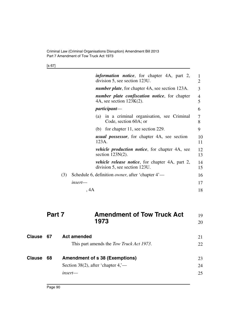[s 67]

|     |         | <i>information notice</i> , for chapter 4A, part 2,<br>division 5, see section 123U.     | 1<br>2   |
|-----|---------|------------------------------------------------------------------------------------------|----------|
|     |         | <i>number plate</i> , for chapter 4A, see section 123A.                                  | 3        |
|     |         | number plate confiscation notice, for chapter<br>4A, see section $123K(2)$ .             | 4<br>5   |
|     |         | <i>participant—</i>                                                                      | 6        |
|     |         | in a criminal organisation, see Criminal<br>(a)<br>Code, section 60A; or                 | 7<br>8   |
|     |         | (b) for chapter 11, see section 229.                                                     | 9        |
|     |         | <i>usual possessor</i> , for chapter 4A, see section<br>123A.                            | 10<br>11 |
|     |         | <i>vehicle production notice</i> , for chapter 4A, see<br>section $123N(2)$ .            | 12<br>13 |
|     |         | <i>vehicle release notice</i> , for chapter 4A, part 2,<br>division 5, see section 123U. | 14<br>15 |
| (3) |         | Schedule 6, definition <i>owner</i> , after 'chapter 4'—                                 | 16       |
|     | insert- |                                                                                          | 17       |
|     | , 4A    |                                                                                          | 18       |
|     |         |                                                                                          |          |

| Part 7 | <b>Amendment of Tow Truck Act</b> | 19 |
|--------|-----------------------------------|----|
|        | 1973                              | 20 |
|        |                                   |    |

| Clause 67     |    | <b>Act amended</b>                       | 21  |
|---------------|----|------------------------------------------|-----|
|               |    | This part amends the Tow Truck Act 1973. | 22. |
| <b>Clause</b> | 68 | <b>Amendment of s 38 (Exemptions)</b>    | 23  |
|               |    | Section 38(2), after 'chapter $4, -$     | 24  |
|               |    | $insert$ —                               | 25  |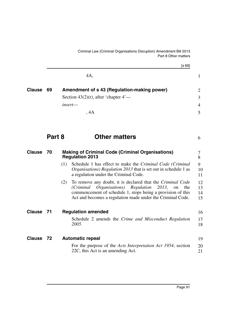[s 69] 4A, **69 Amendment of s 43 (Regulation-making power) Clause** 2 Section 43(2)(r), after 'chapter 4' *insert*— , 4A **Part 8 Other matters** 1 3 4 5 6

<span id="page-92-1"></span><span id="page-92-0"></span>

| <b>Clause</b> | 70   | <b>Making of Criminal Code (Criminal Organisations)</b><br><b>Regulation 2013</b>                                                                                                                                                                            | 8                    |
|---------------|------|--------------------------------------------------------------------------------------------------------------------------------------------------------------------------------------------------------------------------------------------------------------|----------------------|
|               |      | Schedule 1 has effect to make the Criminal Code (Criminal<br>(1)<br><i>Organisations</i> ) <i>Regulation 2013</i> that is set out in schedule 1 as<br>a regulation under the Criminal Code.                                                                  | 9<br>10<br>11        |
|               |      | To remove any doubt, it is declared that the <i>Criminal Code</i><br>(2)<br>(Criminal Organisations) Regulation 2013, on<br>the<br>commencement of schedule 1, stops being a provision of this<br>Act and becomes a regulation made under the Criminal Code. | 12<br>13<br>14<br>15 |
| <b>Clause</b> | - 71 | <b>Regulation amended</b>                                                                                                                                                                                                                                    | 16                   |
|               |      | Schedule 2 amends the Crime and Misconduct Regulation<br>2005.                                                                                                                                                                                               | 17<br>18             |
| Clause 72     |      | <b>Automatic repeal</b>                                                                                                                                                                                                                                      | 19                   |
|               |      | For the purpose of the <i>Acts Interpretation Act 1954</i> , section<br>22C, this Act is an amending Act.                                                                                                                                                    | 20<br>21             |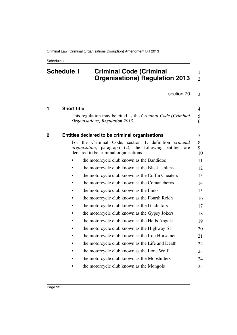### **Schedule 1 Criminal Code (Criminal Organisations) Regulation 2013** 1 2

section [70](#page-92-0) 3

| 1 | <b>Short title</b> |                                                                                                                                                                      | $\overline{4}$ |
|---|--------------------|----------------------------------------------------------------------------------------------------------------------------------------------------------------------|----------------|
|   |                    | This regulation may be cited as the Criminal Code (Criminal<br>Organisations) Regulation 2013.                                                                       | 5<br>6         |
| 2 |                    | Entities declared to be criminal organisations                                                                                                                       | $\overline{7}$ |
|   |                    | For the Criminal Code, section 1, definition <i>criminal</i><br>organisation, paragraph (c), the following entities<br>are<br>declared to be criminal organisations— | 8<br>9<br>10   |
|   |                    | the motorcycle club known as the Bandidos                                                                                                                            | 11             |
|   |                    | the motorcycle club known as the Black Uhlans                                                                                                                        | 12             |
|   |                    | the motorcycle club known as the Coffin Cheaters                                                                                                                     | 13             |
|   |                    | the motorcycle club known as the Comancheros                                                                                                                         | 14             |
|   |                    | the motorcycle club known as the Finks                                                                                                                               | 15             |
|   |                    | the motorcycle club known as the Fourth Reich                                                                                                                        | 16             |
|   |                    | the motorcycle club known as the Gladiators                                                                                                                          | 17             |
|   |                    | the motorcycle club known as the Gypsy Jokers                                                                                                                        | 18             |
|   |                    | the motorcycle club known as the Hells Angels                                                                                                                        | 19             |
|   |                    | the motorcycle club known as the Highway 61                                                                                                                          | 20             |
|   |                    | the motorcycle club known as the Iron Horsemen                                                                                                                       | 21             |
|   | ٠                  | the motorcycle club known as the Life and Death                                                                                                                      | 22             |
|   |                    | the motorcycle club known as the Lone Wolf                                                                                                                           | 23             |
|   |                    | the motorcycle club known as the Mobshitters                                                                                                                         | 24             |
|   |                    | the motorcycle club known as the Mongols                                                                                                                             | 25             |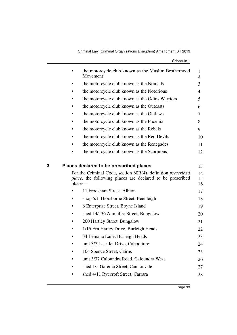| Schedule 1 |  |
|------------|--|
|------------|--|

|   |         | the motorcycle club known as the Muslim Brotherhood<br>Movement                                                                                                                     | 1<br>$\overline{2}$  |
|---|---------|-------------------------------------------------------------------------------------------------------------------------------------------------------------------------------------|----------------------|
|   |         | the motorcycle club known as the Nomads                                                                                                                                             | 3                    |
|   |         | the motorcycle club known as the Notorious                                                                                                                                          | 4                    |
|   |         | the motorcycle club known as the Odins Warriors                                                                                                                                     | 5                    |
|   |         | the motorcycle club known as the Outcasts                                                                                                                                           | 6                    |
|   |         | the motorcycle club known as the Outlaws                                                                                                                                            | 7                    |
|   |         | the motorcycle club known as the Phoenix                                                                                                                                            | 8                    |
|   |         | the motorcycle club known as the Rebels                                                                                                                                             | 9                    |
|   |         | the motorcycle club known as the Red Devils                                                                                                                                         | 10                   |
|   |         | the motorcycle club known as the Renegades                                                                                                                                          | 11                   |
|   |         | the motorcycle club known as the Scorpions                                                                                                                                          | 12                   |
| 3 | places— | Places declared to be prescribed places<br>For the Criminal Code, section 60B(4), definition <i>prescribed</i><br><i>place</i> , the following places are declared to be prescribed | 13<br>14<br>15<br>16 |
|   |         | 11 Frodsham Street, Albion                                                                                                                                                          | 17                   |
|   |         | shop 5/1 Thorsborne Street, Beenleigh                                                                                                                                               | 18                   |
|   |         | 6 Enterprise Street, Boyne Island                                                                                                                                                   | 19                   |
|   |         | shed 14/136 Aumuller Street, Bungalow                                                                                                                                               | 20                   |
|   |         | 200 Hartley Street, Bungalow                                                                                                                                                        | 21                   |
|   |         | 1/16 Ern Harley Drive, Burleigh Heads                                                                                                                                               | 22                   |
|   |         | 34 Lemana Lane, Burleigh Heads                                                                                                                                                      | 23                   |
|   |         | unit 3/7 Lear Jet Drive, Caboolture                                                                                                                                                 | 24                   |
|   |         | 104 Spence Street, Cairns                                                                                                                                                           | 25                   |
|   |         | unit 3/37 Caloundra Road, Caloundra West                                                                                                                                            | 26                   |
|   |         | shed 1/5 Garema Street, Cannonvale                                                                                                                                                  | 27                   |
|   |         | shed 4/11 Ryecroft Street, Carrara                                                                                                                                                  | 28                   |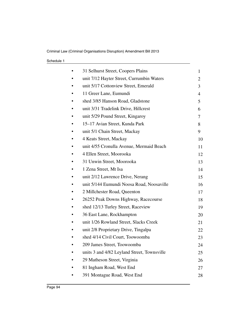| 31 Selhurst Street, Coopers Plains          | 1              |
|---------------------------------------------|----------------|
| unit 7/12 Hayter Street, Currumbin Waters   | 2              |
| unit 5/17 Cottonview Street, Emerald        | 3              |
| 11 Greer Lane, Eumundi                      | $\overline{4}$ |
| shed 3/85 Hanson Road, Gladstone            | 5              |
| unit 3/31 Tradelink Drive, Hillcrest        | 6              |
| unit 5/29 Pound Street, Kingaroy            | 7              |
| 15–17 Avian Street, Kunda Park              | 8              |
| unit 5/1 Chain Street, Mackay               | 9              |
| 4 Keats Street, Mackay                      | 10             |
| unit 4/55 Cronulla Avenue, Mermaid Beach    | 11             |
| 4 Ellen Street, Moorooka                    | 12             |
| 31 Unwin Street, Moorooka                   | 13             |
| 1 Zena Street, Mt Isa                       | 14             |
| unit 2/12 Lawrence Drive, Nerang            | 15             |
| unit 5/144 Eumundi Noosa Road, Noosaville   | 16             |
| 2 Millchester Road, Queenton                | 17             |
| 26252 Peak Downs Highway, Racecourse        | 18             |
| shed 12/13 Turley Street, Raceview          | 19             |
| 36 East Lane, Rockhampton                   | 20             |
| unit 1/26 Rowland Street, Slacks Creek      | 21             |
| unit 2/8 Proprietary Drive, Tingalpa        | 22             |
| shed 4/14 Civil Court, Toowoomba            | 23             |
| 209 James Street, Toowoomba                 | 24             |
| units 3 and 4/82 Leyland Street, Townsville | 25             |
| 29 Matheson Street, Virginia                | 26             |
| 81 Ingham Road, West End                    | 27             |
| 391 Montague Road, West End                 | 28             |
|                                             |                |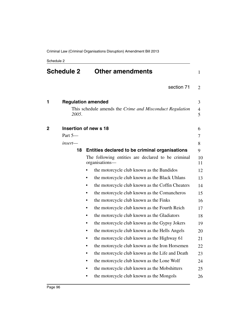| <b>Schedule 2</b> |         | <b>Other amendments</b>                                              |          |
|-------------------|---------|----------------------------------------------------------------------|----------|
|                   |         | section 71                                                           | 2        |
| 1                 |         | <b>Regulation amended</b>                                            | 3        |
|                   | 2005.   | This schedule amends the Crime and Misconduct Regulation             | 4<br>5   |
| 2                 |         | Insertion of new s 18                                                | 6        |
|                   | Part 5- |                                                                      | 7        |
|                   | insert- |                                                                      | 8        |
|                   | 18      | Entities declared to be criminal organisations                       | 9        |
|                   |         | The following entities are declared to be criminal<br>organisations- | 10<br>11 |
|                   |         | the motorcycle club known as the Bandidos                            | 12       |
|                   |         | the motorcycle club known as the Black Uhlans                        | 13       |
|                   |         | the motorcycle club known as the Coffin Cheaters                     | 14       |
|                   |         | the motorcycle club known as the Comancheros                         | 15       |
|                   |         | the motorcycle club known as the Finks                               | 16       |
|                   |         | the motorcycle club known as the Fourth Reich                        | 17       |
|                   |         | the motorcycle club known as the Gladiators                          | 18       |
|                   |         | the motorcycle club known as the Gypsy Jokers                        | 19       |
|                   |         | the motorcycle club known as the Hells Angels                        | 20       |
|                   |         | the motorcycle club known as the Highway 61                          | 21       |
|                   |         | the motorcycle club known as the Iron Horsemen                       | 22       |
|                   |         | the motorcycle club known as the Life and Death                      | 23       |
|                   |         | the motorcycle club known as the Lone Wolf                           | 24       |
|                   |         | the motorcycle club known as the Mobshitters                         | 25       |
|                   |         | the motorcycle club known as the Mongols                             | 26       |